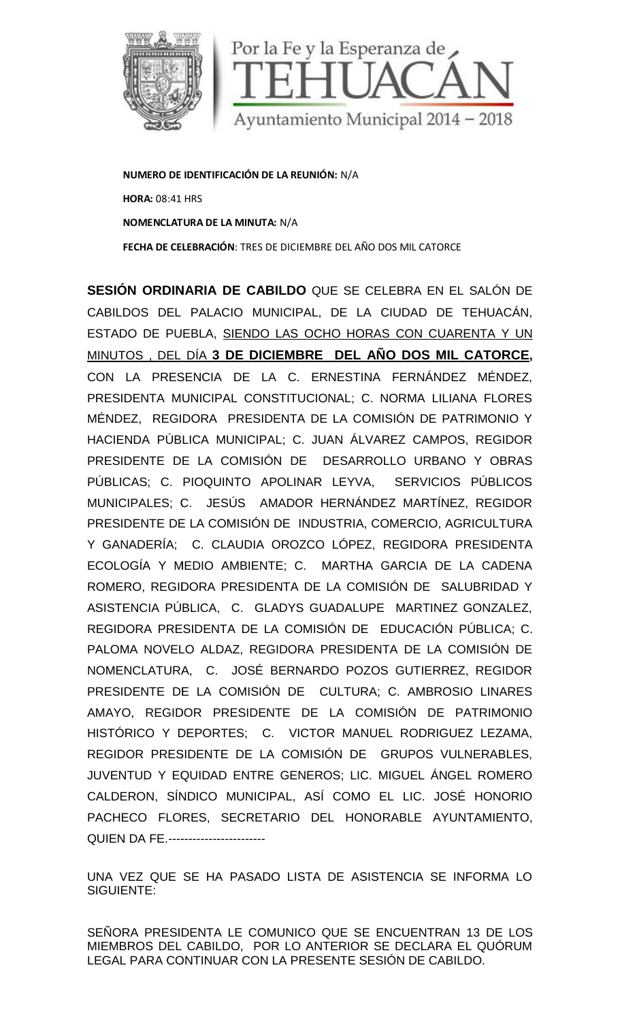

**NUMERO DE IDENTIFICACIÓN DE LA REUNIÓN:** N/A **HORA:** 08:41 HRS **NOMENCLATURA DE LA MINUTA:** N/A **FECHA DE CELEBRACIÓN**: TRES DE DICIEMBRE DEL AÑO DOS MIL CATORCE

**SESIÓN ORDINARIA DE CABILDO** QUE SE CELEBRA EN EL SALÓN DE CABILDOS DEL PALACIO MUNICIPAL, DE LA CIUDAD DE TEHUACÁN, ESTADO DE PUEBLA, SIENDO LAS OCHO HORAS CON CUARENTA Y UN MINUTOS , DEL DÍA **3 DE DICIEMBRE DEL AÑO DOS MIL CATORCE,** CON LA PRESENCIA DE LA C. ERNESTINA FERNÁNDEZ MÉNDEZ, PRESIDENTA MUNICIPAL CONSTITUCIONAL; C. NORMA LILIANA FLORES MÉNDEZ, REGIDORA PRESIDENTA DE LA COMISIÓN DE PATRIMONIO Y HACIENDA PÚBLICA MUNICIPAL; C. JUAN ÁLVAREZ CAMPOS, REGIDOR PRESIDENTE DE LA COMISIÓN DE DESARROLLO URBANO Y OBRAS PÚBLICAS; C. PIOQUINTO APOLINAR LEYVA, SERVICIOS PÚBLICOS MUNICIPALES; C. JESÚS AMADOR HERNÁNDEZ MARTÍNEZ, REGIDOR PRESIDENTE DE LA COMISIÓN DE INDUSTRIA, COMERCIO, AGRICULTURA Y GANADERÍA; C. CLAUDIA OROZCO LÓPEZ, REGIDORA PRESIDENTA ECOLOGÍA Y MEDIO AMBIENTE; C. MARTHA GARCIA DE LA CADENA ROMERO, REGIDORA PRESIDENTA DE LA COMISIÓN DE SALUBRIDAD Y ASISTENCIA PÚBLICA, C. GLADYS GUADALUPE MARTINEZ GONZALEZ, REGIDORA PRESIDENTA DE LA COMISIÓN DE EDUCACIÓN PÚBLICA; C. PALOMA NOVELO ALDAZ, REGIDORA PRESIDENTA DE LA COMISIÓN DE NOMENCLATURA, C. JOSÉ BERNARDO POZOS GUTIERREZ, REGIDOR PRESIDENTE DE LA COMISIÓN DE CULTURA; C. AMBROSIO LINARES AMAYO, REGIDOR PRESIDENTE DE LA COMISIÓN DE PATRIMONIO HISTÓRICO Y DEPORTES; C. VICTOR MANUEL RODRIGUEZ LEZAMA, REGIDOR PRESIDENTE DE LA COMISIÓN DE GRUPOS VULNERABLES, JUVENTUD Y EQUIDAD ENTRE GENEROS; LIC. MIGUEL ÁNGEL ROMERO CALDERON, SÍNDICO MUNICIPAL, ASÍ COMO EL LIC. JOSÉ HONORIO PACHECO FLORES, SECRETARIO DEL HONORABLE AYUNTAMIENTO, **QUIEN DA FE.------------------------**DEL DIA 3 DE DICIEMBRE DEL ANO DOS MIL CATORCE,<br>PRESENCIA DE LA C. ERNESTINA FERNÁNDEZ MÉNDEZ,<br>A MUNICIPAL CONSTITUCIONAL; C. NORMA LILIANA FLORES<br>REGIDORA PRESIDENTA DE LA COMISIÓN DE PATRIMONIO Y<br>PÚBLICA MUNICIPAL; C. JU THE DE LA COMECIÓN DE SECRETARIO DE CAMPOS, DE CAMPOS, DE CAMPOS, DE PUEBLA, SENDO LAS CONCHORAS CON CUARENTA Y UN<br>DRIDINARIA DE CABILDO QUE SE CELEBRA EN EL SALÒN DE TEHUACÁN,<br>DE PUEBLA, SIENDO LAS OCHO HORAS CON CUARENTA

UNA VEZ QUE SE HA PASADO LISTA DE ASISTENCIA SE INFORMA LO SIGUIENTE:

SEÑORA PRESIDENTA LE COMUNICO QUE SE ENCUENTRAN 13 DE LOS MIEMBROS DEL CABILDO, POR LO ANTERIOR SE DECLARA EL QUÓRUM LEGAL PARA CONTINUAR CON LA PRESENTE SESIÓN DE CABILDO.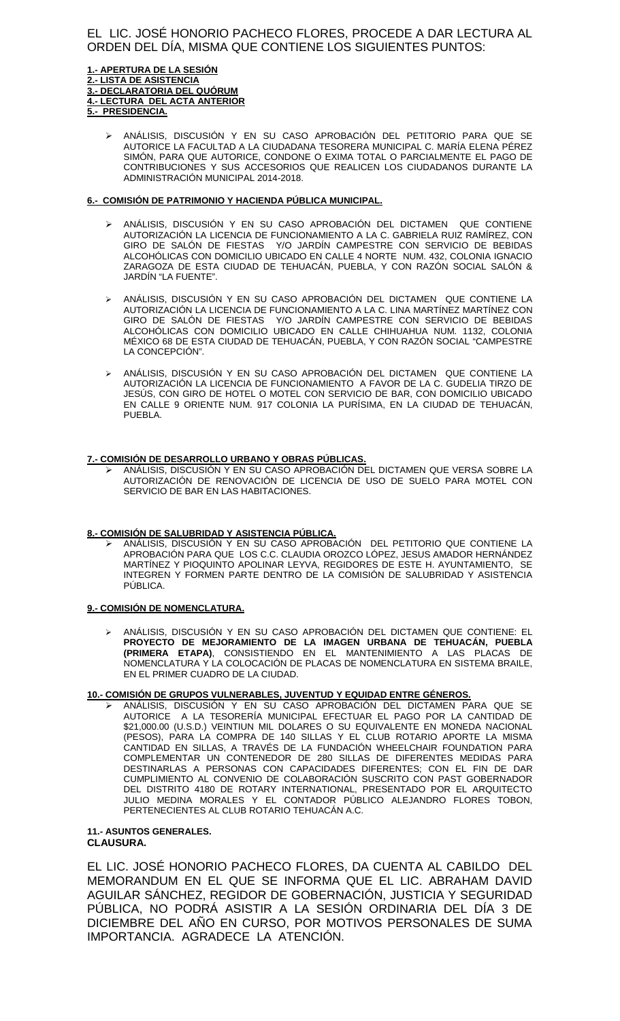# EL LIC. JOSÉ HONORIO PACHECO FLORES, PROCEDE A DAR LECTURA AL ORDEN DEL DÍA, MISMA QUE CONTIENE LOS SIGUIENTES PUNTOS:

#### **1.- APERTURA DE LA SESIÓN 2.- LISTA DE ASISTENCIA 3.- DECLARATORIA DEL QUÓRUM 4.- LECTURA DEL ACTA ANTERIOR 5.- PRESIDENCIA.**

 ANÁLISIS, DISCUSIÓN Y EN SU CASO APROBACIÓN DEL PETITORIO PARA QUE SE AUTORICE LA FACULTAD A LA CIUDADANA TESORERA MUNICIPAL C. MARÍA ELENA PÉREZ SIMÓN, PARA QUE AUTORICE, CONDONE O EXIMA TOTAL O PARCIALMENTE EL PAGO DE CONTRIBUCIONES Y SUS ACCESORIOS QUE REALICEN LOS CIUDADANOS DURANTE LA ADMINISTRACIÓN MUNICIPAL 2014-2018.

### **6.- COMISIÓN DE PATRIMONIO Y HACIENDA PÚBLICA MUNICIPAL.**

- ANÁLISIS, DISCUSIÓN Y EN SU CASO APROBACIÓN DEL DICTAMEN QUE CONTIENE AUTORIZACIÓN LA LICENCIA DE FUNCIONAMIENTO A LA C. GABRIELA RUIZ RAMÍREZ, CON GIRO DE SALÓN DE FIESTAS Y/O JARDÍN CAMPESTRE CON SERVICIO DE BEBIDAS ALCOHÓLICAS CON DOMICILIO UBICADO EN CALLE 4 NORTE NUM. 432, COLONIA IGNACIO ZARAGOZA DE ESTA CIUDAD DE TEHUACÁN, PUEBLA, Y CON RAZÓN SOCIAL SALÓN & JARDÍN "LA FUENTE".
- ANÁLISIS, DISCUSIÓN Y EN SU CASO APROBACIÓN DEL DICTAMEN QUE CONTIENE LA AUTORIZACIÓN LA LICENCIA DE FUNCIONAMIENTO A LA C. LINA MARTÍNEZ MARTÍNEZ CON GIRO DE SALÓN DE FIESTAS Y/O JARDÍN CAMPESTRE CON SERVICIO DE BEBIDAS ALCOHÓLICAS CON DOMICILIO UBICADO EN CALLE CHIHUAHUA NUM. 1132, COLONIA MÉXICO 68 DE ESTA CIUDAD DE TEHUACÁN, PUEBLA, Y CON RAZÓN SOCIAL "CAMPESTRE LA CONCEPCION".
- ANÁLISIS, DISCUSIÓN Y EN SU CASO APROBACIÓN DEL DICTAMEN QUE CONTIENE LA AUTORIZACIÓN LA LICENCIA DE FUNCIONAMIENTO A FAVOR DE LA C. GUDELIA TIRZO DE JESÚS, CON GIRO DE HOTEL O MOTEL CON SERVICIO DE BAR, CON DOMICILIO UBICADO EN CALLE 9 ORIENTE NUM. 917 COLONIA LA PURÍSIMA, EN LA CIUDAD DE TEHUACÁN, PUEBLA.

### **7.- COMISIÓN DE DESARROLLO URBANO Y OBRAS PÚBLICAS.**

 ANÁLISIS, DISCUSIÓN Y EN SU CASO APROBACIÓN DEL DICTAMEN QUE VERSA SOBRE LA AUTORIZACIÓN DE RENOVACIÓN DE LICENCIA DE USO DE SUELO PARA MOTEL CON SERVICIO DE BAR EN LAS HABITACIONES.

#### **8.- COMISIÓN DE SALUBRIDAD Y ASISTENCIA PÚBLICA.**

 ANÁLISIS, DISCUSIÓN Y EN SU CASO APROBACIÓN DEL PETITORIO QUE CONTIENE LA APROBACIÓN PARA QUE LOS C.C. CLAUDIA OROZCO LÓPEZ, JESUS AMADOR HERNÁNDEZ MARTÍNEZ Y PIOQUINTO APOLINAR LEYVA, REGIDORES DE ESTE H. AYUNTAMIENTO, SE INTEGREN Y FORMEN PARTE DENTRO DE LA COMISIÓN DE SALUBRIDAD Y ASISTENCIA PÚBLICA.

#### **9.- COMISIÓN DE NOMENCLATURA.**

 ANÁLISIS, DISCUSIÓN Y EN SU CASO APROBACIÓN DEL DICTAMEN QUE CONTIENE: EL **PROYECTO DE MEJORAMIENTO DE LA IMAGEN URBANA DE TEHUACÁN, PUEBLA (PRIMERA ETAPA)**, CONSISTIENDO EN EL MANTENIMIENTO A LAS PLACAS DE NOMENCLATURA Y LA COLOCACIÓN DE PLACAS DE NOMENCLATURA EN SISTEMA BRAILE, EN EL PRIMER CUADRO DE LA CIUDAD.

### **10.- COMISIÓN DE GRUPOS VULNERABLES, JUVENTUD Y EQUIDAD ENTRE GÉNEROS.**

 ANÁLISIS, DISCUSIÓN Y EN SU CASO APROBACIÓN DEL DICTAMEN PARA QUE SE AUTORICE A LA TESORERÍA MUNICIPAL EFECTUAR EL PAGO POR LA CANTIDAD DE \$21,000.00 (U.S.D.) VEINTIUN MIL DOLARES O SU EQUIVALENTE EN MONEDA NACIONAL (PESOS), PARA LA COMPRA DE 140 SILLAS Y EL CLUB ROTARIO APORTE LA MISMA CANTIDAD EN SILLAS, A TRAVÉS DE LA FUNDACIÓN WHEELCHAIR FOUNDATION PARA COMPLEMENTAR UN CONTENEDOR DE 280 SILLAS DE DIFERENTES MEDIDAS PARA DESTINARLAS A PERSONAS CON CAPACIDADES DIFERENTES; CON EL FIN DE DAR CUMPLIMIENTO AL CONVENIO DE COLABORACIÓN SUSCRITO CON PAST GOBERNADOR DEL DISTRITO 4180 DE ROTARY INTERNATIONAL, PRESENTADO POR EL ARQUITECTO JULIO MEDINA MORALES Y EL CONTADOR PÚBLICO ALEJANDRO FLORES TOBON, PERTENECIENTES AL CLUB ROTARIO TEHUACÁN A.C.

# **11.- ASUNTOS GENERALES.**

# **CLAUSURA.**

EL LIC. JOSÉ HONORIO PACHECO FLORES, DA CUENTA AL CABILDO DEL MEMORANDUM EN EL QUE SE INFORMA QUE EL LIC. ABRAHAM DAVID AGUILAR SÁNCHEZ, REGIDOR DE GOBERNACIÓN, JUSTICIA Y SEGURIDAD PÚBLICA, NO PODRÁ ASISTIR A LA SESIÓN ORDINARIA DEL DÍA 3 DE DICIEMBRE DEL AÑO EN CURSO, POR MOTIVOS PERSONALES DE SUMA IMPORTANCIA. AGRADECE LA ATENCIÓN.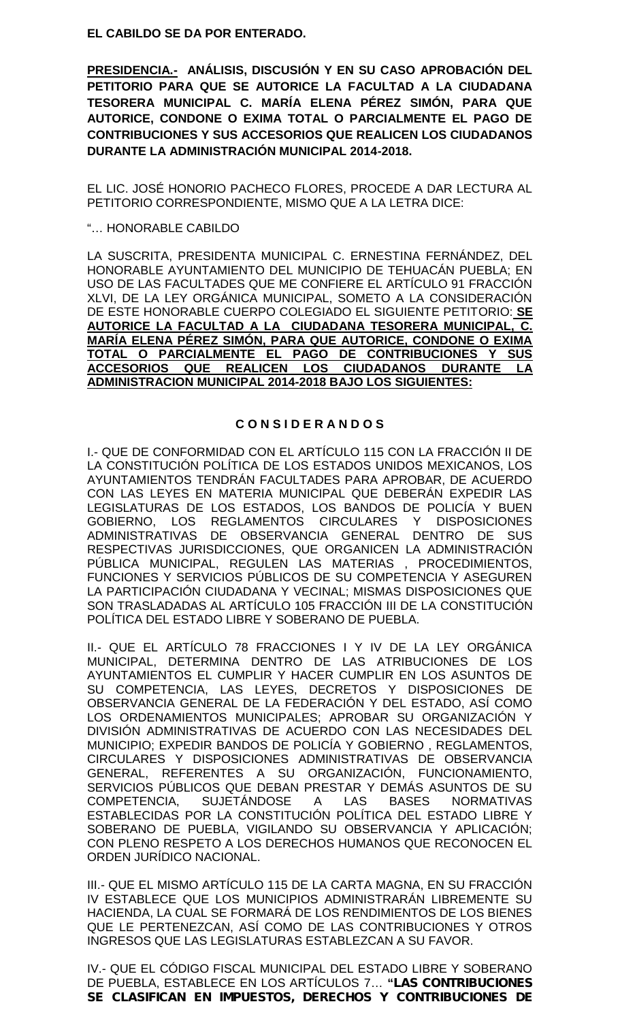**EL CABILDO SE DA POR ENTERADO.**

**PRESIDENCIA.- ANÁLISIS, DISCUSIÓN Y EN SU CASO APROBACIÓN DEL PETITORIO PARA QUE SE AUTORICE LA FACULTAD A LA CIUDADANA TESORERA MUNICIPAL C. MARÍA ELENA PÉREZ SIMÓN, PARA QUE AUTORICE, CONDONE O EXIMA TOTAL O PARCIALMENTE EL PAGO DE CONTRIBUCIONES Y SUS ACCESORIOS QUE REALICEN LOS CIUDADANOS DURANTE LA ADMINISTRACIÓN MUNICIPAL 2014-2018.**

EL LIC. JOSÉ HONORIO PACHECO FLORES, PROCEDE A DAR LECTURA AL PETITORIO CORRESPONDIENTE, MISMO QUE A LA LETRA DICE:

# "… HONORABLE CABILDO

LA SUSCRITA, PRESIDENTA MUNICIPAL C. ERNESTINA FERNÁNDEZ, DEL HONORABLE AYUNTAMIENTO DEL MUNICIPIO DE TEHUACÁN PUEBLA; EN USO DE LAS FACULTADES QUE ME CONFIERE EL ARTÍCULO 91 FRACCIÓN XLVI, DE LA LEY ORGÁNICA MUNICIPAL, SOMETO A LA CONSIDERACIÓN DE ESTE HONORABLE CUERPO COLEGIADO EL SIGUIENTE PETITORIO: **SE AUTORICE LA FACULTAD A LA CIUDADANA TESORERA MUNICIPAL, C. MARÍA ELENA PÉREZ SIMÓN, PARA QUE AUTORICE, CONDONE O EXIMA TOTAL O PARCIALMENTE EL PAGO DE CONTRIBUCIONES Y SUS ACCESORIOS QUE REALICEN LOS CIUDADANOS DURANTE LA ADMINISTRACION MUNICIPAL 2014-2018 BAJO LOS SIGUIENTES:**

# **C O N S I D E R A N D O S**

I.- QUE DE CONFORMIDAD CON EL ARTÍCULO 115 CON LA FRACCIÓN II DE LA CONSTITUCIÓN POLÍTICA DE LOS ESTADOS UNIDOS MEXICANOS, LOS AYUNTAMIENTOS TENDRÁN FACULTADES PARA APROBAR, DE ACUERDO CON LAS LEYES EN MATERIA MUNICIPAL QUE DEBERÁN EXPEDIR LAS LEGISLATURAS DE LOS ESTADOS, LOS BANDOS DE POLICÍA Y BUEN GOBIERNO, LOS REGLAMENTOS CIRCULARES Y DISPOSICIONES ADMINISTRATIVAS DE OBSERVANCIA GENERAL DENTRO DE SUS RESPECTIVAS JURISDICCIONES, QUE ORGANICEN LA ADMINISTRACIÓN PÚBLICA MUNICIPAL, REGULEN LAS MATERIAS , PROCEDIMIENTOS, FUNCIONES Y SERVICIOS PÚBLICOS DE SU COMPETENCIA Y ASEGUREN LA PARTICIPACIÓN CIUDADANA Y VECINAL; MISMAS DISPOSICIONES QUE SON TRASLADADAS AL ARTÍCULO 105 FRACCIÓN III DE LA CONSTITUCIÓN POLÍTICA DEL ESTADO LIBRE Y SOBERANO DE PUEBLA.

II.- QUE EL ARTÍCULO 78 FRACCIONES I Y IV DE LA LEY ORGÁNICA MUNICIPAL, DETERMINA DENTRO DE LAS ATRIBUCIONES DE LOS AYUNTAMIENTOS EL CUMPLIR Y HACER CUMPLIR EN LOS ASUNTOS DE SU COMPETENCIA, LAS LEYES, DECRETOS Y DISPOSICIONES DE OBSERVANCIA GENERAL DE LA FEDERACIÓN Y DEL ESTADO, ASÍ COMO LOS ORDENAMIENTOS MUNICIPALES; APROBAR SU ORGANIZACIÓN Y DIVISIÓN ADMINISTRATIVAS DE ACUERDO CON LAS NECESIDADES DEL MUNICIPIO; EXPEDIR BANDOS DE POLICÍA Y GOBIERNO , REGLAMENTOS, CIRCULARES Y DISPOSICIONES ADMINISTRATIVAS DE OBSERVANCIA GENERAL, REFERENTES A SU ORGANIZACIÓN, FUNCIONAMIENTO, SERVICIOS PÚBLICOS QUE DEBAN PRESTAR Y DEMÁS ASUNTOS DE SU<br>COMPETENCIA, SUJETÁNDOSE A LAS BASES NORMATIVAS SUJETÁNDOSE A LAS BASES NORMATIVAS ESTABLECIDAS POR LA CONSTITUCIÓN POLÍTICA DEL ESTADO LIBRE Y SOBERANO DE PUEBLA, VIGILANDO SU OBSERVANCIA Y APLICACIÓN; CON PLENO RESPETO A LOS DERECHOS HUMANOS QUE RECONOCEN EL ORDEN JURÍDICO NACIONAL.

III.- QUE EL MISMO ARTÍCULO 115 DE LA CARTA MAGNA, EN SU FRACCIÓN IV ESTABLECE QUE LOS MUNICIPIOS ADMINISTRARÁN LIBREMENTE SU HACIENDA, LA CUAL SE FORMARÁ DE LOS RENDIMIENTOS DE LOS BIENES QUE LE PERTENEZCAN, ASÍ COMO DE LAS CONTRIBUCIONES Y OTROS INGRESOS QUE LAS LEGISLATURAS ESTABLEZCAN A SU FAVOR.

IV.- QUE EL CÓDIGO FISCAL MUNICIPAL DEL ESTADO LIBRE Y SOBERANO DE PUEBLA, ESTABLECE EN LOS ARTÍCULOS 7… **"***LAS CONTRIBUCIONES SE CLASIFICAN EN IMPUESTOS, DERECHOS Y CONTRIBUCIONES DE*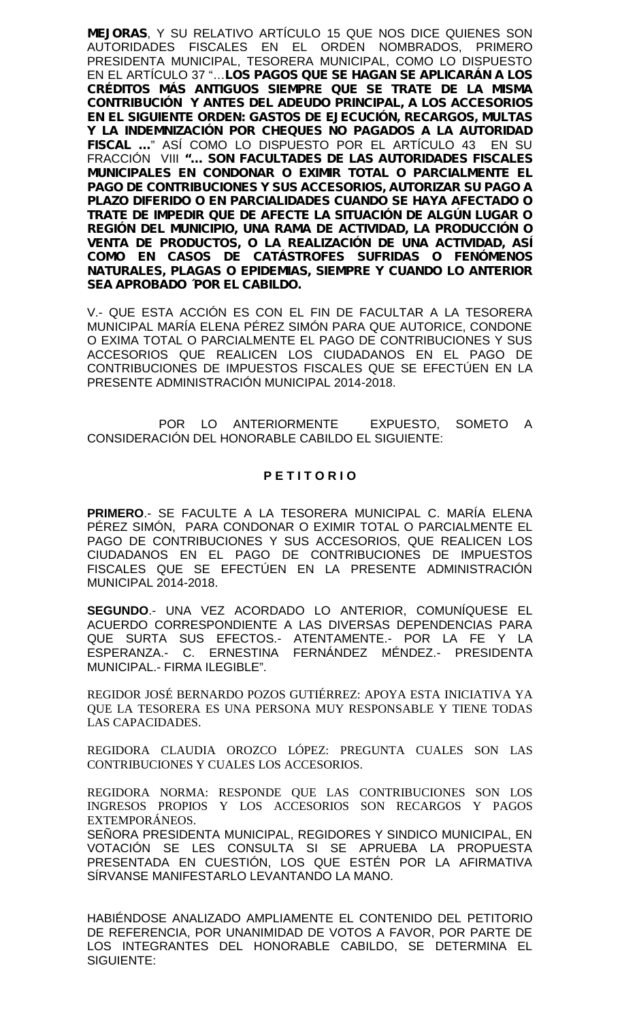*MEJORAS*, Y SU RELATIVO ARTÍCULO 15 QUE NOS DICE QUIENES SON AUTORIDADES FISCALES EN EL ORDEN NOMBRADOS, PRIMERO PRESIDENTA MUNICIPAL, TESORERA MUNICIPAL, COMO LO DISPUESTO EN EL ARTÍCULO 37 "…*LOS PAGOS QUE SE HAGAN SE APLICARÁN A LOS CRÉDITOS MÁS ANTIGUOS SIEMPRE QUE SE TRATE DE LA MISMA CONTRIBUCIÓN Y ANTES DEL ADEUDO PRINCIPAL, A LOS ACCESORIOS EN EL SIGUIENTE ORDEN: GASTOS DE EJECUCIÓN, RECARGOS, MULTAS Y LA INDEMNIZACIÓN POR CHEQUES NO PAGADOS A LA AUTORIDAD FISCAL …*" ASÍ COMO LO DISPUESTO POR EL ARTÍCULO 43 EN SU FRACCIÓN VIII *"… SON FACULTADES DE LAS AUTORIDADES FISCALES MUNICIPALES EN CONDONAR O EXIMIR TOTAL O PARCIALMENTE EL PAGO DE CONTRIBUCIONES Y SUS ACCESORIOS, AUTORIZAR SU PAGO A PLAZO DIFERIDO O EN PARCIALIDADES CUANDO SE HAYA AFECTADO O TRATE DE IMPEDIR QUE DE AFECTE LA SITUACIÓN DE ALGÚN LUGAR O REGIÓN DEL MUNICIPIO, UNA RAMA DE ACTIVIDAD, LA PRODUCCIÓN O VENTA DE PRODUCTOS, O LA REALIZACIÓN DE UNA ACTIVIDAD, ASÍ COMO EN CASOS DE CATÁSTROFES SUFRIDAS O FENÓMENOS NATURALES, PLAGAS O EPIDEMIAS, SIEMPRE Y CUANDO LO ANTERIOR SEA APROBADO ´POR EL CABILDO.*

V.- QUE ESTA ACCIÓN ES CON EL FIN DE FACULTAR A LA TESORERA MUNICIPAL MARÍA ELENA PÉREZ SIMÓN PARA QUE AUTORICE, CONDONE O EXIMA TOTAL O PARCIALMENTE EL PAGO DE CONTRIBUCIONES Y SUS ACCESORIOS QUE REALICEN LOS CIUDADANOS EN EL PAGO DE CONTRIBUCIONES DE IMPUESTOS FISCALES QUE SE EFECTÚEN EN LA PRESENTE ADMINISTRACIÓN MUNICIPAL 2014-2018.

POR LO ANTERIORMENTE EXPUESTO, SOMETO A CONSIDERACIÓN DEL HONORABLE CABILDO EL SIGUIENTE:

# **P E T I T O R I O**

**PRIMERO**.- SE FACULTE A LA TESORERA MUNICIPAL C. MARÍA ELENA PÉREZ SIMÓN, PARA CONDONAR O EXIMIR TOTAL O PARCIALMENTE EL PAGO DE CONTRIBUCIONES Y SUS ACCESORIOS, QUE REALICEN LOS CIUDADANOS EN EL PAGO DE CONTRIBUCIONES DE IMPUESTOS FISCALES QUE SE EFECTÚEN EN LA PRESENTE ADMINISTRACIÓN MUNICIPAL 2014-2018.

**SEGUNDO**.- UNA VEZ ACORDADO LO ANTERIOR, COMUNÍQUESE EL ACUERDO CORRESPONDIENTE A LAS DIVERSAS DEPENDENCIAS PARA QUE SURTA SUS EFECTOS.- ATENTAMENTE.- POR LA FE Y LA ESPERANZA.- C. ERNESTINA FERNÁNDEZ MÉNDEZ.- PRESIDENTA MUNICIPAL.- FIRMA ILEGIBLE".

REGIDOR JOSÉ BERNARDO POZOS GUTIÉRREZ: APOYA ESTA INICIATIVA YA QUE LA TESORERA ES UNA PERSONA MUY RESPONSABLE Y TIENE TODAS LAS CAPACIDADES.

REGIDORA CLAUDIA OROZCO LÓPEZ: PREGUNTA CUALES SON LAS CONTRIBUCIONES Y CUALES LOS ACCESORIOS.

REGIDORA NORMA: RESPONDE QUE LAS CONTRIBUCIONES SON LOS INGRESOS PROPIOS Y LOS ACCESORIOS SON RECARGOS Y PAGOS EXTEMPORÁNEOS.

SEÑORA PRESIDENTA MUNICIPAL, REGIDORES Y SINDICO MUNICIPAL, EN VOTACIÓN SE LES CONSULTA SI SE APRUEBA LA PROPUESTA PRESENTADA EN CUESTIÓN, LOS QUE ESTÉN POR LA AFIRMATIVA SÍRVANSE MANIFESTARLO LEVANTANDO LA MANO.

HABIÉNDOSE ANALIZADO AMPLIAMENTE EL CONTENIDO DEL PETITORIO DE REFERENCIA, POR UNANIMIDAD DE VOTOS A FAVOR, POR PARTE DE LOS INTEGRANTES DEL HONORABLE CABILDO, SE DETERMINA EL SIGUIENTE: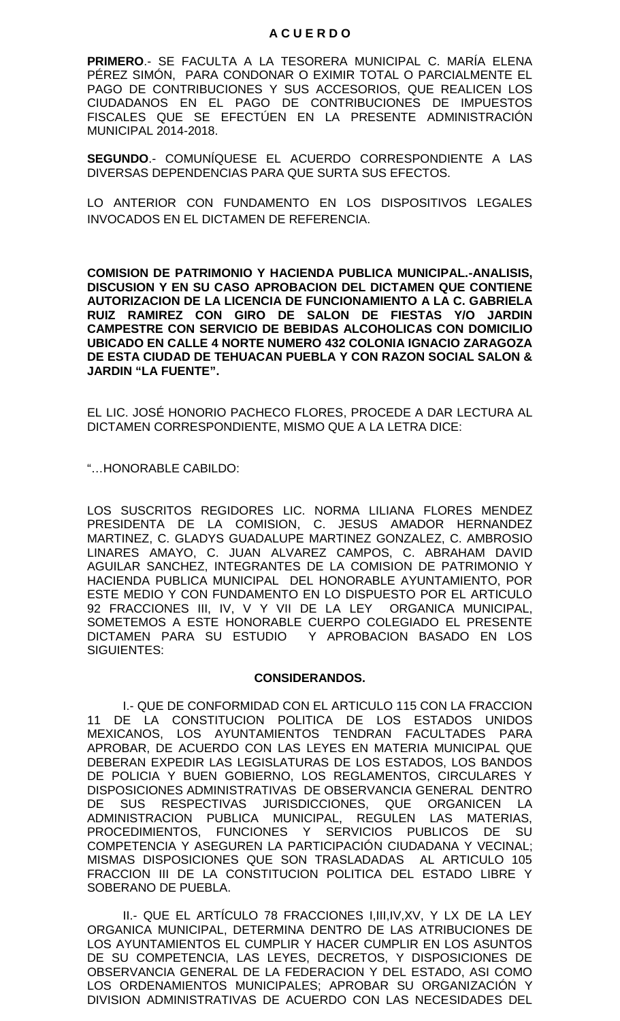# **A C U E R D O**

**PRIMERO**.- SE FACULTA A LA TESORERA MUNICIPAL C. MARÍA ELENA PÉREZ SIMÓN, PARA CONDONAR O EXIMIR TOTAL O PARCIALMENTE EL PAGO DE CONTRIBUCIONES Y SUS ACCESORIOS, QUE REALICEN LOS CIUDADANOS EN EL PAGO DE CONTRIBUCIONES DE IMPUESTOS FISCALES QUE SE EFECTÚEN EN LA PRESENTE ADMINISTRACIÓN MUNICIPAL 2014-2018.

**SEGUNDO**.- COMUNÍQUESE EL ACUERDO CORRESPONDIENTE A LAS DIVERSAS DEPENDENCIAS PARA QUE SURTA SUS EFECTOS.

LO ANTERIOR CON FUNDAMENTO EN LOS DISPOSITIVOS LEGALES INVOCADOS EN EL DICTAMEN DE REFERENCIA.

**COMISION DE PATRIMONIO Y HACIENDA PUBLICA MUNICIPAL.-ANALISIS, DISCUSION Y EN SU CASO APROBACION DEL DICTAMEN QUE CONTIENE AUTORIZACION DE LA LICENCIA DE FUNCIONAMIENTO A LA C. GABRIELA RUIZ RAMIREZ CON GIRO DE SALON DE FIESTAS Y/O JARDIN CAMPESTRE CON SERVICIO DE BEBIDAS ALCOHOLICAS CON DOMICILIO UBICADO EN CALLE 4 NORTE NUMERO 432 COLONIA IGNACIO ZARAGOZA DE ESTA CIUDAD DE TEHUACAN PUEBLA Y CON RAZON SOCIAL SALON & JARDIN "LA FUENTE".**

EL LIC. JOSÉ HONORIO PACHECO FLORES, PROCEDE A DAR LECTURA AL DICTAMEN CORRESPONDIENTE, MISMO QUE A LA LETRA DICE:

"…HONORABLE CABILDO:

LOS SUSCRITOS REGIDORES LIC. NORMA LILIANA FLORES MENDEZ PRESIDENTA DE LA COMISION, C. JESUS AMADOR HERNANDEZ MARTINEZ, C. GLADYS GUADALUPE MARTINEZ GONZALEZ, C. AMBROSIO LINARES AMAYO, C. JUAN ALVAREZ CAMPOS, C. ABRAHAM DAVID AGUILAR SANCHEZ, INTEGRANTES DE LA COMISION DE PATRIMONIO Y HACIENDA PUBLICA MUNICIPAL DEL HONORABLE AYUNTAMIENTO, POR ESTE MEDIO Y CON FUNDAMENTO EN LO DISPUESTO POR EL ARTICULO 92 FRACCIONES III, IV, V Y VII DE LA LEY ORGANICA MUNICIPAL, SOMETEMOS A ESTE HONORABLE CUERPO COLEGIADO EL PRESENTE DICTAMEN PARA SU ESTUDIO Y APROBACION BASADO EN LOS SIGUIENTES:

# **CONSIDERANDOS.**

I.- QUE DE CONFORMIDAD CON EL ARTICULO 115 CON LA FRACCION 11 DE LA CONSTITUCION POLITICA DE LOS ESTADOS UNIDOS MEXICANOS, LOS AYUNTAMIENTOS TENDRAN FACULTADES PARA APROBAR, DE ACUERDO CON LAS LEYES EN MATERIA MUNICIPAL QUE DEBERAN EXPEDIR LAS LEGISLATURAS DE LOS ESTADOS, LOS BANDOS DE POLICIA Y BUEN GOBIERNO, LOS REGLAMENTOS, CIRCULARES Y DISPOSICIONES ADMINISTRATIVAS DE OBSERVANCIA GENERAL DENTRO DE SUS RESPECTIVAS JURISDICCIONES, QUE ORGANICEN LA ADMINISTRACION PUBLICA MUNICIPAL, REGULEN LAS MATERIAS, PROCEDIMIENTOS, FUNCIONES Y SERVICIOS PUBLICOS DE SU COMPETENCIA Y ASEGUREN LA PARTICIPACIÓN CIUDADANA Y VECINAL; MISMAS DISPOSICIONES QUE SON TRASLADADAS AL ARTICULO 105 FRACCION III DE LA CONSTITUCION POLITICA DEL ESTADO LIBRE Y SOBERANO DE PUEBLA.

II.- QUE EL ARTÍCULO 78 FRACCIONES I,III,IV,XV, Y LX DE LA LEY ORGANICA MUNICIPAL, DETERMINA DENTRO DE LAS ATRIBUCIONES DE LOS AYUNTAMIENTOS EL CUMPLIR Y HACER CUMPLIR EN LOS ASUNTOS DE SU COMPETENCIA, LAS LEYES, DECRETOS, Y DISPOSICIONES DE OBSERVANCIA GENERAL DE LA FEDERACION Y DEL ESTADO, ASI COMO LOS ORDENAMIENTOS MUNICIPALES; APROBAR SU ORGANIZACIÓN Y DIVISION ADMINISTRATIVAS DE ACUERDO CON LAS NECESIDADES DEL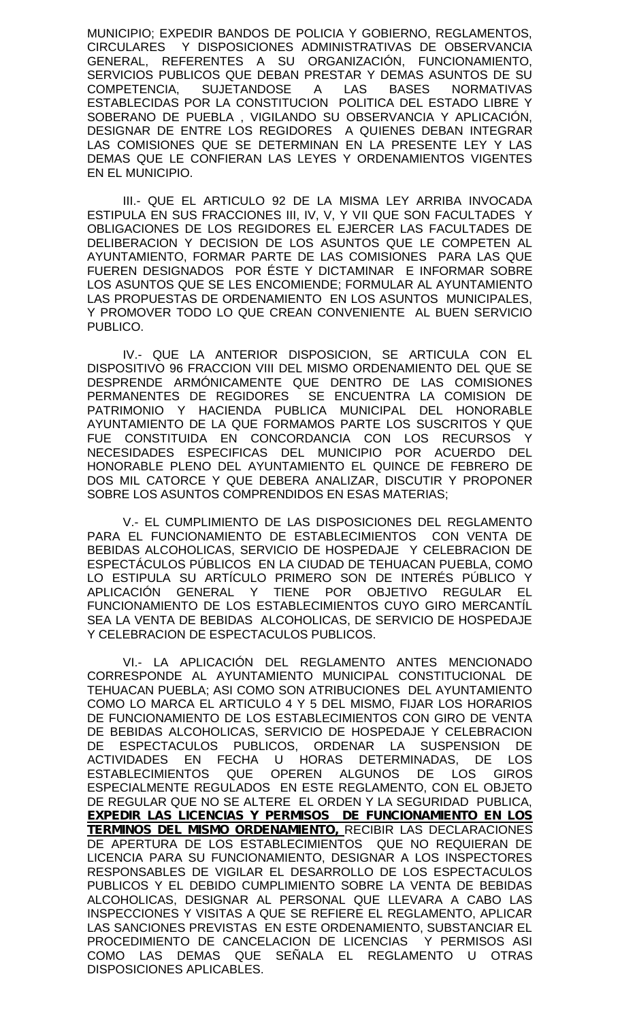MUNICIPIO; EXPEDIR BANDOS DE POLICIA Y GOBIERNO, REGLAMENTOS, CIRCULARES Y DISPOSICIONES ADMINISTRATIVAS DE OBSERVANCIA GENERAL, REFERENTES A SU ORGANIZACIÓN, FUNCIONAMIENTO, SERVICIOS PUBLICOS QUE DEBAN PRESTAR Y DEMAS ASUNTOS DE SU COMPETENCIA, SUJETANDOSE A LAS BASES NORMATIVAS ESTABLECIDAS POR LA CONSTITUCION POLITICA DEL ESTADO LIBRE Y SOBERANO DE PUEBLA , VIGILANDO SU OBSERVANCIA Y APLICACIÓN, DESIGNAR DE ENTRE LOS REGIDORES A QUIENES DEBAN INTEGRAR LAS COMISIONES QUE SE DETERMINAN EN LA PRESENTE LEY Y LAS DEMAS QUE LE CONFIERAN LAS LEYES Y ORDENAMIENTOS VIGENTES EN EL MUNICIPIO.

III.- QUE EL ARTICULO 92 DE LA MISMA LEY ARRIBA INVOCADA ESTIPULA EN SUS FRACCIONES III, IV, V, Y VII QUE SON FACULTADES Y OBLIGACIONES DE LOS REGIDORES EL EJERCER LAS FACULTADES DE DELIBERACION Y DECISION DE LOS ASUNTOS QUE LE COMPETEN AL AYUNTAMIENTO, FORMAR PARTE DE LAS COMISIONES PARA LAS QUE FUEREN DESIGNADOS POR ÉSTE Y DICTAMINAR E INFORMAR SOBRE LOS ASUNTOS QUE SE LES ENCOMIENDE; FORMULAR AL AYUNTAMIENTO LAS PROPUESTAS DE ORDENAMIENTO EN LOS ASUNTOS MUNICIPALES, Y PROMOVER TODO LO QUE CREAN CONVENIENTE AL BUEN SERVICIO PUBLICO.

IV.- QUE LA ANTERIOR DISPOSICION, SE ARTICULA CON EL DISPOSITIVO 96 FRACCION VIII DEL MISMO ORDENAMIENTO DEL QUE SE DESPRENDE ARMÓNICAMENTE QUE DENTRO DE LAS COMISIONES PERMANENTES DE REGIDORES SE ENCUENTRA LA COMISION DE PATRIMONIO Y HACIENDA PUBLICA MUNICIPAL DEL HONORABLE AYUNTAMIENTO DE LA QUE FORMAMOS PARTE LOS SUSCRITOS Y QUE FUE CONSTITUIDA EN CONCORDANCIA CON LOS RECURSOS NECESIDADES ESPECIFICAS DEL MUNICIPIO POR ACUERDO DEL HONORABLE PLENO DEL AYUNTAMIENTO EL QUINCE DE FEBRERO DE DOS MIL CATORCE Y QUE DEBERA ANALIZAR, DISCUTIR Y PROPONER SOBRE LOS ASUNTOS COMPRENDIDOS EN ESAS MATERIAS;

V.- EL CUMPLIMIENTO DE LAS DISPOSICIONES DEL REGLAMENTO PARA EL FUNCIONAMIENTO DE ESTABLECIMIENTOS CON VENTA DE BEBIDAS ALCOHOLICAS, SERVICIO DE HOSPEDAJE Y CELEBRACION DE ESPECTÁCULOS PÚBLICOS EN LA CIUDAD DE TEHUACAN PUEBLA, COMO LO ESTIPULA SU ARTÍCULO PRIMERO SON DE INTERÉS PÚBLICO Y APLICACIÓN GENERAL Y TIENE POR OBJETIVO REGULAR EL FUNCIONAMIENTO DE LOS ESTABLECIMIENTOS CUYO GIRO MERCANTÍL SEA LA VENTA DE BEBIDAS ALCOHOLICAS, DE SERVICIO DE HOSPEDAJE Y CELEBRACION DE ESPECTACULOS PUBLICOS.

VI.- LA APLICACIÓN DEL REGLAMENTO ANTES MENCIONADO CORRESPONDE AL AYUNTAMIENTO MUNICIPAL CONSTITUCIONAL DE TEHUACAN PUEBLA; ASI COMO SON ATRIBUCIONES DEL AYUNTAMIENTO COMO LO MARCA EL ARTICULO 4 Y 5 DEL MISMO, FIJAR LOS HORARIOS DE FUNCIONAMIENTO DE LOS ESTABLECIMIENTOS CON GIRO DE VENTA DE BEBIDAS ALCOHOLICAS, SERVICIO DE HOSPEDAJE Y CELEBRACION DE ESPECTACULOS PUBLICOS, ORDENAR LA SUSPENSION DE ACTIVIDADES EN FECHA U HORAS DETERMINADAS, DE LOS<br>ESTABLECIMIENTOS QUE OPEREN ALGUNOS DE LOS GIROS OPEREN ALGUNOS DE LOS GIROS ESPECIALMENTE REGULADOS EN ESTE REGLAMENTO, CON EL OBJETO DE REGULAR QUE NO SE ALTERE EL ORDEN Y LA SEGURIDAD PUBLICA, *EXPEDIR LAS LICENCIAS Y PERMISOS DE FUNCIONAMIENTO EN LOS TERMINOS DEL MISMO ORDENAMIENTO,* RECIBIR LAS DECLARACIONES DE APERTURA DE LOS ESTABLECIMIENTOS QUE NO REQUIERAN DE LICENCIA PARA SU FUNCIONAMIENTO, DESIGNAR A LOS INSPECTORES RESPONSABLES DE VIGILAR EL DESARROLLO DE LOS ESPECTACULOS PUBLICOS Y EL DEBIDO CUMPLIMIENTO SOBRE LA VENTA DE BEBIDAS ALCOHOLICAS, DESIGNAR AL PERSONAL QUE LLEVARA A CABO LAS INSPECCIONES Y VISITAS A QUE SE REFIERE EL REGLAMENTO, APLICAR LAS SANCIONES PREVISTAS EN ESTE ORDENAMIENTO, SUBSTANCIAR EL PROCEDIMIENTO DE CANCELACION DE LICENCIAS Y PERMISOS ASI COMO LAS DEMAS QUE SENALA EL REGLAMENTO U OTRAS DISPOSICIONES APLICABLES.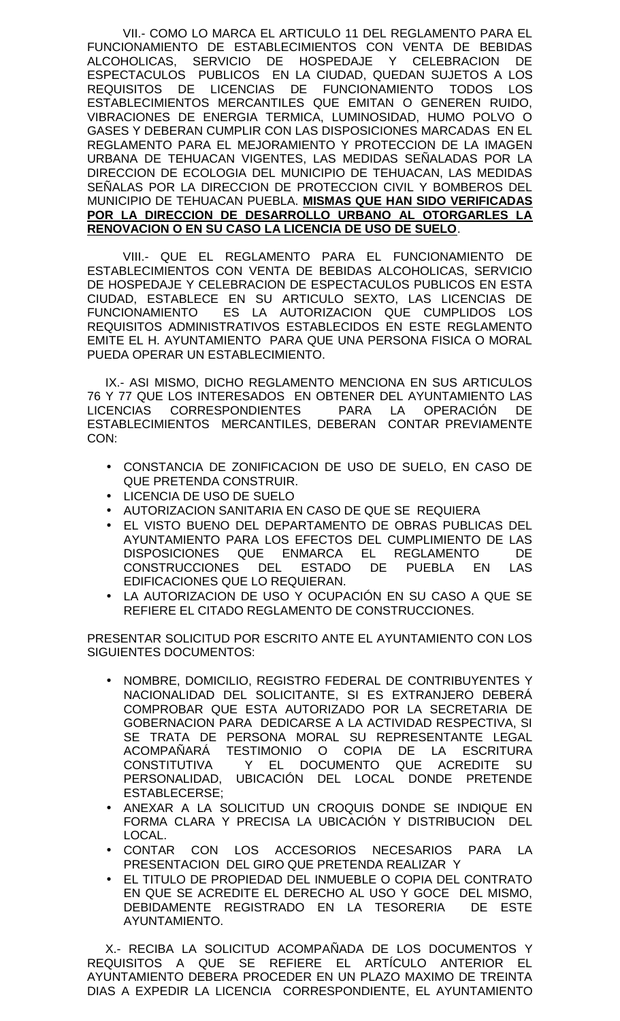VII.- COMO LO MARCA EL ARTICULO 11 DEL REGLAMENTO PARA EL FUNCIONAMIENTO DE ESTABLECIMIENTOS CON VENTA DE BEBIDAS ALCOHOLICAS, SERVICIO DE HOSPEDAJE Y CELEBRACION DE ESPECTACULOS PUBLICOS EN LA CIUDAD, QUEDAN SUJETOS A LOS REQUISITOS DE LICENCIAS DE FUNCIONAMIENTO TODOS LOS ESTABLECIMIENTOS MERCANTILES QUE EMITAN O GENEREN RUIDO, VIBRACIONES DE ENERGIA TERMICA, LUMINOSIDAD, HUMO POLVO O GASES Y DEBERAN CUMPLIR CON LAS DISPOSICIONES MARCADAS EN EL REGLAMENTO PARA EL MEJORAMIENTO Y PROTECCION DE LA IMAGEN URBANA DE TEHUACAN VIGENTES, LAS MEDIDAS SEÑALADAS POR LA DIRECCION DE ECOLOGIA DEL MUNICIPIO DE TEHUACAN, LAS MEDIDAS SEÑALAS POR LA DIRECCION DE PROTECCION CIVIL Y BOMBEROS DEL MUNICIPIO DE TEHUACAN PUEBLA. **MISMAS QUE HAN SIDO VERIFICADAS POR LA DIRECCION DE DESARROLLO URBANO AL OTORGARLES LA RENOVACION O EN SU CASO LA LICENCIA DE USO DE SUELO**.

VIII.- QUE EL REGLAMENTO PARA EL FUNCIONAMIENTO DE ESTABLECIMIENTOS CON VENTA DE BEBIDAS ALCOHOLICAS, SERVICIO DE HOSPEDAJE Y CELEBRACION DE ESPECTACULOS PUBLICOS EN ESTA CIUDAD, ESTABLECE EN SU ARTICULO SEXTO, LAS LICENCIAS DE FUNCIONAMIENTO ES LA AUTORIZACION QUE CUMPLIDOS LOS REQUISITOS ADMINISTRATIVOS ESTABLECIDOS EN ESTE REGLAMENTO EMITE EL H. AYUNTAMIENTO PARA QUE UNA PERSONA FISICA O MORAL PUEDA OPERAR UN ESTABLECIMIENTO.

IX.- ASI MISMO, DICHO REGLAMENTO MENCIONA EN SUS ARTICULOS 76 Y 77 QUE LOS INTERESADOS EN OBTENER DEL AYUNTAMIENTO LAS LICENCIAS CORRESPONDIENTES PARA LA OPERACIÓN DE ESTABLECIMIENTOS MERCANTILES, DEBERAN CONTAR PREVIAMENTE CON:

- CONSTANCIA DE ZONIFICACION DE USO DE SUELO, EN CASO DE QUE PRETENDA CONSTRUIR.
- LICENCIA DE USO DE SUELO
- AUTORIZACION SANITARIA EN CASO DE QUE SE REQUIERA
- EL VISTO BUENO DEL DEPARTAMENTO DE OBRAS PUBLICAS DEL AYUNTAMIENTO PARA LOS EFECTOS DEL CUMPLIMIENTO DE LAS DISPOSICIONES QUE ENMARCA EL REGLAMENTO DE CONSTRUCCIONES DEL ESTADO DE PUEBLA EN LAS EDIFICACIONES QUE LO REQUIERAN.
- LA AUTORIZACION DE USO Y OCUPACIÓN EN SU CASO A QUE SE REFIERE EL CITADO REGLAMENTO DE CONSTRUCCIONES.

PRESENTAR SOLICITUD POR ESCRITO ANTE EL AYUNTAMIENTO CON LOS SIGUIENTES DOCUMENTOS:

- NOMBRE, DOMICILIO, REGISTRO FEDERAL DE CONTRIBUYENTES Y NACIONALIDAD DEL SOLICITANTE, SI ES EXTRANJERO DEBERÁ COMPROBAR QUE ESTA AUTORIZADO POR LA SECRETARIA DE GOBERNACION PARA DEDICARSE A LA ACTIVIDAD RESPECTIVA, SI SE TRATA DE PERSONA MORAL SU REPRESENTANTE LEGAL ACOMPAÑARÁ TESTIMONIO O COPIA DE LA ESCRITURA CONSTITUTIVA Y EL DOCUMENTO QUE ACREDITE SU PERSONALIDAD, UBICACIÓN DEL LOCAL DONDE PRETENDE ESTABLECERSE;
- ANEXAR A LA SOLICITUD UN CROQUIS DONDE SE INDIQUE EN FORMA CLARA Y PRECISA LA UBICACIÓN Y DISTRIBUCION DEL LOCAL.
- CONTAR CON LOS ACCESORIOS NECESARIOS PARA LA PRESENTACION DEL GIRO QUE PRETENDA REALIZAR Y
- EL TITULO DE PROPIEDAD DEL INMUEBLE O COPIA DEL CONTRATO EN QUE SE ACREDITE EL DERECHO AL USO Y GOCE DEL MISMO, DEBIDAMENTE REGISTRADO EN LA TESORERIA DE ESTE AYUNTAMIENTO.

X.- RECIBA LA SOLICITUD ACOMPAÑADA DE LOS DOCUMENTOS Y REQUISITOS A QUE SE REFIERE EL ARTÍCULO ANTERIOR EL AYUNTAMIENTO DEBERA PROCEDER EN UN PLAZO MAXIMO DE TREINTA DIAS A EXPEDIR LA LICENCIA CORRESPONDIENTE, EL AYUNTAMIENTO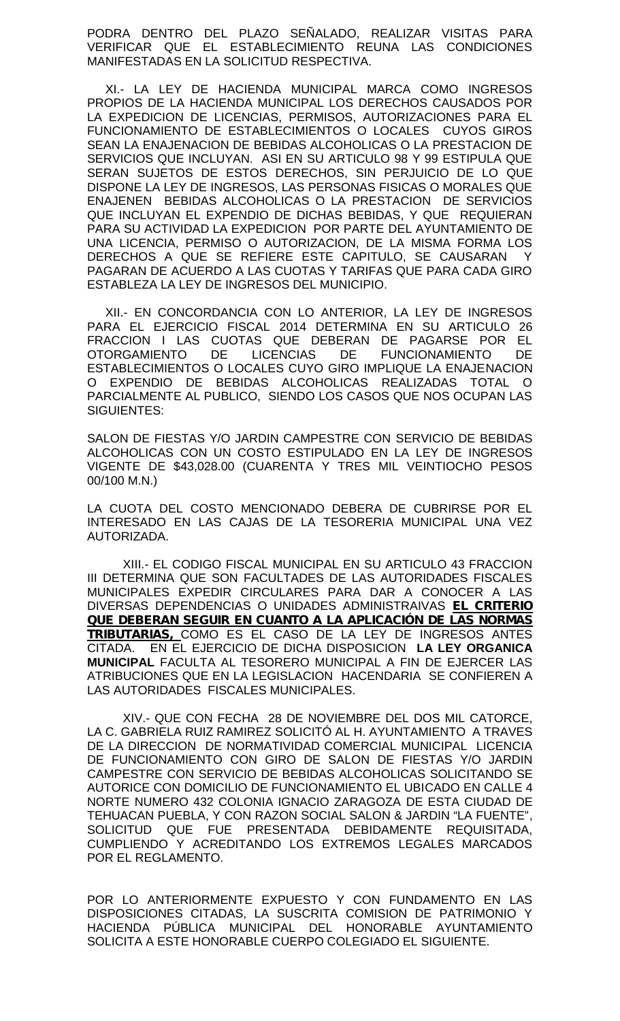PODRA DENTRO DEL PLAZO SEÑALADO, REALIZAR VISITAS PARA VERIFICAR QUE EL ESTABLECIMIENTO REUNA LAS CONDICIONES MANIFESTADAS EN LA SOLICITUD RESPECTIVA.

XI.- LA LEY DE HACIENDA MUNICIPAL MARCA COMO INGRESOS PROPIOS DE LA HACIENDA MUNICIPAL LOS DERECHOS CAUSADOS POR LA EXPEDICION DE LICENCIAS, PERMISOS, AUTORIZACIONES PARA EL FUNCIONAMIENTO DE ESTABLECIMIENTOS O LOCALES CUYOS GIROS SEAN LA ENAJENACION DE BEBIDAS ALCOHOLICAS O LA PRESTACION DE SERVICIOS QUE INCLUYAN. ASI EN SU ARTICULO 98 Y 99 ESTIPULA QUE SERAN SUJETOS DE ESTOS DERECHOS, SIN PERJUICIO DE LO QUE DISPONE LA LEY DE INGRESOS, LAS PERSONAS FISICAS O MORALES QUE ENAJENEN BEBIDAS ALCOHOLICAS O LA PRESTACION DE SERVICIOS QUE INCLUYAN EL EXPENDIO DE DICHAS BEBIDAS, Y QUE REQUIERAN PARA SU ACTIVIDAD LA EXPEDICION POR PARTE DEL AYUNTAMIENTO DE UNA LICENCIA, PERMISO O AUTORIZACION, DE LA MISMA FORMA LOS DERECHOS A QUE SE REFIERE ESTE CAPITULO, SE CAUSARAN Y PAGARAN DE ACUERDO A LAS CUOTAS Y TARIFAS QUE PARA CADA GIRO ESTABLEZA LA LEY DE INGRESOS DEL MUNICIPIO.

XII.- EN CONCORDANCIA CON LO ANTERIOR, LA LEY DE INGRESOS PARA EL EJERCICIO FISCAL 2014 DETERMINA EN SU ARTICULO 26 FRACCION I LAS CUOTAS QUE DEBERAN DE PAGARSE POR EL OTORGAMIENTO DE LICENCIAS DE FUNCIONAMIENTO DE ESTABLECIMIENTOS O LOCALES CUYO GIRO IMPLIQUE LA ENAJENACION O EXPENDIO DE BEBIDAS ALCOHOLICAS REALIZADAS TOTAL O PARCIALMENTE AL PUBLICO, SIENDO LOS CASOS QUE NOS OCUPAN LAS SIGUIENTES:

SALON DE FIESTAS Y/O JARDIN CAMPESTRE CON SERVICIO DE BEBIDAS ALCOHOLICAS CON UN COSTO ESTIPULADO EN LA LEY DE INGRESOS VIGENTE DE \$43,028.00 (CUARENTA Y TRES MIL VEINTIOCHO PESOS 00/100 M.N.)

LA CUOTA DEL COSTO MENCIONADO DEBERA DE CUBRIRSE POR EL INTERESADO EN LAS CAJAS DE LA TESORERIA MUNICIPAL UNA VEZ AUTORIZADA.

XIII.- EL CODIGO FISCAL MUNICIPAL EN SU ARTICULO 43 FRACCION III DETERMINA QUE SON FACULTADES DE LAS AUTORIDADES FISCALES MUNICIPALES EXPEDIR CIRCULARES PARA DAR A CONOCER A LAS DIVERSAS DEPENDENCIAS O UNIDADES ADMINISTRAIVAS *EL CRITERIO QUE DEBERAN SEGUIR EN CUANTO A LA APLICACIÓN DE LAS NORMAS TRIBUTARIAS,* COMO ES EL CASO DE LA LEY DE INGRESOS ANTES CITADA. EN EL EJERCICIO DE DICHA DISPOSICION **LA LEY ORGANICA MUNICIPAL** FACULTA AL TESORERO MUNICIPAL A FIN DE EJERCER LAS ATRIBUCIONES QUE EN LA LEGISLACION HACENDARIA SE CONFIEREN A LAS AUTORIDADES FISCALES MUNICIPALES.

XIV.- QUE CON FECHA 28 DE NOVIEMBRE DEL DOS MIL CATORCE, LA C. GABRIELA RUIZ RAMIREZ SOLICITÓ AL H. AYUNTAMIENTO A TRAVES DE LA DIRECCION DE NORMATIVIDAD COMERCIAL MUNICIPAL LICENCIA DE FUNCIONAMIENTO CON GIRO DE SALON DE FIESTAS Y/O JARDIN CAMPESTRE CON SERVICIO DE BEBIDAS ALCOHOLICAS SOLICITANDO SE AUTORICE CON DOMICILIO DE FUNCIONAMIENTO EL UBICADO EN CALLE 4 NORTE NUMERO 432 COLONIA IGNACIO ZARAGOZA DE ESTA CIUDAD DE TEHUACAN PUEBLA, Y CON RAZON SOCIAL SALON & JARDIN "LA FUENTE", SOLICITUD QUE FUE PRESENTADA DEBIDAMENTE REQUISITADA, CUMPLIENDO Y ACREDITANDO LOS EXTREMOS LEGALES MARCADOS POR EL REGLAMENTO.

POR LO ANTERIORMENTE EXPUESTO Y CON FUNDAMENTO EN LAS DISPOSICIONES CITADAS, LA SUSCRITA COMISION DE PATRIMONIO Y HACIENDA PÚBLICA MUNICIPAL DEL HONORABLE AYUNTAMIENTO SOLICITA A ESTE HONORABLE CUERPO COLEGIADO EL SIGUIENTE.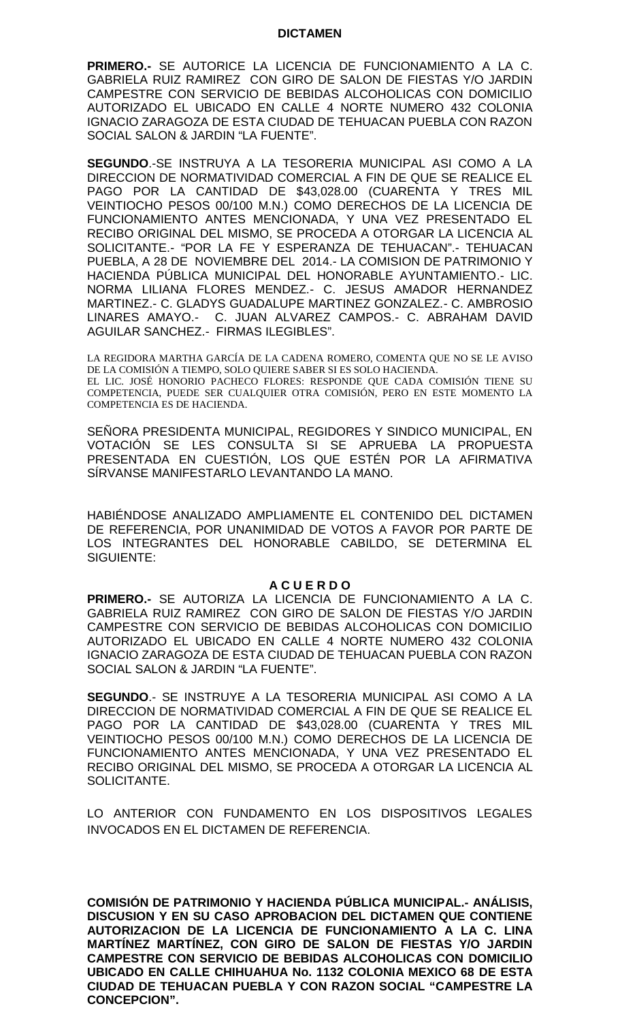### **DICTAMEN**

**PRIMERO.-** SE AUTORICE LA LICENCIA DE FUNCIONAMIENTO A LA C. GABRIELA RUIZ RAMIREZ CON GIRO DE SALON DE FIESTAS Y/O JARDIN CAMPESTRE CON SERVICIO DE BEBIDAS ALCOHOLICAS CON DOMICILIO AUTORIZADO EL UBICADO EN CALLE 4 NORTE NUMERO 432 COLONIA IGNACIO ZARAGOZA DE ESTA CIUDAD DE TEHUACAN PUEBLA CON RAZON SOCIAL SALON & JARDIN "LA FUENTE".

**SEGUNDO**.-SE INSTRUYA A LA TESORERIA MUNICIPAL ASI COMO A LA DIRECCION DE NORMATIVIDAD COMERCIAL A FIN DE QUE SE REALICE EL PAGO POR LA CANTIDAD DE \$43,028.00 (CUARENTA Y TRES MIL VEINTIOCHO PESOS 00/100 M.N.) COMO DERECHOS DE LA LICENCIA DE FUNCIONAMIENTO ANTES MENCIONADA, Y UNA VEZ PRESENTADO EL RECIBO ORIGINAL DEL MISMO, SE PROCEDA A OTORGAR LA LICENCIA AL SOLICITANTE.- "POR LA FE Y ESPERANZA DE TEHUACAN".- TEHUACAN PUEBLA, A 28 DE NOVIEMBRE DEL 2014.- LA COMISION DE PATRIMONIO Y HACIENDA PÚBLICA MUNICIPAL DEL HONORABLE AYUNTAMIENTO.- LIC. NORMA LILIANA FLORES MENDEZ.- C. JESUS AMADOR HERNANDEZ MARTINEZ.- C. GLADYS GUADALUPE MARTINEZ GONZALEZ.- C. AMBROSIO LINARES AMAYO.- C. JUAN ALVAREZ CAMPOS.- C. ABRAHAM DAVID AGUILAR SANCHEZ.- FIRMAS ILEGIBLES".

LA REGIDORA MARTHA GARCÍA DE LA CADENA ROMERO, COMENTA QUE NO SE LE AVISO DE LA COMISIÓN A TIEMPO, SOLO QUIERE SABER SI ES SOLO HACIENDA. EL LIC. JOSÉ HONORIO PACHECO FLORES: RESPONDE QUE CADA COMISIÓN TIENE SU COMPETENCIA, PUEDE SER CUALQUIER OTRA COMISIÓN, PERO EN ESTE MOMENTO LA COMPETENCIA ES DE HACIENDA.

SEÑORA PRESIDENTA MUNICIPAL, REGIDORES Y SINDICO MUNICIPAL, EN VOTACIÓN SE LES CONSULTA SI SE APRUEBA LA PROPUESTA PRESENTADA EN CUESTIÓN, LOS QUE ESTÉN POR LA AFIRMATIVA SÍRVANSE MANIFESTARLO LEVANTANDO LA MANO.

HABIÉNDOSE ANALIZADO AMPLIAMENTE EL CONTENIDO DEL DICTAMEN DE REFERENCIA, POR UNANIMIDAD DE VOTOS A FAVOR POR PARTE DE LOS INTEGRANTES DEL HONORABLE CABILDO, SE DETERMINA EL SIGUIENTE:

### **A C U E R D O**

**PRIMERO.-** SE AUTORIZA LA LICENCIA DE FUNCIONAMIENTO A LA C. GABRIELA RUIZ RAMIREZ CON GIRO DE SALON DE FIESTAS Y/O JARDIN CAMPESTRE CON SERVICIO DE BEBIDAS ALCOHOLICAS CON DOMICILIO AUTORIZADO EL UBICADO EN CALLE 4 NORTE NUMERO 432 COLONIA IGNACIO ZARAGOZA DE ESTA CIUDAD DE TEHUACAN PUEBLA CON RAZON SOCIAL SALON & JARDIN "LA FUENTE".

**SEGUNDO**.- SE INSTRUYE A LA TESORERIA MUNICIPAL ASI COMO A LA DIRECCION DE NORMATIVIDAD COMERCIAL A FIN DE QUE SE REALICE EL PAGO POR LA CANTIDAD DE \$43,028.00 (CUARENTA Y TRES MIL VEINTIOCHO PESOS 00/100 M.N.) COMO DERECHOS DE LA LICENCIA DE FUNCIONAMIENTO ANTES MENCIONADA, Y UNA VEZ PRESENTADO EL RECIBO ORIGINAL DEL MISMO, SE PROCEDA A OTORGAR LA LICENCIA AL SOLICITANTE.

LO ANTERIOR CON FUNDAMENTO EN LOS DISPOSITIVOS LEGALES INVOCADOS EN EL DICTAMEN DE REFERENCIA.

**COMISIÓN DE PATRIMONIO Y HACIENDA PÚBLICA MUNICIPAL.- ANÁLISIS, DISCUSION Y EN SU CASO APROBACION DEL DICTAMEN QUE CONTIENE AUTORIZACION DE LA LICENCIA DE FUNCIONAMIENTO A LA C. LINA MARTÍNEZ MARTÍNEZ, CON GIRO DE SALON DE FIESTAS Y/O JARDIN CAMPESTRE CON SERVICIO DE BEBIDAS ALCOHOLICAS CON DOMICILIO UBICADO EN CALLE CHIHUAHUA No. 1132 COLONIA MEXICO 68 DE ESTA CIUDAD DE TEHUACAN PUEBLA Y CON RAZON SOCIAL "CAMPESTRE LA CONCEPCION".**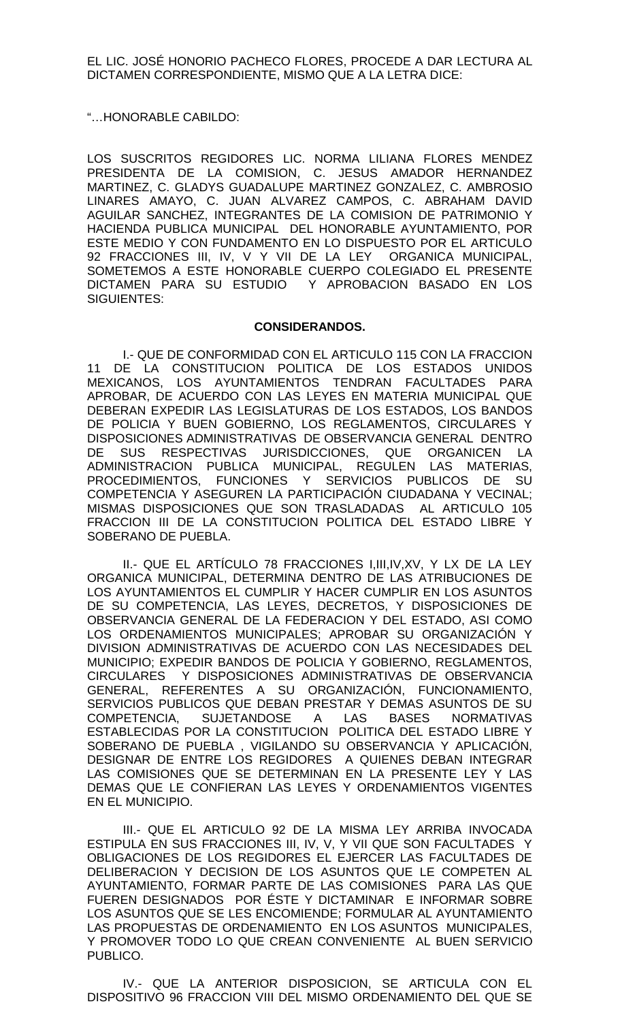EL LIC. JOSÉ HONORIO PACHECO FLORES, PROCEDE A DAR LECTURA AL DICTAMEN CORRESPONDIENTE, MISMO QUE A LA LETRA DICE:

"…HONORABLE CABILDO:

LOS SUSCRITOS REGIDORES LIC. NORMA LILIANA FLORES MENDEZ PRESIDENTA DE LA COMISION, C. JESUS AMADOR HERNANDEZ MARTINEZ, C. GLADYS GUADALUPE MARTINEZ GONZALEZ, C. AMBROSIO LINARES AMAYO, C. JUAN ALVAREZ CAMPOS, C. ABRAHAM DAVID AGUILAR SANCHEZ, INTEGRANTES DE LA COMISION DE PATRIMONIO Y HACIENDA PUBLICA MUNICIPAL DEL HONORABLE AYUNTAMIENTO, POR ESTE MEDIO Y CON FUNDAMENTO EN LO DISPUESTO POR EL ARTICULO 92 FRACCIONES III, IV, V Y VII DE LA LEY ORGANICA MUNICIPAL, SOMETEMOS A ESTE HONORABLE CUERPO COLEGIADO EL PRESENTE DICTAMEN PARA SU ESTUDIO Y APROBACION BASADO EN LOS SIGUIENTES:

# **CONSIDERANDOS.**

I.- QUE DE CONFORMIDAD CON EL ARTICULO 115 CON LA FRACCION 11 DE LA CONSTITUCION POLITICA DE LOS ESTADOS UNIDOS MEXICANOS, LOS AYUNTAMIENTOS TENDRAN FACULTADES PARA APROBAR, DE ACUERDO CON LAS LEYES EN MATERIA MUNICIPAL QUE DEBERAN EXPEDIR LAS LEGISLATURAS DE LOS ESTADOS, LOS BANDOS DE POLICIA Y BUEN GOBIERNO, LOS REGLAMENTOS, CIRCULARES Y DISPOSICIONES ADMINISTRATIVAS DE OBSERVANCIA GENERAL DENTRO DE SUS RESPECTIVAS JURISDICCIONES, QUE ORGANICEN LA ADMINISTRACION PUBLICA MUNICIPAL, REGULEN LAS MATERIAS, PROCEDIMIENTOS, FUNCIONES Y SERVICIOS PUBLICOS DE SU COMPETENCIA Y ASEGUREN LA PARTICIPACIÓN CIUDADANA Y VECINAL; MISMAS DISPOSICIONES QUE SON TRASLADADAS AL ARTICULO 105 FRACCION III DE LA CONSTITUCION POLITICA DEL ESTADO LIBRE Y SOBERANO DE PUEBLA.

II.- QUE EL ARTÍCULO 78 FRACCIONES I,III,IV,XV, Y LX DE LA LEY ORGANICA MUNICIPAL, DETERMINA DENTRO DE LAS ATRIBUCIONES DE LOS AYUNTAMIENTOS EL CUMPLIR Y HACER CUMPLIR EN LOS ASUNTOS DE SU COMPETENCIA, LAS LEYES, DECRETOS, Y DISPOSICIONES DE OBSERVANCIA GENERAL DE LA FEDERACION Y DEL ESTADO, ASI COMO LOS ORDENAMIENTOS MUNICIPALES; APROBAR SU ORGANIZACIÓN Y DIVISION ADMINISTRATIVAS DE ACUERDO CON LAS NECESIDADES DEL MUNICIPIO; EXPEDIR BANDOS DE POLICIA Y GOBIERNO, REGLAMENTOS, CIRCULARES Y DISPOSICIONES ADMINISTRATIVAS DE OBSERVANCIA GENERAL, REFERENTES A SU ORGANIZACIÓN, FUNCIONAMIENTO, SERVICIOS PUBLICOS QUE DEBAN PRESTAR Y DEMAS ASUNTOS DE SU COMPETENCIA, SUJETANDOSE A LAS BASES NORMATIVAS ESTABLECIDAS POR LA CONSTITUCION POLITICA DEL ESTADO LIBRE Y SOBERANO DE PUEBLA , VIGILANDO SU OBSERVANCIA Y APLICACIÓN, DESIGNAR DE ENTRE LOS REGIDORES A QUIENES DEBAN INTEGRAR LAS COMISIONES QUE SE DETERMINAN EN LA PRESENTE LEY Y LAS DEMAS QUE LE CONFIERAN LAS LEYES Y ORDENAMIENTOS VIGENTES EN EL MUNICIPIO.

III.- QUE EL ARTICULO 92 DE LA MISMA LEY ARRIBA INVOCADA ESTIPULA EN SUS FRACCIONES III, IV, V, Y VII QUE SON FACULTADES Y OBLIGACIONES DE LOS REGIDORES EL EJERCER LAS FACULTADES DE DELIBERACION Y DECISION DE LOS ASUNTOS QUE LE COMPETEN AL AYUNTAMIENTO, FORMAR PARTE DE LAS COMISIONES PARA LAS QUE FUEREN DESIGNADOS POR ÉSTE Y DICTAMINAR E INFORMAR SOBRE LOS ASUNTOS QUE SE LES ENCOMIENDE; FORMULAR AL AYUNTAMIENTO LAS PROPUESTAS DE ORDENAMIENTO EN LOS ASUNTOS MUNICIPALES, Y PROMOVER TODO LO QUE CREAN CONVENIENTE AL BUEN SERVICIO PUBLICO.

IV.- QUE LA ANTERIOR DISPOSICION, SE ARTICULA CON EL DISPOSITIVO 96 FRACCION VIII DEL MISMO ORDENAMIENTO DEL QUE SE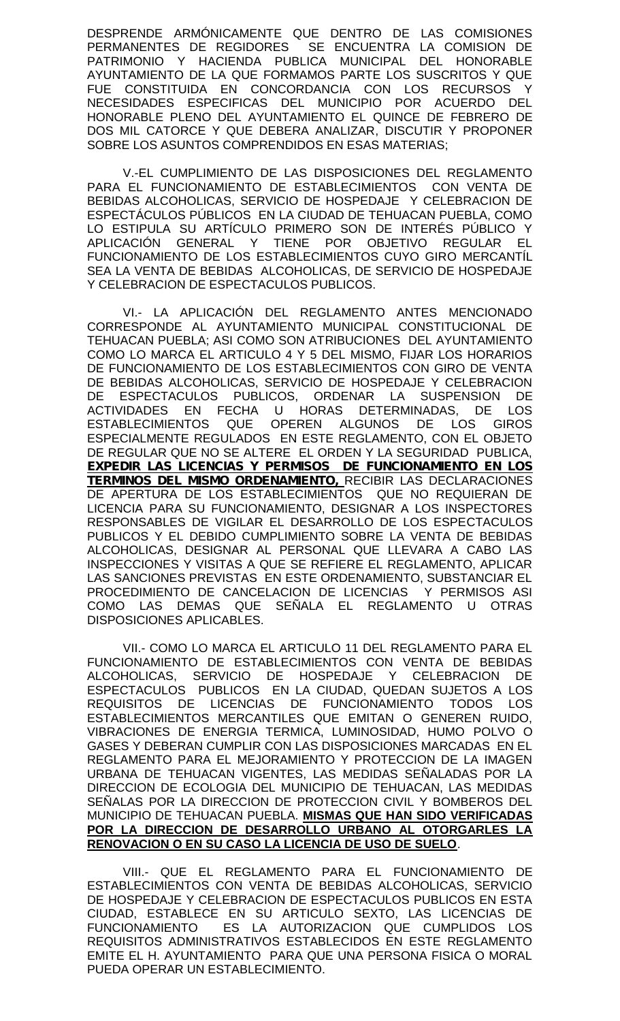DESPRENDE ARMÓNICAMENTE QUE DENTRO DE LAS COMISIONES PERMANENTES DE REGIDORES SE ENCUENTRA LA COMISION DE PATRIMONIO Y HACIENDA PUBLICA MUNICIPAL DEL HONORABLE AYUNTAMIENTO DE LA QUE FORMAMOS PARTE LOS SUSCRITOS Y QUE FUE CONSTITUIDA EN CONCORDANCIA CON LOS RECURSOS Y NECESIDADES ESPECIFICAS DEL MUNICIPIO POR ACUERDO DEL HONORABLE PLENO DEL AYUNTAMIENTO EL QUINCE DE FEBRERO DE DOS MIL CATORCE Y QUE DEBERA ANALIZAR, DISCUTIR Y PROPONER SOBRE LOS ASUNTOS COMPRENDIDOS EN ESAS MATERIAS;

V.-EL CUMPLIMIENTO DE LAS DISPOSICIONES DEL REGLAMENTO PARA EL FUNCIONAMIENTO DE ESTABLECIMIENTOS CON VENTA DE BEBIDAS ALCOHOLICAS, SERVICIO DE HOSPEDAJE Y CELEBRACION DE ESPECTÁCULOS PÚBLICOS EN LA CIUDAD DE TEHUACAN PUEBLA, COMO LO ESTIPULA SU ARTÍCULO PRIMERO SON DE INTERÉS PÚBLICO Y APLICACIÓN GENERAL Y TIENE POR OBJETIVO REGULAR EL FUNCIONAMIENTO DE LOS ESTABLECIMIENTOS CUYO GIRO MERCANTÍL SEA LA VENTA DE BEBIDAS ALCOHOLICAS, DE SERVICIO DE HOSPEDAJE Y CELEBRACION DE ESPECTACULOS PUBLICOS.

VI.- LA APLICACIÓN DEL REGLAMENTO ANTES MENCIONADO CORRESPONDE AL AYUNTAMIENTO MUNICIPAL CONSTITUCIONAL DE TEHUACAN PUEBLA; ASI COMO SON ATRIBUCIONES DEL AYUNTAMIENTO COMO LO MARCA EL ARTICULO 4 Y 5 DEL MISMO, FIJAR LOS HORARIOS DE FUNCIONAMIENTO DE LOS ESTABLECIMIENTOS CON GIRO DE VENTA DE BEBIDAS ALCOHOLICAS, SERVICIO DE HOSPEDAJE Y CELEBRACION DE ESPECTACULOS PUBLICOS, ORDENAR LA SUSPENSION DE ACTIVIDADES EN FECHA U HORAS DETERMINADAS, DE LOS ESTABLECIMIENTOS QUE OPEREN ALGUNOS DE LOS GIROS ESPECIALMENTE REGULADOS EN ESTE REGLAMENTO, CON EL OBJETO DE REGULAR QUE NO SE ALTERE EL ORDEN Y LA SEGURIDAD PUBLICA, *EXPEDIR LAS LICENCIAS Y PERMISOS DE FUNCIONAMIENTO EN LOS TERMINOS DEL MISMO ORDENAMIENTO,* RECIBIR LAS DECLARACIONES DE APERTURA DE LOS ESTABLECIMIENTOS QUE NO REQUIERAN DE LICENCIA PARA SU FUNCIONAMIENTO, DESIGNAR A LOS INSPECTORES RESPONSABLES DE VIGILAR EL DESARROLLO DE LOS ESPECTACULOS PUBLICOS Y EL DEBIDO CUMPLIMIENTO SOBRE LA VENTA DE BEBIDAS ALCOHOLICAS, DESIGNAR AL PERSONAL QUE LLEVARA A CABO LAS INSPECCIONES Y VISITAS A QUE SE REFIERE EL REGLAMENTO, APLICAR LAS SANCIONES PREVISTAS EN ESTE ORDENAMIENTO, SUBSTANCIAR EL PROCEDIMIENTO DE CANCELACION DE LICENCIAS Y PERMISOS ASI COMO LAS DEMAS QUE SEÑALA EL REGLAMENTO U OTRAS DISPOSICIONES APLICABLES.

VII.- COMO LO MARCA EL ARTICULO 11 DEL REGLAMENTO PARA EL FUNCIONAMIENTO DE ESTABLECIMIENTOS CON VENTA DE BEBIDAS ALCOHOLICAS, SERVICIO DE HOSPEDAJE Y CELEBRACION DE ESPECTACULOS PUBLICOS EN LA CIUDAD, QUEDAN SUJETOS A LOS REQUISITOS DE LICENCIAS DE FUNCIONAMIENTO TODOS LOS ESTABLECIMIENTOS MERCANTILES QUE EMITAN O GENEREN RUIDO, VIBRACIONES DE ENERGIA TERMICA, LUMINOSIDAD, HUMO POLVO O GASES Y DEBERAN CUMPLIR CON LAS DISPOSICIONES MARCADAS EN EL REGLAMENTO PARA EL MEJORAMIENTO Y PROTECCION DE LA IMAGEN URBANA DE TEHUACAN VIGENTES, LAS MEDIDAS SEÑALADAS POR LA DIRECCION DE ECOLOGIA DEL MUNICIPIO DE TEHUACAN, LAS MEDIDAS SEÑALAS POR LA DIRECCION DE PROTECCION CIVIL Y BOMBEROS DEL MUNICIPIO DE TEHUACAN PUEBLA. **MISMAS QUE HAN SIDO VERIFICADAS POR LA DIRECCION DE DESARROLLO URBANO AL OTORGARLES LA RENOVACION O EN SU CASO LA LICENCIA DE USO DE SUELO**.

VIII.- QUE EL REGLAMENTO PARA EL FUNCIONAMIENTO DE ESTABLECIMIENTOS CON VENTA DE BEBIDAS ALCOHOLICAS, SERVICIO DE HOSPEDAJE Y CELEBRACION DE ESPECTACULOS PUBLICOS EN ESTA CIUDAD, ESTABLECE EN SU ARTICULO SEXTO, LAS LICENCIAS DE FUNCIONAMIENTO ES LA AUTORIZACION QUE CUMPLIDOS LOS REQUISITOS ADMINISTRATIVOS ESTABLECIDOS EN ESTE REGLAMENTO EMITE EL H. AYUNTAMIENTO PARA QUE UNA PERSONA FISICA O MORAL PUEDA OPERAR UN ESTABLECIMIENTO.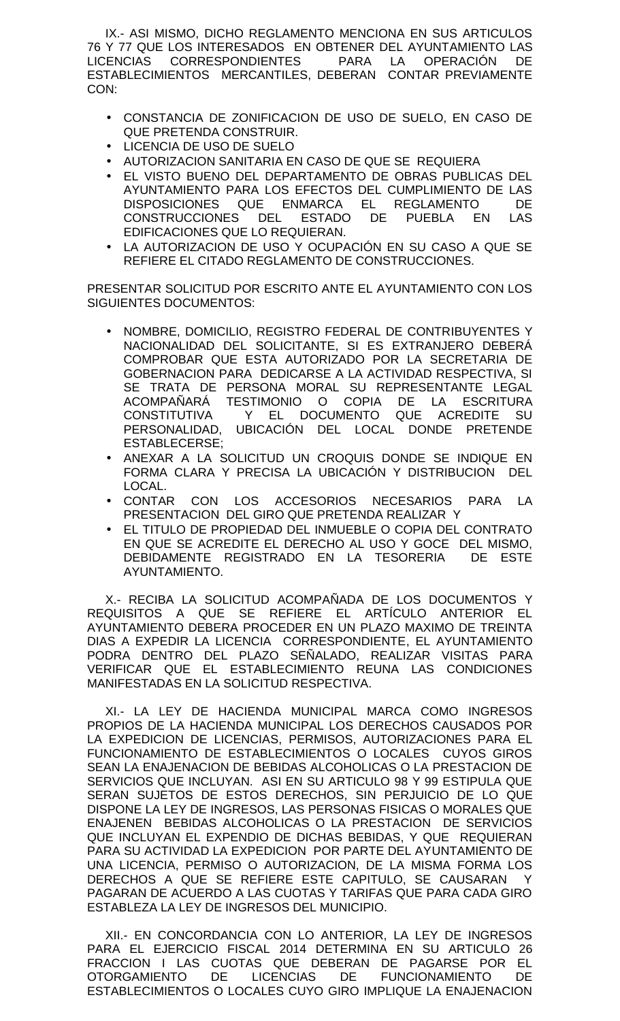IX.- ASI MISMO, DICHO REGLAMENTO MENCIONA EN SUS ARTICULOS 76 Y 77 QUE LOS INTERESADOS EN OBTENER DEL AYUNTAMIENTO LAS LICENCIAS CORRESPONDIENTES PARA LA OPERACIÓN DE ESTABLECIMIENTOS MERCANTILES, DEBERAN CONTAR PREVIAMENTE CON:

- CONSTANCIA DE ZONIFICACION DE USO DE SUELO, EN CASO DE QUE PRETENDA CONSTRUIR.
- LICENCIA DE USO DE SUELO
- AUTORIZACION SANITARIA EN CASO DE QUE SE REQUIERA
- EL VISTO BUENO DEL DEPARTAMENTO DE OBRAS PUBLICAS DEL AYUNTAMIENTO PARA LOS EFECTOS DEL CUMPLIMIENTO DE LAS DISPOSICIONES QUE ENMARCA EL REGLAMENTO DE CONSTRUCCIONES DEL ESTADO DE PUEBLA EN LAS EDIFICACIONES QUE LO REQUIERAN.
- LA AUTORIZACION DE USO Y OCUPACIÓN EN SU CASO A QUE SE REFIERE EL CITADO REGLAMENTO DE CONSTRUCCIONES.

PRESENTAR SOLICITUD POR ESCRITO ANTE EL AYUNTAMIENTO CON LOS SIGUIENTES DOCUMENTOS:

- NOMBRE, DOMICILIO, REGISTRO FEDERAL DE CONTRIBUYENTES Y NACIONALIDAD DEL SOLICITANTE, SI ES EXTRANJERO DEBERÁ COMPROBAR QUE ESTA AUTORIZADO POR LA SECRETARIA DE GOBERNACION PARA DEDICARSE A LA ACTIVIDAD RESPECTIVA, SI SE TRATA DE PERSONA MORAL SU REPRESENTANTE LEGAL ACOMPAÑARÁ TESTIMONIO O COPIA DE LA ESCRITURA CONSTITUTIVA Y EL DOCUMENTO QUE ACREDITE SU PERSONALIDAD, UBICACIÓN DEL LOCAL DONDE PRETENDE ESTABLECERSE;
- ANEXAR A LA SOLICITUD UN CROQUIS DONDE SE INDIQUE EN FORMA CLARA Y PRECISA LA UBICACIÓN Y DISTRIBUCION DEL LOCAL.
- CONTAR CON LOS ACCESORIOS NECESARIOS PARA LA PRESENTACION DEL GIRO QUE PRETENDA REALIZAR Y
- EL TITULO DE PROPIEDAD DEL INMUEBLE O COPIA DEL CONTRATO EN QUE SE ACREDITE EL DERECHO AL USO Y GOCE DEL MISMO, DEBIDAMENTE REGISTRADO EN LA TESORERIA DE ESTE AYUNTAMIENTO.

X.- RECIBA LA SOLICITUD ACOMPAÑADA DE LOS DOCUMENTOS Y REQUISITOS A QUE SE REFIERE EL ARTÍCULO ANTERIOR EL AYUNTAMIENTO DEBERA PROCEDER EN UN PLAZO MAXIMO DE TREINTA DIAS A EXPEDIR LA LICENCIA CORRESPONDIENTE, EL AYUNTAMIENTO PODRA DENTRO DEL PLAZO SEÑALADO, REALIZAR VISITAS PARA VERIFICAR QUE EL ESTABLECIMIENTO REUNA LAS CONDICIONES MANIFESTADAS EN LA SOLICITUD RESPECTIVA.

XI.- LA LEY DE HACIENDA MUNICIPAL MARCA COMO INGRESOS PROPIOS DE LA HACIENDA MUNICIPAL LOS DERECHOS CAUSADOS POR LA EXPEDICION DE LICENCIAS, PERMISOS, AUTORIZACIONES PARA EL FUNCIONAMIENTO DE ESTABLECIMIENTOS O LOCALES CUYOS GIROS SEAN LA ENAJENACION DE BEBIDAS ALCOHOLICAS O LA PRESTACION DE SERVICIOS QUE INCLUYAN. ASI EN SU ARTICULO 98 Y 99 ESTIPULA QUE SERAN SUJETOS DE ESTOS DERECHOS, SIN PERJUICIO DE LO QUE DISPONE LA LEY DE INGRESOS, LAS PERSONAS FISICAS O MORALES QUE ENAJENEN BEBIDAS ALCOHOLICAS O LA PRESTACION DE SERVICIOS QUE INCLUYAN EL EXPENDIO DE DICHAS BEBIDAS, Y QUE REQUIERAN PARA SU ACTIVIDAD LA EXPEDICION POR PARTE DEL AYUNTAMIENTO DE UNA LICENCIA, PERMISO O AUTORIZACION, DE LA MISMA FORMA LOS DERECHOS A QUE SE REFIERE ESTE CAPITULO, SE CAUSARAN Y PAGARAN DE ACUERDO A LAS CUOTAS Y TARIFAS QUE PARA CADA GIRO ESTABLEZA LA LEY DE INGRESOS DEL MUNICIPIO.

XII.- EN CONCORDANCIA CON LO ANTERIOR, LA LEY DE INGRESOS PARA EL EJERCICIO FISCAL 2014 DETERMINA EN SU ARTICULO 26 FRACCION I LAS CUOTAS QUE DEBERAN DE PAGARSE POR EL OTORGAMIENTO DE LICENCIAS DE FUNCIONAMIENTO DE ESTABLECIMIENTOS O LOCALES CUYO GIRO IMPLIQUE LA ENAJENACION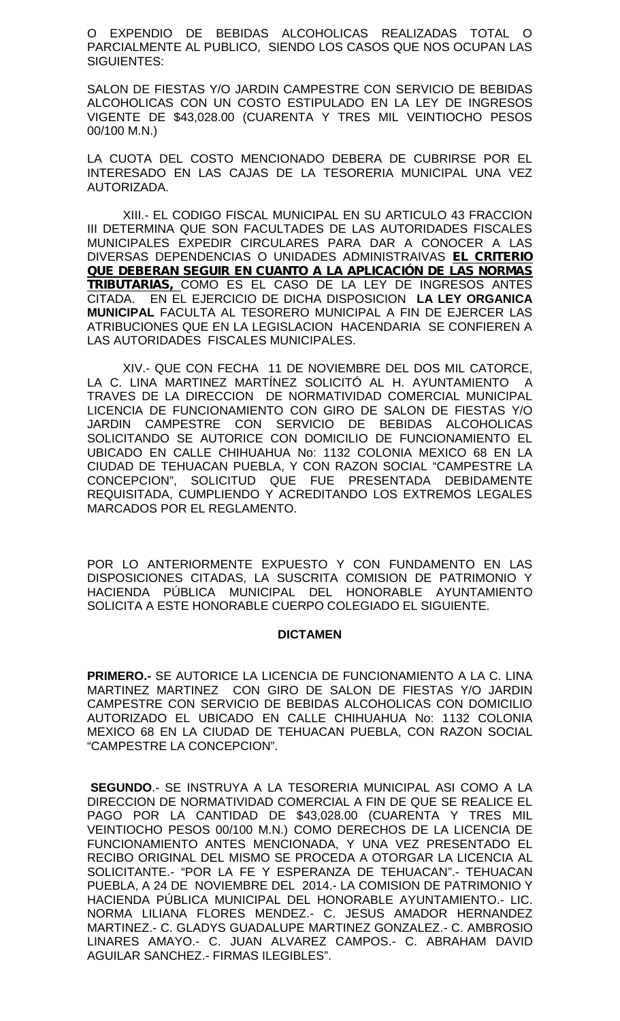O EXPENDIO DE BEBIDAS ALCOHOLICAS REALIZADAS TOTAL O PARCIALMENTE AL PUBLICO, SIENDO LOS CASOS QUE NOS OCUPAN LAS SIGUIENTES:

SALON DE FIESTAS Y/O JARDIN CAMPESTRE CON SERVICIO DE BEBIDAS ALCOHOLICAS CON UN COSTO ESTIPULADO EN LA LEY DE INGRESOS VIGENTE DE \$43,028.00 (CUARENTA Y TRES MIL VEINTIOCHO PESOS 00/100 M.N.)

LA CUOTA DEL COSTO MENCIONADO DEBERA DE CUBRIRSE POR EL INTERESADO EN LAS CAJAS DE LA TESORERIA MUNICIPAL UNA VEZ AUTORIZADA.

XIII.- EL CODIGO FISCAL MUNICIPAL EN SU ARTICULO 43 FRACCION III DETERMINA QUE SON FACULTADES DE LAS AUTORIDADES FISCALES MUNICIPALES EXPEDIR CIRCULARES PARA DAR A CONOCER A LAS DIVERSAS DEPENDENCIAS O UNIDADES ADMINISTRAIVAS *EL CRITERIO QUE DEBERAN SEGUIR EN CUANTO A LA APLICACIÓN DE LAS NORMAS TRIBUTARIAS,* COMO ES EL CASO DE LA LEY DE INGRESOS ANTES CITADA. EN EL EJERCICIO DE DICHA DISPOSICION **LA LEY ORGANICA MUNICIPAL** FACULTA AL TESORERO MUNICIPAL A FIN DE EJERCER LAS ATRIBUCIONES QUE EN LA LEGISLACION HACENDARIA SE CONFIEREN A LAS AUTORIDADES FISCALES MUNICIPALES.

XIV.- QUE CON FECHA 11 DE NOVIEMBRE DEL DOS MIL CATORCE, LA C. LINA MARTINEZ MARTÍNEZ SOLICITÓ AL H. AYUNTAMIENTO A TRAVES DE LA DIRECCION DE NORMATIVIDAD COMERCIAL MUNICIPAL LICENCIA DE FUNCIONAMIENTO CON GIRO DE SALON DE FIESTAS Y/O JARDIN CAMPESTRE CON SERVICIO DE BEBIDAS ALCOHOLICAS SOLICITANDO SE AUTORICE CON DOMICILIO DE FUNCIONAMIENTO EL UBICADO EN CALLE CHIHUAHUA No: 1132 COLONIA MEXICO 68 EN LA CIUDAD DE TEHUACAN PUEBLA, Y CON RAZON SOCIAL "CAMPESTRE LA CONCEPCION", SOLICITUD QUE FUE PRESENTADA DEBIDAMENTE REQUISITADA, CUMPLIENDO Y ACREDITANDO LOS EXTREMOS LEGALES MARCADOS POR EL REGLAMENTO.

POR LO ANTERIORMENTE EXPUESTO Y CON FUNDAMENTO EN LAS DISPOSICIONES CITADAS, LA SUSCRITA COMISION DE PATRIMONIO Y HACIENDA PÚBLICA MUNICIPAL DEL HONORABLE AYUNTAMIENTO SOLICITA A ESTE HONORABLE CUERPO COLEGIADO EL SIGUIENTE.

# **DICTAMEN**

**PRIMERO.-** SE AUTORICE LA LICENCIA DE FUNCIONAMIENTO A LA C. LINA MARTINEZ MARTINEZ CON GIRO DE SALON DE FIESTAS Y/O JARDIN CAMPESTRE CON SERVICIO DE BEBIDAS ALCOHOLICAS CON DOMICILIO AUTORIZADO EL UBICADO EN CALLE CHIHUAHUA No: 1132 COLONIA MEXICO 68 EN LA CIUDAD DE TEHUACAN PUEBLA, CON RAZON SOCIAL "CAMPESTRE LA CONCEPCION".

**SEGUNDO**.- SE INSTRUYA A LA TESORERIA MUNICIPAL ASI COMO A LA DIRECCION DE NORMATIVIDAD COMERCIAL A FIN DE QUE SE REALICE EL PAGO POR LA CANTIDAD DE \$43,028.00 (CUARENTA Y TRES MIL VEINTIOCHO PESOS 00/100 M.N.) COMO DERECHOS DE LA LICENCIA DE FUNCIONAMIENTO ANTES MENCIONADA, Y UNA VEZ PRESENTADO EL RECIBO ORIGINAL DEL MISMO SE PROCEDA A OTORGAR LA LICENCIA AL SOLICITANTE.- "POR LA FE Y ESPERANZA DE TEHUACAN".- TEHUACAN PUEBLA, A 24 DE NOVIEMBRE DEL 2014.- LA COMISION DE PATRIMONIO Y HACIENDA PÚBLICA MUNICIPAL DEL HONORABLE AYUNTAMIENTO.- LIC. NORMA LILIANA FLORES MENDEZ.- C. JESUS AMADOR HERNANDEZ MARTINEZ.- C. GLADYS GUADALUPE MARTINEZ GONZALEZ.- C. AMBROSIO LINARES AMAYO.- C. JUAN ALVAREZ CAMPOS.- C. ABRAHAM DAVID AGUILAR SANCHEZ.- FIRMAS ILEGIBLES".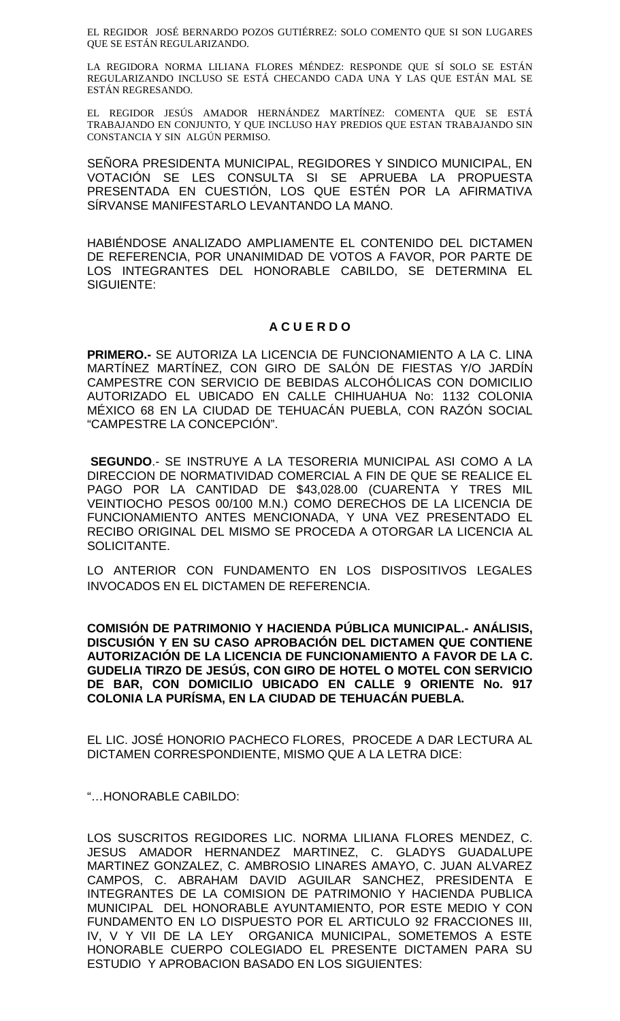EL REGIDOR JOSÉ BERNARDO POZOS GUTIÉRREZ: SOLO COMENTO QUE SI SON LUGARES QUE SE ESTÁN REGULARIZANDO.

LA REGIDORA NORMA LILIANA FLORES MÉNDEZ: RESPONDE QUE SÍ SOLO SE ESTÁN REGULARIZANDO INCLUSO SE ESTÁ CHECANDO CADA UNA Y LAS QUE ESTÁN MAL SE ESTÁN REGRESANDO.

EL REGIDOR JESÚS AMADOR HERNÁNDEZ MARTÍNEZ: COMENTA QUE SE ESTÁ TRABAJANDO EN CONJUNTO, Y QUE INCLUSO HAY PREDIOS QUE ESTAN TRABAJANDO SIN CONSTANCIA Y SIN ALGÚN PERMISO.

SEÑORA PRESIDENTA MUNICIPAL, REGIDORES Y SINDICO MUNICIPAL, EN VOTACIÓN SE LES CONSULTA SI SE APRUEBA LA PROPUESTA PRESENTADA EN CUESTIÓN, LOS QUE ESTÉN POR LA AFIRMATIVA SÍRVANSE MANIFESTARLO LEVANTANDO LA MANO.

HABIÉNDOSE ANALIZADO AMPLIAMENTE EL CONTENIDO DEL DICTAMEN DE REFERENCIA, POR UNANIMIDAD DE VOTOS A FAVOR, POR PARTE DE LOS INTEGRANTES DEL HONORABLE CABILDO, SE DETERMINA EL SIGUIENTE:

# **A C U E R D O**

**PRIMERO.-** SE AUTORIZA LA LICENCIA DE FUNCIONAMIENTO A LA C. LINA MARTÍNEZ MARTÍNEZ, CON GIRO DE SALÓN DE FIESTAS Y/O JARDÍN CAMPESTRE CON SERVICIO DE BEBIDAS ALCOHÓLICAS CON DOMICILIO AUTORIZADO EL UBICADO EN CALLE CHIHUAHUA No: 1132 COLONIA MÉXICO 68 EN LA CIUDAD DE TEHUACÁN PUEBLA, CON RAZÓN SOCIAL "CAMPESTRE LA CONCEPCIÓN".

**SEGUNDO**.- SE INSTRUYE A LA TESORERIA MUNICIPAL ASI COMO A LA DIRECCION DE NORMATIVIDAD COMERCIAL A FIN DE QUE SE REALICE EL PAGO POR LA CANTIDAD DE \$43,028.00 (CUARENTA Y TRES MIL VEINTIOCHO PESOS 00/100 M.N.) COMO DERECHOS DE LA LICENCIA DE FUNCIONAMIENTO ANTES MENCIONADA, Y UNA VEZ PRESENTADO EL RECIBO ORIGINAL DEL MISMO SE PROCEDA A OTORGAR LA LICENCIA AL SOLICITANTE.

LO ANTERIOR CON FUNDAMENTO EN LOS DISPOSITIVOS LEGALES INVOCADOS EN EL DICTAMEN DE REFERENCIA.

**COMISIÓN DE PATRIMONIO Y HACIENDA PÚBLICA MUNICIPAL.- ANÁLISIS, DISCUSIÓN Y EN SU CASO APROBACIÓN DEL DICTAMEN QUE CONTIENE AUTORIZACIÓN DE LA LICENCIA DE FUNCIONAMIENTO A FAVOR DE LA C. GUDELIA TIRZO DE JESÚS, CON GIRO DE HOTEL O MOTEL CON SERVICIO DE BAR, CON DOMICILIO UBICADO EN CALLE 9 ORIENTE No. 917 COLONIA LA PURÍSMA, EN LA CIUDAD DE TEHUACÁN PUEBLA.**

EL LIC. JOSÉ HONORIO PACHECO FLORES, PROCEDE A DAR LECTURA AL DICTAMEN CORRESPONDIENTE, MISMO QUE A LA LETRA DICE:

"…HONORABLE CABILDO:

LOS SUSCRITOS REGIDORES LIC. NORMA LILIANA FLORES MENDEZ, C. JESUS AMADOR HERNANDEZ MARTINEZ, C. GLADYS GUADALUPE MARTINEZ GONZALEZ, C. AMBROSIO LINARES AMAYO, C. JUAN ALVAREZ CAMPOS, C. ABRAHAM DAVID AGUILAR SANCHEZ, PRESIDENTA E INTEGRANTES DE LA COMISION DE PATRIMONIO Y HACIENDA PUBLICA MUNICIPAL DEL HONORABLE AYUNTAMIENTO, POR ESTE MEDIO Y CON FUNDAMENTO EN LO DISPUESTO POR EL ARTICULO 92 FRACCIONES III, IV, V Y VII DE LA LEY ORGANICA MUNICIPAL, SOMETEMOS A ESTE HONORABLE CUERPO COLEGIADO EL PRESENTE DICTAMEN PARA SU ESTUDIO Y APROBACION BASADO EN LOS SIGUIENTES: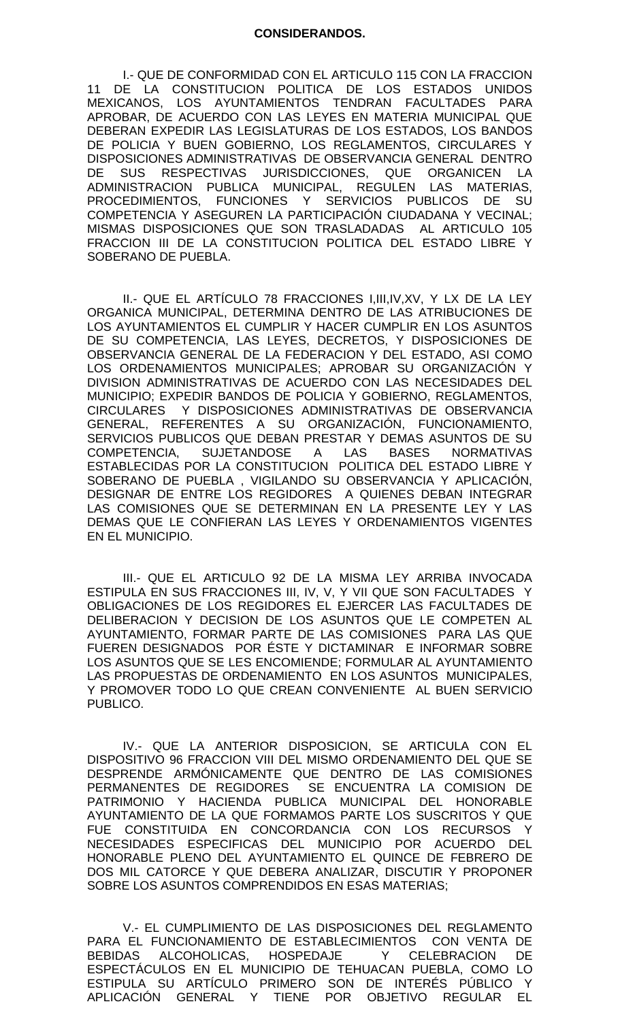I.- QUE DE CONFORMIDAD CON EL ARTICULO 115 CON LA FRACCION 11 DE LA CONSTITUCION POLITICA DE LOS ESTADOS UNIDOS MEXICANOS, LOS AYUNTAMIENTOS TENDRAN FACULTADES PARA APROBAR, DE ACUERDO CON LAS LEYES EN MATERIA MUNICIPAL QUE DEBERAN EXPEDIR LAS LEGISLATURAS DE LOS ESTADOS, LOS BANDOS DE POLICIA Y BUEN GOBIERNO, LOS REGLAMENTOS, CIRCULARES Y DISPOSICIONES ADMINISTRATIVAS DE OBSERVANCIA GENERAL DENTRO DE SUS RESPECTIVAS JURISDICCIONES, QUE ORGANICEN LA ADMINISTRACION PUBLICA MUNICIPAL, REGULEN LAS MATERIAS, PROCEDIMIENTOS, FUNCIONES Y SERVICIOS PUBLICOS DE SU COMPETENCIA Y ASEGUREN LA PARTICIPACIÓN CIUDADANA Y VECINAL; MISMAS DISPOSICIONES QUE SON TRASLADADAS AL ARTICULO 105 FRACCION III DE LA CONSTITUCION POLITICA DEL ESTADO LIBRE Y SOBERANO DE PUEBLA.

II.- QUE EL ARTÍCULO 78 FRACCIONES I,III,IV,XV, Y LX DE LA LEY ORGANICA MUNICIPAL, DETERMINA DENTRO DE LAS ATRIBUCIONES DE LOS AYUNTAMIENTOS EL CUMPLIR Y HACER CUMPLIR EN LOS ASUNTOS DE SU COMPETENCIA, LAS LEYES, DECRETOS, Y DISPOSICIONES DE OBSERVANCIA GENERAL DE LA FEDERACION Y DEL ESTADO, ASI COMO LOS ORDENAMIENTOS MUNICIPALES; APROBAR SU ORGANIZACIÓN Y DIVISION ADMINISTRATIVAS DE ACUERDO CON LAS NECESIDADES DEL MUNICIPIO; EXPEDIR BANDOS DE POLICIA Y GOBIERNO, REGLAMENTOS, CIRCULARES Y DISPOSICIONES ADMINISTRATIVAS DE OBSERVANCIA GENERAL, REFERENTES A SU ORGANIZACIÓN, FUNCIONAMIENTO, SERVICIOS PUBLICOS QUE DEBAN PRESTAR Y DEMAS ASUNTOS DE SU COMPETENCIA, SUJETANDOSE A LAS BASES NORMATIVAS ESTABLECIDAS POR LA CONSTITUCION POLITICA DEL ESTADO LIBRE Y SOBERANO DE PUEBLA , VIGILANDO SU OBSERVANCIA Y APLICACIÓN, DESIGNAR DE ENTRE LOS REGIDORES A QUIENES DEBAN INTEGRAR LAS COMISIONES QUE SE DETERMINAN EN LA PRESENTE LEY Y LAS DEMAS QUE LE CONFIERAN LAS LEYES Y ORDENAMIENTOS VIGENTES EN EL MUNICIPIO.

III.- QUE EL ARTICULO 92 DE LA MISMA LEY ARRIBA INVOCADA ESTIPULA EN SUS FRACCIONES III, IV, V, Y VII QUE SON FACULTADES Y OBLIGACIONES DE LOS REGIDORES EL EJERCER LAS FACULTADES DE DELIBERACION Y DECISION DE LOS ASUNTOS QUE LE COMPETEN AL AYUNTAMIENTO, FORMAR PARTE DE LAS COMISIONES PARA LAS QUE FUEREN DESIGNADOS POR ÉSTE Y DICTAMINAR E INFORMAR SOBRE LOS ASUNTOS QUE SE LES ENCOMIENDE; FORMULAR AL AYUNTAMIENTO LAS PROPUESTAS DE ORDENAMIENTO EN LOS ASUNTOS MUNICIPALES, Y PROMOVER TODO LO QUE CREAN CONVENIENTE AL BUEN SERVICIO PUBLICO.

IV.- QUE LA ANTERIOR DISPOSICION, SE ARTICULA CON EL DISPOSITIVO 96 FRACCION VIII DEL MISMO ORDENAMIENTO DEL QUE SE DESPRENDE ARMÓNICAMENTE QUE DENTRO DE LAS COMISIONES PERMANENTES DE REGIDORES SE ENCUENTRA LA COMISION DE PATRIMONIO Y HACIENDA PUBLICA MUNICIPAL DEL HONORABLE AYUNTAMIENTO DE LA QUE FORMAMOS PARTE LOS SUSCRITOS Y QUE FUE CONSTITUIDA EN CONCORDANCIA CON LOS RECURSOS Y NECESIDADES ESPECIFICAS DEL MUNICIPIO POR ACUERDO DEL HONORABLE PLENO DEL AYUNTAMIENTO EL QUINCE DE FEBRERO DE DOS MIL CATORCE Y QUE DEBERA ANALIZAR, DISCUTIR Y PROPONER SOBRE LOS ASUNTOS COMPRENDIDOS EN ESAS MATERIAS;

V.- EL CUMPLIMIENTO DE LAS DISPOSICIONES DEL REGLAMENTO PARA EL FUNCIONAMIENTO DE ESTABLECIMIENTOS CON VENTA DE BEBIDAS ALCOHOLICAS, HOSPEDAJE Y CELEBRACION DE ESPECTÁCULOS EN EL MUNICIPIO DE TEHUACAN PUEBLA, COMO LO ESTIPULA SU ARTÍCULO PRIMERO SON DE INTERÉS PÚBLICO Y APLICACIÓN GENERAL Y TIENE POR OBJETIVO REGULAR EL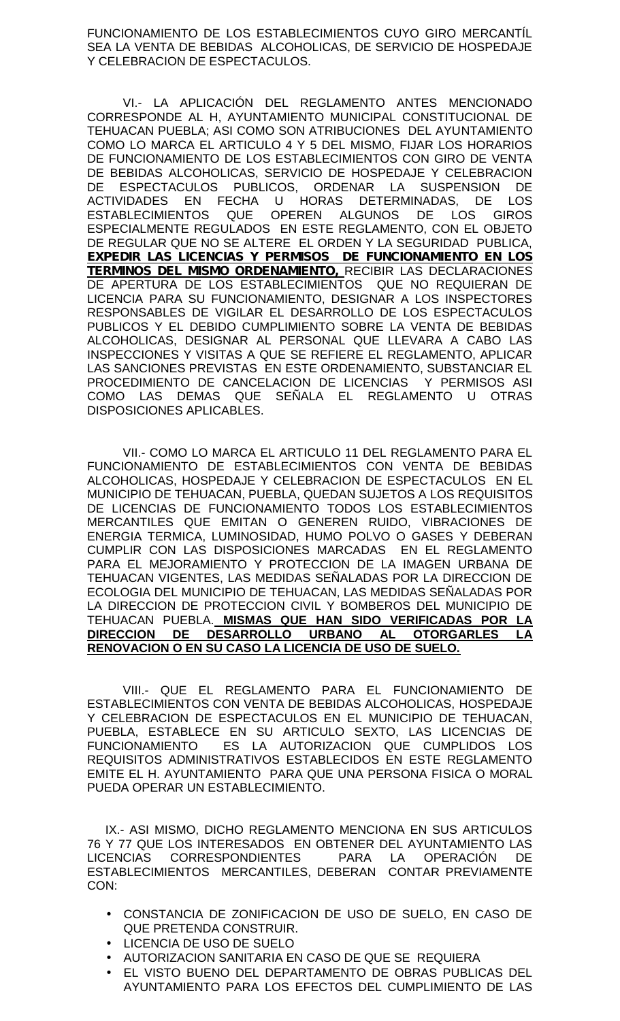FUNCIONAMIENTO DE LOS ESTABLECIMIENTOS CUYO GIRO MERCANTÍL SEA LA VENTA DE BEBIDAS ALCOHOLICAS, DE SERVICIO DE HOSPEDAJE Y CELEBRACION DE ESPECTACULOS.

VI.- LA APLICACIÓN DEL REGLAMENTO ANTES MENCIONADO CORRESPONDE AL H, AYUNTAMIENTO MUNICIPAL CONSTITUCIONAL DE TEHUACAN PUEBLA; ASI COMO SON ATRIBUCIONES DEL AYUNTAMIENTO COMO LO MARCA EL ARTICULO 4 Y 5 DEL MISMO, FIJAR LOS HORARIOS DE FUNCIONAMIENTO DE LOS ESTABLECIMIENTOS CON GIRO DE VENTA DE BEBIDAS ALCOHOLICAS, SERVICIO DE HOSPEDAJE Y CELEBRACION DE ESPECTACULOS PUBLICOS, ORDENAR LA SUSPENSION DE ACTIVIDADES EN FECHA U HORAS DETERMINADAS, DE LOS ESTABLECIMIENTOS QUE OPEREN ALGUNOS DE LOS GIROS ESPECIALMENTE REGULADOS EN ESTE REGLAMENTO, CON EL OBJETO DE REGULAR QUE NO SE ALTERE EL ORDEN Y LA SEGURIDAD PUBLICA, *EXPEDIR LAS LICENCIAS Y PERMISOS DE FUNCIONAMIENTO EN LOS TERMINOS DEL MISMO ORDENAMIENTO,* RECIBIR LAS DECLARACIONES DE APERTURA DE LOS ESTABLECIMIENTOS QUE NO REQUIERAN DE LICENCIA PARA SU FUNCIONAMIENTO, DESIGNAR A LOS INSPECTORES RESPONSABLES DE VIGILAR EL DESARROLLO DE LOS ESPECTACULOS PUBLICOS Y EL DEBIDO CUMPLIMIENTO SOBRE LA VENTA DE BEBIDAS ALCOHOLICAS, DESIGNAR AL PERSONAL QUE LLEVARA A CABO LAS INSPECCIONES Y VISITAS A QUE SE REFIERE EL REGLAMENTO, APLICAR LAS SANCIONES PREVISTAS EN ESTE ORDENAMIENTO, SUBSTANCIAR EL PROCEDIMIENTO DE CANCELACION DE LICENCIAS Y PERMISOS ASI COMO LAS DEMAS QUE SEÑALA EL REGLAMENTO U OTRAS DISPOSICIONES APLICABLES.

VII.- COMO LO MARCA EL ARTICULO 11 DEL REGLAMENTO PARA EL FUNCIONAMIENTO DE ESTABLECIMIENTOS CON VENTA DE BEBIDAS ALCOHOLICAS, HOSPEDAJE Y CELEBRACION DE ESPECTACULOS EN EL MUNICIPIO DE TEHUACAN, PUEBLA, QUEDAN SUJETOS A LOS REQUISITOS DE LICENCIAS DE FUNCIONAMIENTO TODOS LOS ESTABLECIMIENTOS MERCANTILES QUE EMITAN O GENEREN RUIDO, VIBRACIONES DE ENERGIA TERMICA, LUMINOSIDAD, HUMO POLVO O GASES Y DEBERAN CUMPLIR CON LAS DISPOSICIONES MARCADAS EN EL REGLAMENTO PARA EL MEJORAMIENTO Y PROTECCION DE LA IMAGEN URBANA DE TEHUACAN VIGENTES, LAS MEDIDAS SEÑALADAS POR LA DIRECCION DE ECOLOGIA DEL MUNICIPIO DE TEHUACAN, LAS MEDIDAS SEÑALADAS POR LA DIRECCION DE PROTECCION CIVIL Y BOMBEROS DEL MUNICIPIO DE TEHUACAN PUEBLA. **MISMAS QUE HAN SIDO VERIFICADAS POR LA** DESARROLLO URBANO AL **RENOVACION O EN SU CASO LA LICENCIA DE USO DE SUELO.**

VIII.- QUE EL REGLAMENTO PARA EL FUNCIONAMIENTO DE ESTABLECIMIENTOS CON VENTA DE BEBIDAS ALCOHOLICAS, HOSPEDAJE Y CELEBRACION DE ESPECTACULOS EN EL MUNICIPIO DE TEHUACAN, PUEBLA, ESTABLECE EN SU ARTICULO SEXTO, LAS LICENCIAS DE FUNCIONAMIENTO ES LA AUTORIZACION QUE CUMPLIDOS LOS REQUISITOS ADMINISTRATIVOS ESTABLECIDOS EN ESTE REGLAMENTO EMITE EL H. AYUNTAMIENTO PARA QUE UNA PERSONA FISICA O MORAL PUEDA OPERAR UN ESTABLECIMIENTO.

IX.- ASI MISMO, DICHO REGLAMENTO MENCIONA EN SUS ARTICULOS 76 Y 77 QUE LOS INTERESADOS EN OBTENER DEL AYUNTAMIENTO LAS LICENCIAS CORRESPONDIENTES PARA LA OPERACIÓN DE ESTABLECIMIENTOS MERCANTILES, DEBERAN CONTAR PREVIAMENTE CON:

- CONSTANCIA DE ZONIFICACION DE USO DE SUELO, EN CASO DE QUE PRETENDA CONSTRUIR.
- LICENCIA DE USO DE SUELO
- AUTORIZACION SANITARIA EN CASO DE QUE SE REQUIERA
- EL VISTO BUENO DEL DEPARTAMENTO DE OBRAS PUBLICAS DEL AYUNTAMIENTO PARA LOS EFECTOS DEL CUMPLIMIENTO DE LAS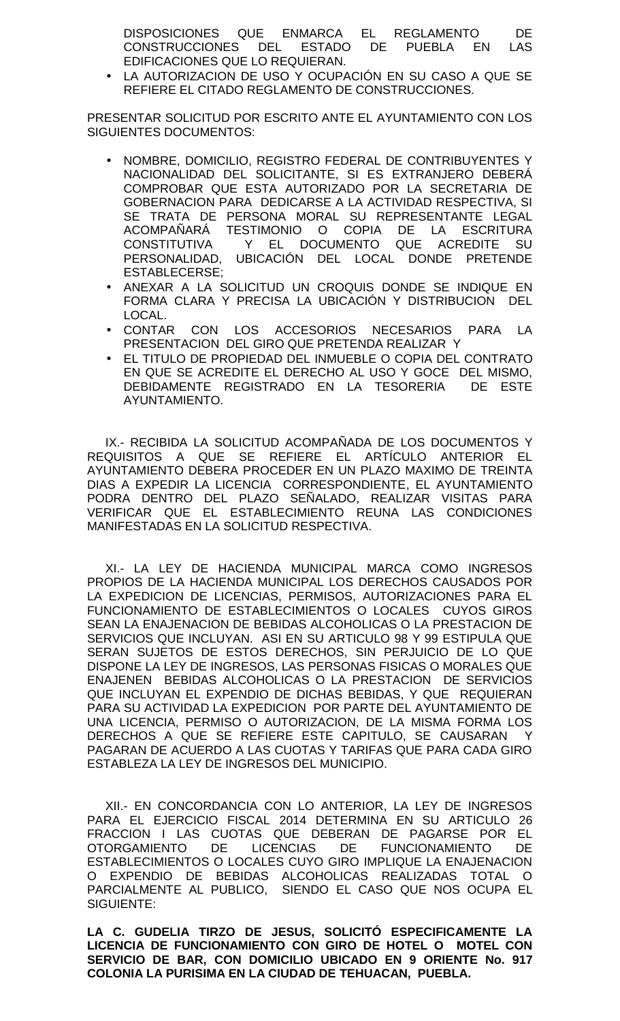DISPOSICIONES QUE ENMARCA EL REGLAMENTO DE CONSTRUCCIONES DEL ESTADO DE PUEBLA EN LAS EDIFICACIONES QUE LO REQUIERAN.

 LA AUTORIZACION DE USO Y OCUPACIÓN EN SU CASO A QUE SE REFIERE EL CITADO REGLAMENTO DE CONSTRUCCIONES.

PRESENTAR SOLICITUD POR ESCRITO ANTE EL AYUNTAMIENTO CON LOS SIGUIENTES DOCUMENTOS:

- NOMBRE, DOMICILIO, REGISTRO FEDERAL DE CONTRIBUYENTES Y NACIONALIDAD DEL SOLICITANTE, SI ES EXTRANJERO DEBERÁ COMPROBAR QUE ESTA AUTORIZADO POR LA SECRETARIA DE GOBERNACION PARA DEDICARSE A LA ACTIVIDAD RESPECTIVA, SI SE TRATA DE PERSONA MORAL SU REPRESENTANTE LEGAL ACOMPAÑARÁ TESTIMONIO O COPIA DE LA ESCRITURA CONSTITUTIVA Y EL DOCUMENTO QUE ACREDITE SU PERSONALIDAD, UBICACIÓN DEL LOCAL DONDE PRETENDE ESTABLECERSE;
- ANEXAR A LA SOLICITUD UN CROQUIS DONDE SE INDIQUE EN FORMA CLARA Y PRECISA LA UBICACIÓN Y DISTRIBUCION DEL LOCAL.
- CONTAR CON LOS ACCESORIOS NECESARIOS PARA LA PRESENTACION DEL GIRO QUE PRETENDA REALIZAR Y
- EL TITULO DE PROPIEDAD DEL INMUEBLE O COPIA DEL CONTRATO EN QUE SE ACREDITE EL DERECHO AL USO Y GOCE DEL MISMO, DEBIDAMENTE REGISTRADO EN LA TESORERIA DE ESTE AYUNTAMIENTO.

IX.- RECIBIDA LA SOLICITUD ACOMPAÑADA DE LOS DOCUMENTOS Y REQUISITOS A QUE SE REFIERE EL ARTÍCULO ANTERIOR EL AYUNTAMIENTO DEBERA PROCEDER EN UN PLAZO MAXIMO DE TREINTA DIAS A EXPEDIR LA LICENCIA CORRESPONDIENTE, EL AYUNTAMIENTO PODRA DENTRO DEL PLAZO SEÑALADO, REALIZAR VISITAS PARA VERIFICAR QUE EL ESTABLECIMIENTO REUNA LAS CONDICIONES MANIFESTADAS EN LA SOLICITUD RESPECTIVA.

XI.- LA LEY DE HACIENDA MUNICIPAL MARCA COMO INGRESOS PROPIOS DE LA HACIENDA MUNICIPAL LOS DERECHOS CAUSADOS POR LA EXPEDICION DE LICENCIAS, PERMISOS, AUTORIZACIONES PARA EL FUNCIONAMIENTO DE ESTABLECIMIENTOS O LOCALES CUYOS GIROS SEAN LA ENAJENACION DE BEBIDAS ALCOHOLICAS O LA PRESTACION DE SERVICIOS QUE INCLUYAN. ASI EN SU ARTICULO 98 Y 99 ESTIPULA QUE SERAN SUJETOS DE ESTOS DERECHOS, SIN PERJUICIO DE LO QUE DISPONE LA LEY DE INGRESOS, LAS PERSONAS FISICAS O MORALES QUE ENAJENEN BEBIDAS ALCOHOLICAS O LA PRESTACION DE SERVICIOS QUE INCLUYAN EL EXPENDIO DE DICHAS BEBIDAS, Y QUE REQUIERAN PARA SU ACTIVIDAD LA EXPEDICION POR PARTE DEL AYUNTAMIENTO DE UNA LICENCIA, PERMISO O AUTORIZACION, DE LA MISMA FORMA LOS DERECHOS A QUE SE REFIERE ESTE CAPITULO, SE CAUSARAN Y PAGARAN DE ACUERDO A LAS CUOTAS Y TARIFAS QUE PARA CADA GIRO ESTABLEZA LA LEY DE INGRESOS DEL MUNICIPIO.

XII.- EN CONCORDANCIA CON LO ANTERIOR, LA LEY DE INGRESOS PARA EL EJERCICIO FISCAL 2014 DETERMINA EN SU ARTICULO 26 FRACCION I LAS CUOTAS QUE DEBERAN DE PAGARSE POR EL<br>OTORGAMIENTO DE LICENCIAS DE FUNCIONAMIENTO DE OTORGAMIENTO DE LICENCIAS DE FUNCIONAMIENTO DE ESTABLECIMIENTOS O LOCALES CUYO GIRO IMPLIQUE LA ENAJENACION O EXPENDIO DE BEBIDAS ALCOHOLICAS REALIZADAS TOTAL O PARCIALMENTE AL PUBLICO, SIENDO EL CASO QUE NOS OCUPA EL SIGUIENTE:

**LA C. GUDELIA TIRZO DE JESUS, SOLICITÓ ESPECIFICAMENTE LA LICENCIA DE FUNCIONAMIENTO CON GIRO DE HOTEL O MOTEL CON SERVICIO DE BAR, CON DOMICILIO UBICADO EN 9 ORIENTE No. 917 COLONIA LA PURISIMA EN LA CIUDAD DE TEHUACAN, PUEBLA.**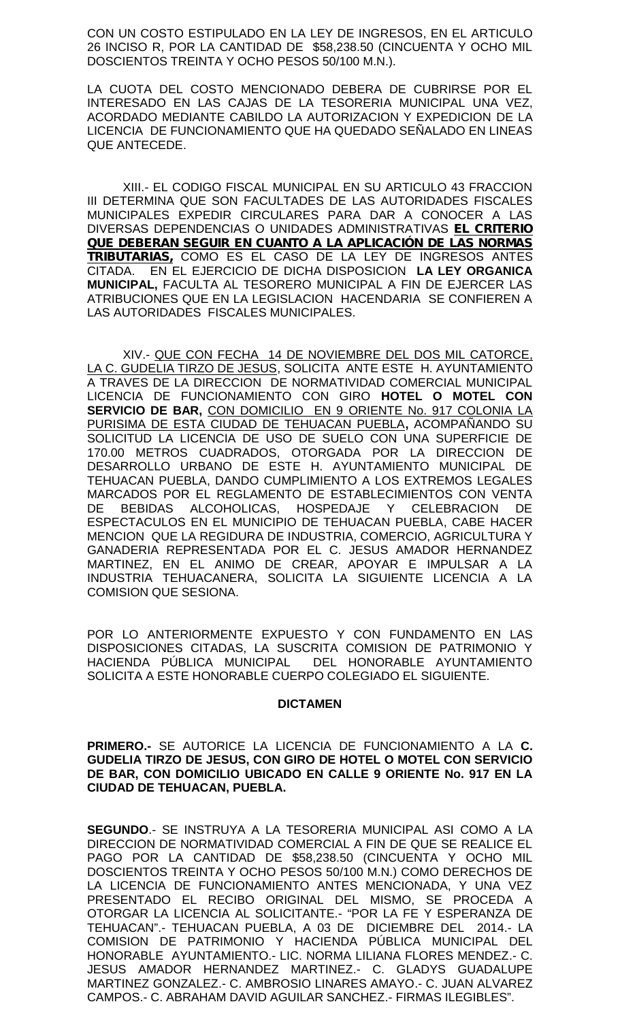CON UN COSTO ESTIPULADO EN LA LEY DE INGRESOS, EN EL ARTICULO 26 INCISO R, POR LA CANTIDAD DE \$58,238.50 (CINCUENTA Y OCHO MIL DOSCIENTOS TREINTA Y OCHO PESOS 50/100 M.N.).

LA CUOTA DEL COSTO MENCIONADO DEBERA DE CUBRIRSE POR EL INTERESADO EN LAS CAJAS DE LA TESORERIA MUNICIPAL UNA VEZ, ACORDADO MEDIANTE CABILDO LA AUTORIZACION Y EXPEDICION DE LA LICENCIA DE FUNCIONAMIENTO QUE HA QUEDADO SEÑALADO EN LINEAS QUE ANTECEDE.

XIII.- EL CODIGO FISCAL MUNICIPAL EN SU ARTICULO 43 FRACCION III DETERMINA QUE SON FACULTADES DE LAS AUTORIDADES FISCALES MUNICIPALES EXPEDIR CIRCULARES PARA DAR A CONOCER A LAS DIVERSAS DEPENDENCIAS O UNIDADES ADMINISTRATIVAS *EL CRITERIO QUE DEBERAN SEGUIR EN CUANTO A LA APLICACIÓN DE LAS NORMAS TRIBUTARIAS,* COMO ES EL CASO DE LA LEY DE INGRESOS ANTES CITADA. EN EL EJERCICIO DE DICHA DISPOSICION **LA LEY ORGANICA MUNICIPAL,** FACULTA AL TESORERO MUNICIPAL A FIN DE EJERCER LAS ATRIBUCIONES QUE EN LA LEGISLACION HACENDARIA SE CONFIEREN A LAS AUTORIDADES FISCALES MUNICIPALES.

XIV.- QUE CON FECHA 14 DE NOVIEMBRE DEL DOS MIL CATORCE, LA C. GUDELIA TIRZO DE JESUS, SOLICITA ANTE ESTE H. AYUNTAMIENTO A TRAVES DE LA DIRECCION DE NORMATIVIDAD COMERCIAL MUNICIPAL LICENCIA DE FUNCIONAMIENTO CON GIRO **HOTEL O MOTEL CON SERVICIO DE BAR,**CON DOMICILIO EN 9 ORIENTE No. 917 COLONIA LA PURISIMA DE ESTA CIUDAD DE TEHUACAN PUEBLA**,** ACOMPAÑANDO SU SOLICITUD LA LICENCIA DE USO DE SUELO CON UNA SUPERFICIE DE 170.00 METROS CUADRADOS, OTORGADA POR LA DIRECCION DE DESARROLLO URBANO DE ESTE H. AYUNTAMIENTO MUNICIPAL DE TEHUACAN PUEBLA, DANDO CUMPLIMIENTO A LOS EXTREMOS LEGALES MARCADOS POR EL REGLAMENTO DE ESTABLECIMIENTOS CON VENTA DE BEBIDAS ALCOHOLICAS, HOSPEDAJE Y CELEBRACION DE ESPECTACULOS EN EL MUNICIPIO DE TEHUACAN PUEBLA, CABE HACER MENCION QUE LA REGIDURA DE INDUSTRIA, COMERCIO, AGRICULTURA Y GANADERIA REPRESENTADA POR EL C. JESUS AMADOR HERNANDEZ MARTINEZ, EN EL ANIMO DE CREAR, APOYAR E IMPULSAR A LA INDUSTRIA TEHUACANERA, SOLICITA LA SIGUIENTE LICENCIA A LA COMISION QUE SESIONA.

POR LO ANTERIORMENTE EXPUESTO Y CON FUNDAMENTO EN LAS DISPOSICIONES CITADAS, LA SUSCRITA COMISION DE PATRIMONIO Y HACIENDA PÚBLICA MUNICIPAL DEL HONORABLE AYUNTAMIENTO SOLICITA A ESTE HONORABLE CUERPO COLEGIADO EL SIGUIENTE.

# **DICTAMEN**

**PRIMERO.-** SE AUTORICE LA LICENCIA DE FUNCIONAMIENTO A LA **C. GUDELIA TIRZO DE JESUS, CON GIRO DE HOTEL O MOTEL CON SERVICIO DE BAR, CON DOMICILIO UBICADO EN CALLE 9 ORIENTE No. 917 EN LA CIUDAD DE TEHUACAN, PUEBLA.**

**SEGUNDO**.- SE INSTRUYA A LA TESORERIA MUNICIPAL ASI COMO A LA DIRECCION DE NORMATIVIDAD COMERCIAL A FIN DE QUE SE REALICE EL PAGO POR LA CANTIDAD DE \$58,238.50 (CINCUENTA Y OCHO MIL DOSCIENTOS TREINTA Y OCHO PESOS 50/100 M.N.) COMO DERECHOS DE LA LICENCIA DE FUNCIONAMIENTO ANTES MENCIONADA, Y UNA VEZ PRESENTADO EL RECIBO ORIGINAL DEL MISMO, SE PROCEDA A OTORGAR LA LICENCIA AL SOLICITANTE.- "POR LA FE Y ESPERANZA DE TEHUACAN".- TEHUACAN PUEBLA, A 03 DE DICIEMBRE DEL 2014.- LA COMISION DE PATRIMONIO Y HACIENDA PÚBLICA MUNICIPAL DEL HONORABLE AYUNTAMIENTO.- LIC. NORMA LILIANA FLORES MENDEZ.- C. JESUS AMADOR HERNANDEZ MARTINEZ.- C. GLADYS GUADALUPE MARTINEZ GONZALEZ.- C. AMBROSIO LINARES AMAYO.- C. JUAN ALVAREZ CAMPOS.- C. ABRAHAM DAVID AGUILAR SANCHEZ.- FIRMAS ILEGIBLES".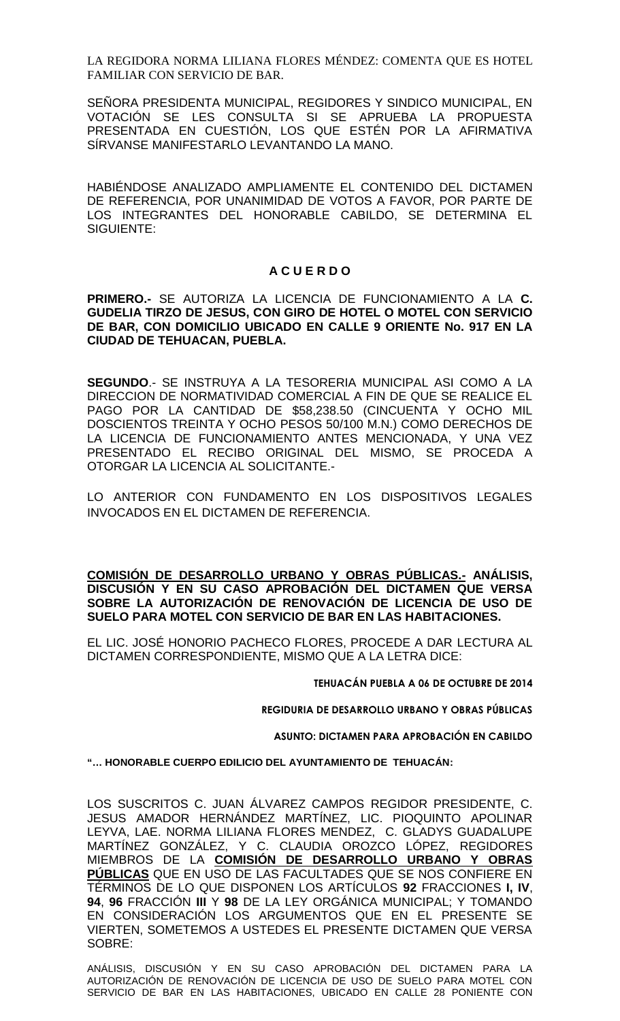LA REGIDORA NORMA LILIANA FLORES MÉNDEZ: COMENTA QUE ES HOTEL FAMILIAR CON SERVICIO DE BAR.

SEÑORA PRESIDENTA MUNICIPAL, REGIDORES Y SINDICO MUNICIPAL, EN VOTACIÓN SE LES CONSULTA SI SE APRUEBA LA PROPUESTA PRESENTADA EN CUESTIÓN, LOS QUE ESTÉN POR LA AFIRMATIVA SÍRVANSE MANIFESTARLO LEVANTANDO LA MANO.

HABIÉNDOSE ANALIZADO AMPLIAMENTE EL CONTENIDO DEL DICTAMEN DE REFERENCIA, POR UNANIMIDAD DE VOTOS A FAVOR, POR PARTE DE LOS INTEGRANTES DEL HONORABLE CABILDO, SE DETERMINA EL SIGUIENTE:

# **A C U E R D O**

**PRIMERO.-** SE AUTORIZA LA LICENCIA DE FUNCIONAMIENTO A LA **C. GUDELIA TIRZO DE JESUS, CON GIRO DE HOTEL O MOTEL CON SERVICIO DE BAR, CON DOMICILIO UBICADO EN CALLE 9 ORIENTE No. 917 EN LA CIUDAD DE TEHUACAN, PUEBLA.**

**SEGUNDO**.- SE INSTRUYA A LA TESORERIA MUNICIPAL ASI COMO A LA DIRECCION DE NORMATIVIDAD COMERCIAL A FIN DE QUE SE REALICE EL PAGO POR LA CANTIDAD DE \$58,238.50 (CINCUENTA Y OCHO MIL DOSCIENTOS TREINTA Y OCHO PESOS 50/100 M.N.) COMO DERECHOS DE LA LICENCIA DE FUNCIONAMIENTO ANTES MENCIONADA, Y UNA VEZ PRESENTADO EL RECIBO ORIGINAL DEL MISMO, SE PROCEDA A OTORGAR LA LICENCIA AL SOLICITANTE.-

LO ANTERIOR CON FUNDAMENTO EN LOS DISPOSITIVOS LEGALES INVOCADOS EN EL DICTAMEN DE REFERENCIA.

**COMISIÓN DE DESARROLLO URBANO Y OBRAS PÚBLICAS.- ANÁLISIS, DISCUSIÓN Y EN SU CASO APROBACIÓN DEL DICTAMEN QUE VERSA SOBRE LA AUTORIZACIÓN DE RENOVACIÓN DE LICENCIA DE USO DE SUELO PARA MOTEL CON SERVICIO DE BAR EN LAS HABITACIONES.**

EL LIC. JOSÉ HONORIO PACHECO FLORES, PROCEDE A DAR LECTURA AL DICTAMEN CORRESPONDIENTE, MISMO QUE A LA LETRA DICE:

**TEHUACÁN PUEBLA A 06 DE OCTUBRE DE 2014**

**REGIDURIA DE DESARROLLO URBANO Y OBRAS PÚBLICAS**

**ASUNTO: DICTAMEN PARA APROBACIÓN EN CABILDO**

**"… HONORABLE CUERPO EDILICIO DEL AYUNTAMIENTO DE TEHUACÁN:**

LOS SUSCRITOS C. JUAN ÁLVAREZ CAMPOS REGIDOR PRESIDENTE, C. JESUS AMADOR HERNÁNDEZ MARTÍNEZ, LIC. PIOQUINTO APOLINAR LEYVA, LAE. NORMA LILIANA FLORES MENDEZ, C. GLADYS GUADALUPE MARTÍNEZ GONZÁLEZ, Y C. CLAUDIA OROZCO LÓPEZ, REGIDORES MIEMBROS DE LA **COMISIÓN DE DESARROLLO URBANO Y OBRAS PÚBLICAS** QUE EN USO DE LAS FACULTADES QUE SE NOS CONFIERE EN TÉRMINOS DE LO QUE DISPONEN LOS ARTÍCULOS **92** FRACCIONES **I, IV**, **94**, **96** FRACCIÓN **III** Y **98** DE LA LEY ORGÁNICA MUNICIPAL; Y TOMANDO EN CONSIDERACIÓN LOS ARGUMENTOS QUE EN EL PRESENTE SE VIERTEN, SOMETEMOS A USTEDES EL PRESENTE DICTAMEN QUE VERSA SOBRE:

ANÁLISIS, DISCUSIÓN Y EN SU CASO APROBACIÓN DEL DICTAMEN PARA LA AUTORIZACIÓN DE RENOVACIÓN DE LICENCIA DE USO DE SUELO PARA MOTEL CON SERVICIO DE BAR EN LAS HABITACIONES, UBICADO EN CALLE 28 PONIENTE CON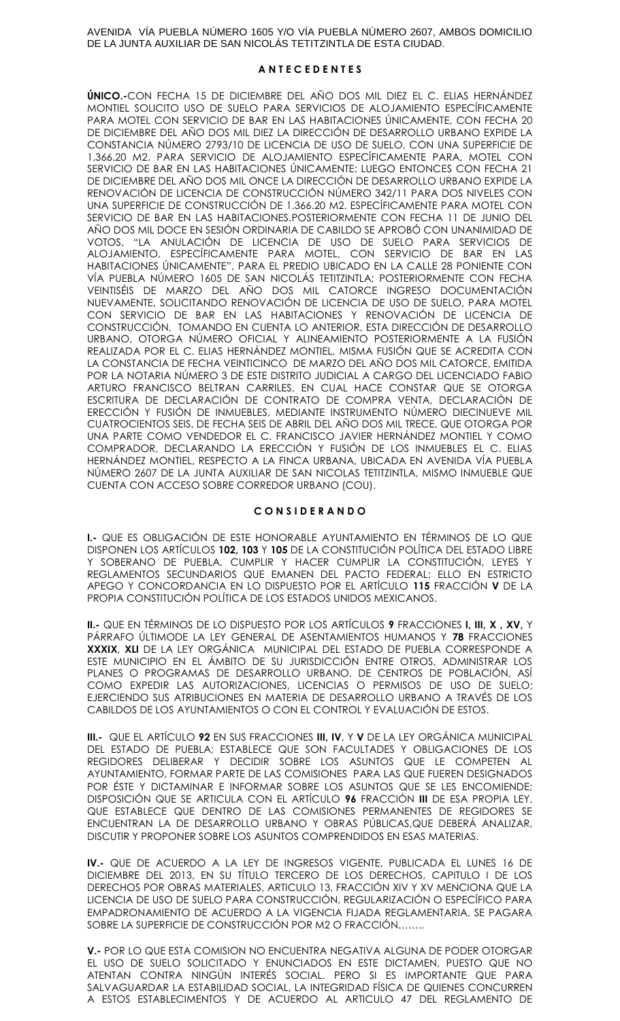AVENIDA VÍA PUEBLA NÚMERO 1605 Y/O VÍA PUEBLA NÚMERO 2607, AMBOS DOMICILIO DE LA JUNTA AUXILIAR DE SAN NICOLÁS TETITZINTLA DE ESTA CIUDAD.

### **A N T E C E D E N T E S**

**ÚNICO.-**CON FECHA 15 DE DICIEMBRE DEL AÑO DOS MIL DIEZ EL C. ELIAS HERNÁNDEZ MONTIEL SOLICITO USO DE SUELO PARA SERVICIOS DE ALOJAMIENTO ESPECÍFICAMENTE PARA MOTEL CON SERVICIO DE BAR EN LAS HABITACIONES ÚNICAMENTE, CON FECHA 20 DE DICIEMBRE DEL AÑO DOS MIL DIEZ LA DIRECCIÓN DE DESARROLLO URBANO EXPIDE LA CONSTANCIA NÚMERO 2793/10 DE LICENCIA DE USO DE SUELO, CON UNA SUPERFICIE DE 1,366.20 M2. PARA SERVICIO DE ALOJAMIENTO ESPECÍFICAMENTE PARA, MOTEL CON SERVICIO DE BAR EN LAS HABITACIONES ÚNICAMENTE; LUEGO ENTONCES CON FECHA 21 DE DICIEMBRE DEL AÑO DOS MIL ONCE LA DIRECCIÓN DE DESARROLLO URBANO EXPIDE LA RENOVACIÓN DE LICENCIA DE CONSTRUCCIÓN NÚMERO 342/11 PARA DOS NIVELES CON UNA SUPERFICIE DE CONSTRUCCIÓN DE 1.366.20 M2. ESPECÍFICAMENTE PARA MOTEL CON SERVICIO DE BAR EN LAS HABITACIONES.POSTERIORMENTE CON FECHA 11 DE JUNIO DEL AÑO DOS MIL DOCE EN SESIÓN ORDINARIA DE CABILDO SE APROBÓ CON UNANIMIDAD DE VOTOS, "LA ANULACIÓN DE LICENCIA DE USO DE SUELO PARA SERVICIOS DE ALOJAMIENTO, ESPECÍFICAMENTE PARA MOTEL, CON SERVICIO DE BAR EN LAS HABITACIONES ÚNICAMENTE", PARA EL PREDIO UBICADO EN LA CALLE 28 PONIENTE CON VÍA PUEBLA NÚMERO 1605 DE SAN NICOLÁS TETITZINTLA; POSTERIORMENTE CON FECHA VEINTISÉIS DE MARZO DEL AÑO DOS MIL CATORCE INGRESO DOCUMENTACIÓN NUEVAMENTE, SOLICITANDO RENOVACIÓN DE LICENCIA DE USO DE SUELO, PARA MOTEL CON SERVICIO DE BAR EN LAS HABITACIONES Y RENOVACIÓN DE LICENCIA DE CONSTRUCCIÓN, TOMANDO EN CUENTA LO ANTERIOR, ESTA DIRECCIÓN DE DESARROLLO URBANO, OTORGA NÚMERO OFICIAL Y ALINEAMIENTO POSTERIORMENTE A LA FUSIÓN REALIZADA POR EL C. ELIAS HERNÁNDEZ MONTIEL, MISMA FUSIÓN QUE SE ACREDITA CON LA CONSTANCIA DE FECHA VEINTICINCO DE MARZO DEL AÑO DOS MIL CATORCE, EMITIDA POR LA NOTARIA NÚMERO 3 DE ESTE DISTRITO JUDICIAL A CARGO DEL LICENCIADO FABIO ARTURO FRANCISCO BELTRAN CARRILES, EN CUAL HACE CONSTAR QUE SE OTORGA ESCRITURA DE DECLARACIÓN DE CONTRATO DE COMPRA VENTA, DECLARACIÓN DE ERECCIÓN Y FUSIÓN DE INMUEBLES, MEDIANTE INSTRUMENTO NÚMERO DIECINUEVE MIL CUATROCIENTOS SEIS, DE FECHA SEIS DE ABRIL DEL AÑO DOS MIL TRECE, QUE OTORGA POR UNA PARTE COMO VENDEDOR EL C. FRANCISCO JAVIER HERNÁNDEZ MONTIEL Y COMO COMPRADOR, DECLARANDO LA ERECCIÓN Y FUSIÓN DE LOS INMUEBLES EL C. ELIAS HERNÁNDEZ MONTIEL, RESPECTO A LA FINCA URBANA, UBICADA EN AVENIDA VÍA PUEBLA NÚMERO 2607 DE LA JUNTA AUXILIAR DE SAN NICOLAS TETITZINTLA, MISMO INMUEBLE QUE CUENTA CON ACCESO SOBRE CORREDOR URBANO (COU).

### **C O N S I D E R A N D O**

**I.-** QUE ES OBLIGACIÓN DE ESTE HONORABLE AYUNTAMIENTO EN TÉRMINOS DE LO QUE DISPONEN LOS ARTÍCULOS **102, 103** Y **105** DE LA CONSTITUCIÓN POLÍTICA DEL ESTADO LIBRE Y SOBERANO DE PUEBLA, CUMPLIR Y HACER CUMPLIR LA CONSTITUCIÓN, LEYES Y REGLAMENTOS SECUNDARIOS QUE EMANEN DEL PACTO FEDERAL; ELLO EN ESTRICTO APEGO Y CONCORDANCIA EN LO DISPUESTO POR EL ARTÍCULO **115** FRACCIÓN **V** DE LA PROPIA CONSTITUCIÓN POLÍTICA DE LOS ESTADOS UNIDOS MEXICANOS.

**II.-** QUE EN TÉRMINOS DE LO DISPUESTO POR LOS ARTÍCULOS **9** FRACCIONES **I, III, X , XV,** Y PÁRRAFO ÚLTIMODE LA LEY GENERAL DE ASENTAMIENTOS HUMANOS Y **78** FRACCIONES **XXXIX**, **XLI** DE LA LEY ORGÁNICA MUNICIPAL DEL ESTADO DE PUEBLA CORRESPONDE A ESTE MUNICIPIO EN EL ÁMBITO DE SU JURISDICCIÓN ENTRE OTROS, ADMINISTRAR LOS PLANES O PROGRAMAS DE DESARROLLO URBANO, DE CENTROS DE POBLACIÓN, ASÍ COMO EXPEDIR LAS AUTORIZACIONES, LICENCIAS O PERMISOS DE USO DE SUELO; EJERCIENDO SUS ATRIBUCIONES EN MATERIA DE DESARROLLO URBANO A TRAVÉS DE LOS CABILDOS DE LOS AYUNTAMIENTOS O CON EL CONTROL Y EVALUACIÓN DE ESTOS.

**III.-** QUE EL ARTÍCULO **92** EN SUS FRACCIONES **III, IV**, Y **V** DE LA LEY ORGÁNICA MUNICIPAL DEL ESTADO DE PUEBLA; ESTABLECE QUE SON FACULTADES Y OBLIGACIONES DE LOS REGIDORES DELIBERAR Y DECIDIR SOBRE LOS ASUNTOS QUE LE COMPETEN AL AYUNTAMIENTO, FORMAR PARTE DE LAS COMISIONES PARA LAS QUE FUEREN DESIGNADOS POR ÉSTE Y DICTAMINAR E INFORMAR SOBRE LOS ASUNTOS QUE SE LES ENCOMIENDE; DISPOSICIÓN QUE SE ARTICULA CON EL ARTÍCULO **96** FRACCIÓN **III** DE ESA PROPIA LEY, QUE ESTABLECE QUE DENTRO DE LAS COMISIONES PERMANENTES DE REGIDORES SE ENCUENTRAN LA DE DESARROLLO URBANO Y OBRAS PÚBLICAS,QUE DEBERÁ ANALIZAR, DISCUTIR Y PROPONER SOBRE LOS ASUNTOS COMPRENDIDOS EN ESAS MATERIAS.

**IV.-** QUE DE ACUERDO A LA LEY DE INGRESOS VIGENTE, PUBLICADA EL LUNES 16 DE DICIEMBRE DEL 2013, EN SU TÍTULO TERCERO DE LOS DERECHOS, CAPITULO I DE LOS DERECHOS POR OBRAS MATERIALES, ARTICULO 13, FRACCIÓN XIV Y XV MENCIONA QUE LA LICENCIA DE USO DE SUELO PARA CONSTRUCCIÓN, REGULARIZACIÓN O ESPECÍFICO PARA EMPADRONAMIENTO DE ACUERDO A LA VIGENCIA FIJADA REGLAMENTARIA, SE PAGARA SOBRE LA SUPERFICIE DE CONSTRUCCIÓN POR M2 O FRACCIÓN……..

**V.-** POR LO QUE ESTA COMISION NO ENCUENTRA NEGATIVA ALGUNA DE PODER OTORGAR EL USO DE SUELO SOLICITADO Y ENUNCIADOS EN ESTE DICTAMEN, PUESTO QUE NO ATENTAN CONTRA NINGÚN INTERÉS SOCIAL. PERO SI ES IMPORTANTE QUE PARA SALVAGUARDAR LA ESTABILIDAD SOCIAL, LA INTEGRIDAD FÍSICA DE QUIENES CONCURREN A ESTOS ESTABLECIMENTOS Y DE ACUERDO AL ARTICULO 47 DEL REGLAMENTO DE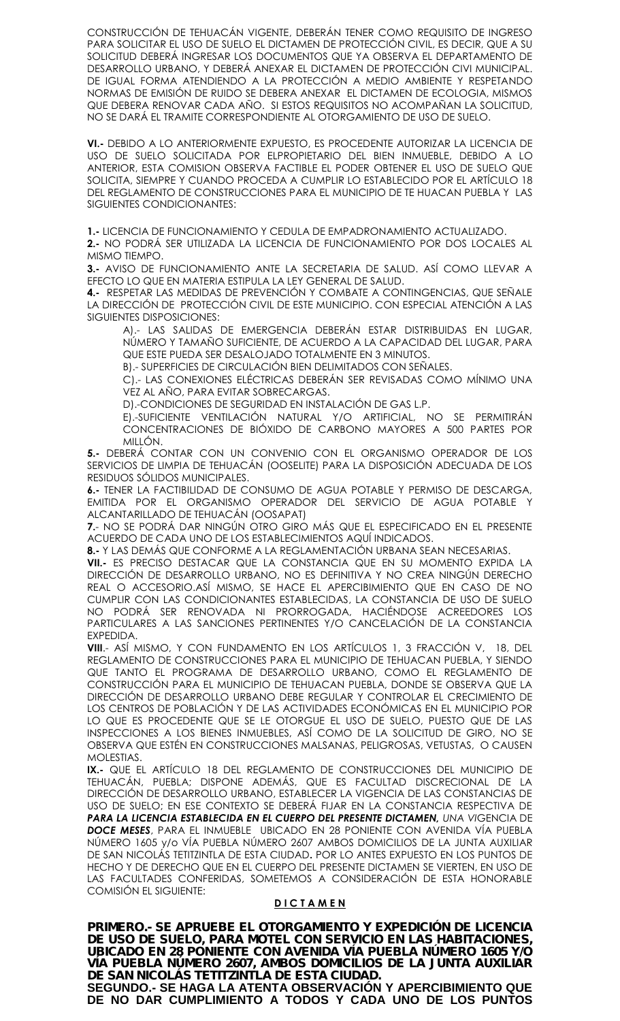CONSTRUCCIÓN DE TEHUACÁN VIGENTE, DEBERÁN TENER COMO REQUISITO DE INGRESO PARA SOLICITAR EL USO DE SUELO EL DICTAMEN DE PROTECCIÓN CIVIL, ES DECIR, QUE A SU SOLICITUD DEBERÁ INGRESAR LOS DOCUMENTOS QUE YA OBSERVA EL DEPARTAMENTO DE DESARROLLO URBANO, Y DEBERÁ ANEXAR EL DICTAMEN DE PROTECCIÓN CIVI MUNICIPAL. DE IGUAL FORMA ATENDIENDO A LA PROTECCIÓN A MEDIO AMBIENTE Y RESPETANDO NORMAS DE EMISIÓN DE RUIDO SE DEBERA ANEXAR EL DICTAMEN DE ECOLOGIA, MISMOS QUE DEBERA RENOVAR CADA AÑO. SI ESTOS REQUISITOS NO ACOMPAÑAN LA SOLICITUD, NO SE DARÁ EL TRAMITE CORRESPONDIENTE AL OTORGAMIENTO DE USO DE SUELO.

**VI.-** DEBIDO A LO ANTERIORMENTE EXPUESTO, ES PROCEDENTE AUTORIZAR LA LICENCIA DE USO DE SUELO SOLICITADA POR ELPROPIETARIO DEL BIEN INMUEBLE, DEBIDO A LO ANTERIOR, ESTA COMISION OBSERVA FACTIBLE EL PODER OBTENER EL USO DE SUELO QUE SOLICITA, SIEMPRE Y CUANDO PROCEDA A CUMPLIR LO ESTABLECIDO POR EL ARTÍCULO 18 DEL REGLAMENTO DE CONSTRUCCIONES PARA EL MUNICIPIO DE TE HUACAN PUEBLA Y LAS SIGUIENTES CONDICIONANTES:

**1.-** LICENCIA DE FUNCIONAMIENTO Y CEDULA DE EMPADRONAMIENTO ACTUALIZADO.

**2.-** NO PODRÁ SER UTILIZADA LA LICENCIA DE FUNCIONAMIENTO POR DOS LOCALES AL MISMO TIEMPO.

**3.-** AVISO DE FUNCIONAMIENTO ANTE LA SECRETARIA DE SALUD. ASÍ COMO LLEVAR A EFECTO LO QUE EN MATERIA ESTIPULA LA LEY GENERAL DE SALUD.

**4.-** RESPETAR LAS MEDIDAS DE PREVENCIÓN Y COMBATE A CONTINGENCIAS, QUE SEÑALE LA DIRECCIÓN DE PROTECCIÓN CIVIL DE ESTE MUNICIPIO. CON ESPECIAL ATENCIÓN A LAS SIGUIENTES DISPOSICIONES:

A).- LAS SALIDAS DE EMERGENCIA DEBERÁN ESTAR DISTRIBUIDAS EN LUGAR, NÚMERO Y TAMAÑO SUFICIENTE, DE ACUERDO A LA CAPACIDAD DEL LUGAR, PARA QUE ESTE PUEDA SER DESALOJADO TOTALMENTE EN 3 MINUTOS.

B).- SUPERFICIES DE CIRCULACIÓN BIEN DELIMITADOS CON SEÑALES.

C).- LAS CONEXIONES ELÉCTRICAS DEBERÁN SER REVISADAS COMO MÍNIMO UNA VEZ AL AÑO, PARA EVITAR SOBRECARGAS.

D).-CONDICIONES DE SEGURIDAD EN INSTALACIÓN DE GAS L.P.

E).-SUFICIENTE VENTILACIÓN NATURAL Y/O ARTIFICIAL, NO SE PERMITIRÁN CONCENTRACIONES DE BIÓXIDO DE CARBONO MAYORES A 500 PARTES POR MILLÓN.

**5.-** DEBERÁ CONTAR CON UN CONVENIO CON EL ORGANISMO OPERADOR DE LOS SERVICIOS DE LIMPIA DE TEHUACÁN (OOSELITE) PARA LA DISPOSICIÓN ADECUADA DE LOS RESIDUOS SÓLIDOS MUNICIPALES.

**6.-** TENER LA FACTIBILIDAD DE CONSUMO DE AGUA POTABLE Y PERMISO DE DESCARGA, EMITIDA POR EL ORGANISMO OPERADOR DEL SERVICIO DE AGUA POTABLE Y ALCANTARILLADO DE TEHUACÁN (OOSAPAT)

**7.**- NO SE PODRÁ DAR NINGÚN OTRO GIRO MÁS QUE EL ESPECIFICADO EN EL PRESENTE ACUERDO DE CADA UNO DE LOS ESTABLECIMIENTOS AQUÍ INDICADOS.

**8.-** Y LAS DEMÁS QUE CONFORME A LA REGLAMENTACIÓN URBANA SEAN NECESARIAS.

**VII.-** ES PRECISO DESTACAR QUE LA CONSTANCIA QUE EN SU MOMENTO EXPIDA LA DIRECCIÓN DE DESARROLLO URBANO, NO ES DEFINITIVA Y NO CREA NINGÚN DERECHO REAL O ACCESORIO.ASÍ MISMO, SE HACE EL APERCIBIMIENTO QUE EN CASO DE NO CUMPLIR CON LAS CONDICIONANTES ESTABLECIDAS, LA CONSTANCIA DE USO DE SUELO NO PODRÁ SER RENOVADA NI PRORROGADA, HACIÉNDOSE ACREEDORES LOS PARTICULARES A LAS SANCIONES PERTINENTES Y/O CANCELACIÓN DE LA CONSTANCIA EXPEDIDA.

**VIII**.- ASÍ MISMO, Y CON FUNDAMENTO EN LOS ARTÍCULOS 1, 3 FRACCIÓN V, 18, DEL REGLAMENTO DE CONSTRUCCIONES PARA EL MUNICIPIO DE TEHUACAN PUEBLA, Y SIENDO QUE TANTO EL PROGRAMA DE DESARROLLO URBANO, COMO EL REGLAMENTO DE CONSTRUCCIÓN PARA EL MUNICIPIO DE TEHUACAN PUEBLA, DONDE SE OBSERVA QUE LA DIRECCIÓN DE DESARROLLO URBANO DEBE REGULAR Y CONTROLAR EL CRECIMIENTO DE LOS CENTROS DE POBLACIÓN Y DE LAS ACTIVIDADES ECONÓMICAS EN EL MUNICIPIO POR LO QUE ES PROCEDENTE QUE SE LE OTORGUE EL USO DE SUELO, PUESTO QUE DE LAS INSPECCIONES A LOS BIENES INMUEBLES, ASÍ COMO DE LA SOLICITUD DE GIRO, NO SE OBSERVA QUE ESTÉN EN CONSTRUCCIONES MALSANAS, PELIGROSAS, VETUSTAS, O CAUSEN MOLESTIAS.

**IX.-** QUE EL ARTÍCULO 18 DEL REGLAMENTO DE CONSTRUCCIONES DEL MUNICIPIO DE TEHUACÁN, PUEBLA; DISPONE ADEMÁS, QUE ES FACULTAD DISCRECIONAL DE LA DIRECCIÓN DE DESARROLLO URBANO, ESTABLECER LA VIGENCIA DE LAS CONSTANCIAS DE USO DE SUELO; EN ESE CONTEXTO SE DEBERÁ FIJAR EN LA CONSTANCIA RESPECTIVA DE *PARA LA LICENCIA ESTABLECIDA EN EL CUERPO DEL PRESENTE DICTAMEN, UNA VI*GENCIA DE *DOCE MESES*, PARA EL INMUEBLE UBICADO EN 28 PONIENTE CON AVENIDA VÍA PUEBLA NÚMERO 1605 y/o VÍA PUEBLA NÚMERO 2607 AMBOS DOMICILIOS DE LA JUNTA AUXILIAR DE SAN NICOLÁS TETITZINTLA DE ESTA CIUDAD**.** POR LO ANTES EXPUESTO EN LOS PUNTOS DE HECHO Y DE DERECHO QUE EN EL CUERPO DEL PRESENTE DICTAMEN SE VIERTEN, EN USO DE LAS FACULTADES CONFERIDAS, SOMETEMOS A CONSIDERACIÓN DE ESTA HONORABLE COMISIÓN EL SIGUIENTE:

### **D I C T A M E N**

*PRIMERO.- SE APRUEBE EL OTORGAMIENTO Y EXPEDICIÓN DE LICENCIA DE USO DE SUELO, PARA MOTEL CON SERVICIO EN LAS HABITACIONES, UBICADO EN 28 PONIENTE CON AVENIDA VÍA PUEBLA NÚMERO 1605 Y/O VÍA PUEBLA NÚMERO 2607, AMBOS DOMICILIOS DE LA JUNTA AUXILIAR DE SAN NICOLÁS TETITZINTLA DE ESTA CIUDAD.*

**SEGUNDO.- SE HAGA LA ATENTA OBSERVACIÓN Y APERCIBIMIENTO QUE DE NO DAR CUMPLIMIENTO A TODOS Y CADA UNO DE LOS PUNTOS**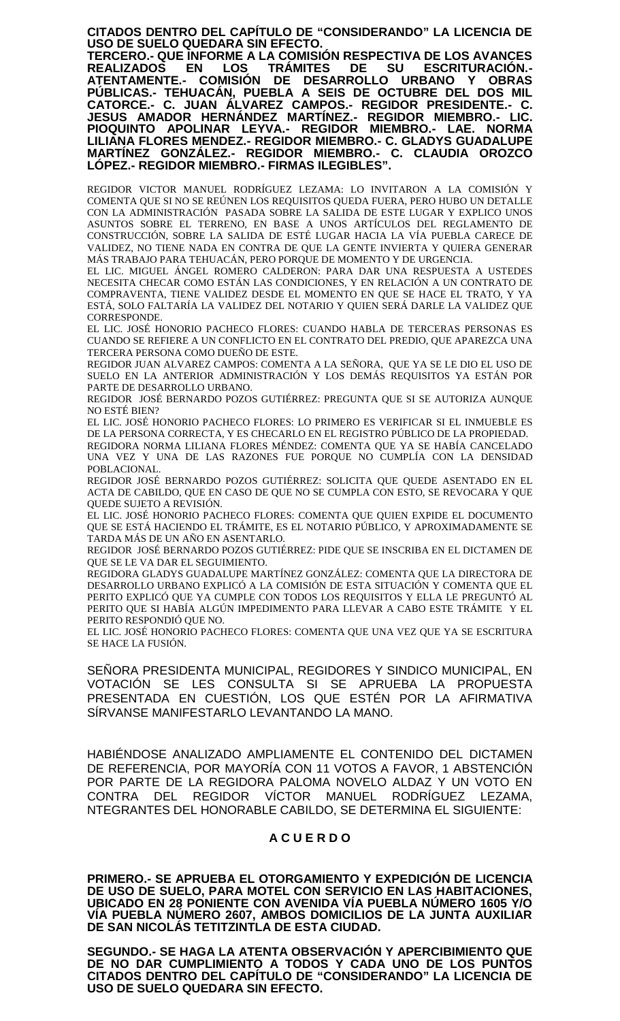**CITADOS DENTRO DEL CAPÍTULO DE "CONSIDERANDO" LA LICENCIA DE USO DE SUELO QUEDARA SIN EFECTO.**

**TERCERO.- QUE INFORME A LA COMISIÓN RESPECTIVA DE LOS AVANCES REALIZADOS EN LOS TRÁMITES DE SU ESCRITURACIÓN.- ATENTAMENTE.- COMISIÓN DE DESARROLLO URBANO Y OBRAS PÚBLICAS.- TEHUACÁN, PUEBLA A SEIS DE OCTUBRE DEL DOS MIL CATORCE.- C. JUAN ÁLVAREZ CAMPOS.- REGIDOR PRESIDENTE.- C. JESUS AMADOR HERNÁNDEZ MARTÍNEZ.- REGIDOR MIEMBRO.- LIC. PIOQUINTO APOLINAR LEYVA.- REGIDOR MIEMBRO.- LAE. NORMA LILIANA FLORES MENDEZ.- REGIDOR MIEMBRO.- C. GLADYS GUADALUPE MARTÍNEZ GONZÁLEZ.- REGIDOR MIEMBRO.- C. CLAUDIA OROZCO LÓPEZ.- REGIDOR MIEMBRO.- FIRMAS ILEGIBLES".**

REGIDOR VICTOR MANUEL RODRÍGUEZ LEZAMA: LO INVITARON A LA COMISIÓN Y COMENTA QUE SI NO SE REÚNEN LOS REQUISITOS QUEDA FUERA, PERO HUBO UN DETALLE CON LA ADMINISTRACIÓN PASADA SOBRE LA SALIDA DE ESTE LUGAR Y EXPLICO UNOS ASUNTOS SOBRE EL TERRENO, EN BASE A UNOS ARTÍCULOS DEL REGLAMENTO DE CONSTRUCCIÓN, SOBRE LA SALIDA DE ESTÉ LUGAR HACIA LA VÍA PUEBLA CARECE DE VALIDEZ, NO TIENE NADA EN CONTRA DE QUE LA GENTE INVIERTA Y QUIERA GENERAR MÁS TRABAJO PARA TEHUACÁN, PERO PORQUE DE MOMENTO Y DE URGENCIA.

EL LIC. MIGUEL ÁNGEL ROMERO CALDERON: PARA DAR UNA RESPUESTA A USTEDES NECESITA CHECAR COMO ESTÁN LAS CONDICIONES, Y EN RELACIÓN A UN CONTRATO DE COMPRAVENTA, TIENE VALIDEZ DESDE EL MOMENTO EN QUE SE HACE EL TRATO, Y YA ESTÁ, SOLO FALTARÍA LA VALIDEZ DEL NOTARIO Y QUIEN SERÁ DARLE LA VALIDEZ QUE CORRESPONDE.

EL LIC. JOSÉ HONORIO PACHECO FLORES: CUANDO HABLA DE TERCERAS PERSONAS ES CUANDO SE REFIERE A UN CONFLICTO EN EL CONTRATO DEL PREDIO, QUE APAREZCA UNA TERCERA PERSONA COMO DUEÑO DE ESTE.

REGIDOR JUAN ALVAREZ CAMPOS: COMENTA A LA SEÑORA, QUE YA SE LE DIO EL USO DE SUELO EN LA ANTERIOR ADMINISTRACIÓN Y LOS DEMÁS REQUISITOS YA ESTÁN POR PARTE DE DESARROLLO URBANO.

REGIDOR JOSÉ BERNARDO POZOS GUTIÉRREZ: PREGUNTA QUE SI SE AUTORIZA AUNQUE NO ESTÉ BIEN?

EL LIC. JOSÉ HONORIO PACHECO FLORES: LO PRIMERO ES VERIFICAR SI EL INMUEBLE ES DE LA PERSONA CORRECTA, Y ES CHECARLO EN EL REGISTRO PÚBLICO DE LA PROPIEDAD. REGIDORA NORMA LILIANA FLORES MÉNDEZ: COMENTA QUE YA SE HABÍA CANCELADO UNA VEZ Y UNA DE LAS RAZONES FUE PORQUE NO CUMPLÍA CON LA DENSIDAD

POBLACIONAL. REGIDOR JOSÉ BERNARDO POZOS GUTIÉRREZ: SOLICITA QUE QUEDE ASENTADO EN EL ACTA DE CABILDO, QUE EN CASO DE QUE NO SE CUMPLA CON ESTO, SE REVOCARA Y QUE QUEDE SUJETO A REVISIÓN.

EL LIC. JOSÉ HONORIO PACHECO FLORES: COMENTA QUE QUIEN EXPIDE EL DOCUMENTO QUE SE ESTÁ HACIENDO EL TRÁMITE, ES EL NOTARIO PÚBLICO, Y APROXIMADAMENTE SE TARDA MÁS DE UN AÑO EN ASENTARLO.

REGIDOR JOSÉ BERNARDO POZOS GUTIÉRREZ: PIDE QUE SE INSCRIBA EN EL DICTAMEN DE QUE SE LE VA DAR EL SEGUIMIENTO.

REGIDORA GLADYS GUADALUPE MARTÍNEZ GONZÁLEZ: COMENTA QUE LA DIRECTORA DE DESARROLLO URBANO EXPLICÓ A LA COMISIÓN DE ESTA SITUACIÓN Y COMENTA QUE EL PERITO EXPLICÓ QUE YA CUMPLE CON TODOS LOS REQUISITOS Y ELLA LE PREGUNTÓ AL PERITO QUE SI HABÍA ALGÚN IMPEDIMENTO PARA LLEVAR A CABO ESTE TRÁMITE Y EL PERITO RESPONDIÓ QUE NO.

EL LIC. JOSÉ HONORIO PACHECO FLORES: COMENTA QUE UNA VEZ QUE YA SE ESCRITURA SE HACE LA FUSIÓN.

SEÑORA PRESIDENTA MUNICIPAL, REGIDORES Y SINDICO MUNICIPAL, EN VOTACIÓN SE LES CONSULTA SI SE APRUEBA LA PROPUESTA PRESENTADA EN CUESTIÓN, LOS QUE ESTÉN POR LA AFIRMATIVA SÍRVANSE MANIFESTARLO LEVANTANDO LA MANO.

HABIÉNDOSE ANALIZADO AMPLIAMENTE EL CONTENIDO DEL DICTAMEN DE REFERENCIA, POR MAYORÍA CON 11 VOTOS A FAVOR, 1 ABSTENCIÓN POR PARTE DE LA REGIDORA PALOMA NOVELO ALDAZ Y UN VOTO EN CONTRA DEL REGIDOR VÍCTOR MANUEL RODRÍGUEZ LEZAMA, NTEGRANTES DEL HONORABLE CABILDO, SE DETERMINA EL SIGUIENTE:

# **A C U E R D O**

**PRIMERO.- SE APRUEBA EL OTORGAMIENTO Y EXPEDICIÓN DE LICENCIA DE USO DE SUELO, PARA MOTEL CON SERVICIO EN LAS HABITACIONES, UBICADO EN 28 PONIENTE CON AVENIDA VÍA PUEBLA NÚMERO 1605 Y/O VÍA PUEBLA NÚMERO 2607, AMBOS DOMICILIOS DE LA JUNTA AUXILIAR DE SAN NICOLÁS TETITZINTLA DE ESTA CIUDAD.**

**SEGUNDO.- SE HAGA LA ATENTA OBSERVACIÓN Y APERCIBIMIENTO QUE DE NO DAR CUMPLIMIENTO A TODOS Y CADA UNO DE LOS PUNTOS CITADOS DENTRO DEL CAPÍTULO DE "CONSIDERANDO" LA LICENCIA DE USO DE SUELO QUEDARA SIN EFECTO.**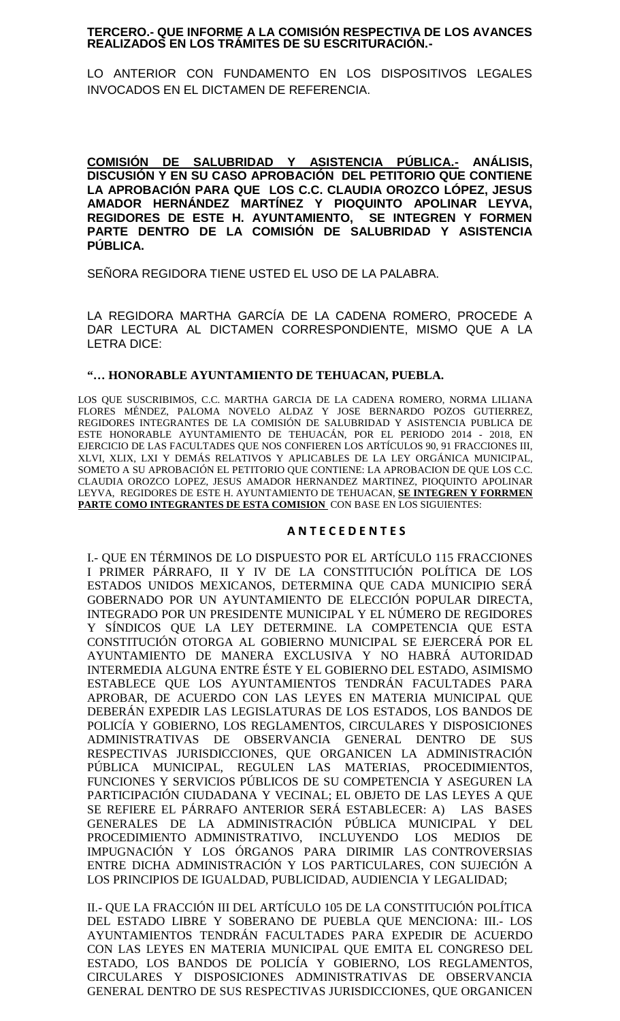# **TERCERO.- QUE INFORME A LA COMISIÓN RESPECTIVA DE LOS AVANCES REALIZADOS EN LOS TRÁMITES DE SU ESCRITURACIÓN.-**

LO ANTERIOR CON FUNDAMENTO EN LOS DISPOSITIVOS LEGALES INVOCADOS EN EL DICTAMEN DE REFERENCIA.

**COMISIÓN DE SALUBRIDAD Y ASISTENCIA PÚBLICA.- ANÁLISIS, DISCUSIÓN Y EN SU CASO APROBACIÓN DEL PETITORIO QUE CONTIENE LA APROBACIÓN PARA QUE LOS C.C. CLAUDIA OROZCO LÓPEZ, JESUS AMADOR HERNÁNDEZ MARTÍNEZ Y PIOQUINTO APOLINAR LEYVA, REGIDORES DE ESTE H. AYUNTAMIENTO, SE INTEGREN Y FORMEN PARTE DENTRO DE LA COMISIÓN DE SALUBRIDAD Y ASISTENCIA PÚBLICA.**

SEÑORA REGIDORA TIENE USTED EL USO DE LA PALABRA.

LA REGIDORA MARTHA GARCÍA DE LA CADENA ROMERO, PROCEDE A DAR LECTURA AL DICTAMEN CORRESPONDIENTE, MISMO QUE A LA LETRA DICE:

# **"… HONORABLE AYUNTAMIENTO DE TEHUACAN, PUEBLA.**

LOS QUE SUSCRIBIMOS, C.C. MARTHA GARCIA DE LA CADENA ROMERO, NORMA LILIANA FLORES MÉNDEZ, PALOMA NOVELO ALDAZ Y JOSE BERNARDO POZOS GUTIERREZ, REGIDORES INTEGRANTES DE LA COMISIÓN DE SALUBRIDAD Y ASISTENCIA PUBLICA DE ESTE HONORABLE AYUNTAMIENTO DE TEHUACÁN, POR EL PERIODO 2014 - 2018, EN EJERCICIO DE LAS FACULTADES QUE NOS CONFIEREN LOS ARTÍCULOS 90, 91 FRACCIONES III, XLVI, XLIX, LXI Y DEMÁS RELATIVOS Y APLICABLES DE LA LEY ORGÁNICA MUNICIPAL, SOMETO A SU APROBACIÓN EL PETITORIO QUE CONTIENE: LA APROBACION DE QUE LOS C.C. CLAUDIA OROZCO LOPEZ, JESUS AMADOR HERNANDEZ MARTINEZ, PIOQUINTO APOLINAR LEYVA, REGIDORES DE ESTE H. AYUNTAMIENTO DE TEHUACAN, **SE INTEGREN Y FORRMEN PARTE COMO INTEGRANTES DE ESTA COMISION** CON BASE EN LOS SIGUIENTES:

### **A N T E C E D E N T E S**

I.- QUE EN TÉRMINOS DE LO DISPUESTO POR EL ARTÍCULO 115 FRACCIONES I PRIMER PÁRRAFO, II Y IV DE LA CONSTITUCIÓN POLÍTICA DE LOS ESTADOS UNIDOS MEXICANOS, DETERMINA QUE CADA MUNICIPIO SERÁ GOBERNADO POR UN AYUNTAMIENTO DE ELECCIÓN POPULAR DIRECTA, INTEGRADO POR UN PRESIDENTE MUNICIPAL Y EL NÚMERO DE REGIDORES Y SÍNDICOS QUE LA LEY DETERMINE. LA COMPETENCIA QUE ESTA CONSTITUCIÓN OTORGA AL GOBIERNO MUNICIPAL SE EJERCERÁ POR EL AYUNTAMIENTO DE MANERA EXCLUSIVA Y NO HABRÁ AUTORIDAD INTERMEDIA ALGUNA ENTRE ÉSTE Y EL GOBIERNO DEL ESTADO, ASIMISMO ESTABLECE QUE LOS AYUNTAMIENTOS TENDRÁN FACULTADES PARA APROBAR, DE ACUERDO CON LAS LEYES EN MATERIA MUNICIPAL QUE DEBERÁN EXPEDIR LAS LEGISLATURAS DE LOS ESTADOS, LOS BANDOS DE POLICÍA Y GOBIERNO, LOS REGLAMENTOS, CIRCULARES Y DISPOSICIONES ADMINISTRATIVAS DE OBSERVANCIA GENERAL DENTRO DE SUS RESPECTIVAS JURISDICCIONES, QUE ORGANICEN LA ADMINISTRACIÓN PÚBLICA MUNICIPAL, REGULEN LAS MATERIAS, PROCEDIMIENTOS, FUNCIONES Y SERVICIOS PÚBLICOS DE SU COMPETENCIA Y ASEGUREN LA PARTICIPACIÓN CIUDADANA Y VECINAL; EL OBJETO DE LAS LEYES A QUE SE REFIERE EL PÁRRAFO ANTERIOR SERÁ ESTABLECER: A) LAS BASES GENERALES DE LA ADMINISTRACIÓN PÚBLICA MUNICIPAL Y DEL PROCEDIMIENTO ADMINISTRATIVO, INCLUYENDO LOS MEDIOS DE IMPUGNACIÓN Y LOS ÓRGANOS PARA DIRIMIR LAS CONTROVERSIAS ENTRE DICHA ADMINISTRACIÓN Y LOS PARTICULARES, CON SUJECIÓN A LOS PRINCIPIOS DE IGUALDAD, PUBLICIDAD, AUDIENCIA Y LEGALIDAD;

II.- QUE LA FRACCIÓN III DEL ARTÍCULO 105 DE LA CONSTITUCIÓN POLÍTICA DEL ESTADO LIBRE Y SOBERANO DE PUEBLA QUE MENCIONA: III.- LOS AYUNTAMIENTOS TENDRÁN FACULTADES PARA EXPEDIR DE ACUERDO CON LAS LEYES EN MATERIA MUNICIPAL QUE EMITA EL CONGRESO DEL ESTADO, LOS BANDOS DE POLICÍA Y GOBIERNO, LOS REGLAMENTOS, CIRCULARES Y DISPOSICIONES ADMINISTRATIVAS DE OBSERVANCIA GENERAL DENTRO DE SUS RESPECTIVAS JURISDICCIONES, QUE ORGANICEN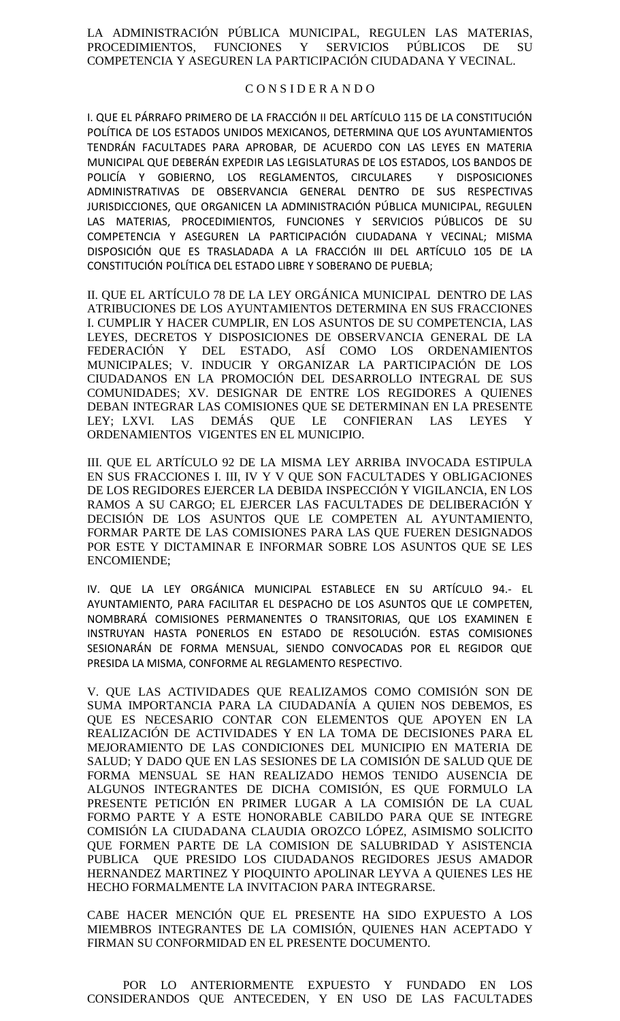LA ADMINISTRACIÓN PÚBLICA MUNICIPAL, REGULEN LAS MATERIAS, PROCEDIMIENTOS, FUNCIONES Y SERVICIOS PÚBLICOS DE SU COMPETENCIA Y ASEGUREN LA PARTICIPACIÓN CIUDADANA Y VECINAL.

### C O N S I D E R A N D O

I. QUE EL PÁRRAFO PRIMERO DE LA FRACCIÓN II DEL ARTÍCULO 115 DE LA CONSTITUCIÓN POLÍTICA DE LOS ESTADOS UNIDOS MEXICANOS, DETERMINA QUE LOS AYUNTAMIENTOS TENDRÁN FACULTADES PARA APROBAR, DE ACUERDO CON LAS LEYES EN MATERIA MUNICIPAL QUE DEBERÁN EXPEDIR LAS LEGISLATURAS DE LOS ESTADOS, LOS BANDOS DE POLICÍA Y GOBIERNO, LOS REGLAMENTOS, CIRCULARES Y DISPOSICIONES ADMINISTRATIVAS DE OBSERVANCIA GENERAL DENTRO DE SUS RESPECTIVAS JURISDICCIONES, QUE ORGANICEN LA ADMINISTRACIÓN PÚBLICA MUNICIPAL, REGULEN LAS MATERIAS, PROCEDIMIENTOS, FUNCIONES Y SERVICIOS PÚBLICOS DE SU COMPETENCIA Y ASEGUREN LA PARTICIPACIÓN CIUDADANA Y VECINAL; MISMA DISPOSICIÓN QUE ES TRASLADADA A LA FRACCIÓN III DEL ARTÍCULO 105 DE LA CONSTITUCIÓN POLÍTICA DEL ESTADO LIBRE Y SOBERANO DE PUEBLA;

II. QUE EL ARTÍCULO 78 DE LA LEY ORGÁNICA MUNICIPAL DENTRO DE LAS ATRIBUCIONES DE LOS AYUNTAMIENTOS DETERMINA EN SUS FRACCIONES I. CUMPLIR Y HACER CUMPLIR, EN LOS ASUNTOS DE SU COMPETENCIA, LAS LEYES, DECRETOS Y DISPOSICIONES DE OBSERVANCIA GENERAL DE LA FEDERACIÓN Y DEL ESTADO, ASÍ COMO LOS ORDENAMIENTOS MUNICIPALES; V. INDUCIR Y ORGANIZAR LA PARTICIPACIÓN DE LOS CIUDADANOS EN LA PROMOCIÓN DEL DESARROLLO INTEGRAL DE SUS COMUNIDADES; XV. DESIGNAR DE ENTRE LOS REGIDORES A QUIENES DEBAN INTEGRAR LAS COMISIONES QUE SE DETERMINAN EN LA PRESENTE LEY; LXVI. LAS DEMÁS QUE LE CONFIERAN LAS LEYES Y ORDENAMIENTOS VIGENTES EN EL MUNICIPIO.

III. QUE EL ARTÍCULO 92 DE LA MISMA LEY ARRIBA INVOCADA ESTIPULA EN SUS FRACCIONES I. III, IV Y V QUE SON FACULTADES Y OBLIGACIONES DE LOS REGIDORES EJERCER LA DEBIDA INSPECCIÓN Y VIGILANCIA, EN LOS RAMOS A SU CARGO; EL EJERCER LAS FACULTADES DE DELIBERACIÓN Y DECISIÓN DE LOS ASUNTOS QUE LE COMPETEN AL AYUNTAMIENTO, FORMAR PARTE DE LAS COMISIONES PARA LAS QUE FUEREN DESIGNADOS POR ESTE Y DICTAMINAR E INFORMAR SOBRE LOS ASUNTOS QUE SE LES ENCOMIENDE;

IV. QUE LA LEY ORGÁNICA MUNICIPAL ESTABLECE EN SU ARTÍCULO 94.- EL AYUNTAMIENTO, PARA FACILITAR EL DESPACHO DE LOS ASUNTOS QUE LE COMPETEN, NOMBRARÁ COMISIONES PERMANENTES O TRANSITORIAS, QUE LOS EXAMINEN E INSTRUYAN HASTA PONERLOS EN ESTADO DE RESOLUCIÓN. ESTAS COMISIONES SESIONARÁN DE FORMA MENSUAL, SIENDO CONVOCADAS POR EL REGIDOR QUE PRESIDA LA MISMA, CONFORME AL REGLAMENTO RESPECTIVO.

V. QUE LAS ACTIVIDADES QUE REALIZAMOS COMO COMISIÓN SON DE SUMA IMPORTANCIA PARA LA CIUDADANÍA A QUIEN NOS DEBEMOS, ES QUE ES NECESARIO CONTAR CON ELEMENTOS QUE APOYEN EN LA REALIZACIÓN DE ACTIVIDADES Y EN LA TOMA DE DECISIONES PARA EL MEJORAMIENTO DE LAS CONDICIONES DEL MUNICIPIO EN MATERIA DE SALUD; Y DADO QUE EN LAS SESIONES DE LA COMISIÓN DE SALUD QUE DE FORMA MENSUAL SE HAN REALIZADO HEMOS TENIDO AUSENCIA DE ALGUNOS INTEGRANTES DE DICHA COMISIÓN, ES QUE FORMULO LA PRESENTE PETICIÓN EN PRIMER LUGAR A LA COMISIÓN DE LA CUAL FORMO PARTE Y A ESTE HONORABLE CABILDO PARA QUE SE INTEGRE COMISIÓN LA CIUDADANA CLAUDIA OROZCO LÓPEZ, ASIMISMO SOLICITO QUE FORMEN PARTE DE LA COMISION DE SALUBRIDAD Y ASISTENCIA PUBLICA QUE PRESIDO LOS CIUDADANOS REGIDORES JESUS AMADOR HERNANDEZ MARTINEZ Y PIOQUINTO APOLINAR LEYVA A QUIENES LES HE HECHO FORMALMENTE LA INVITACION PARA INTEGRARSE.

CABE HACER MENCIÓN QUE EL PRESENTE HA SIDO EXPUESTO A LOS MIEMBROS INTEGRANTES DE LA COMISIÓN, QUIENES HAN ACEPTADO Y FIRMAN SU CONFORMIDAD EN EL PRESENTE DOCUMENTO.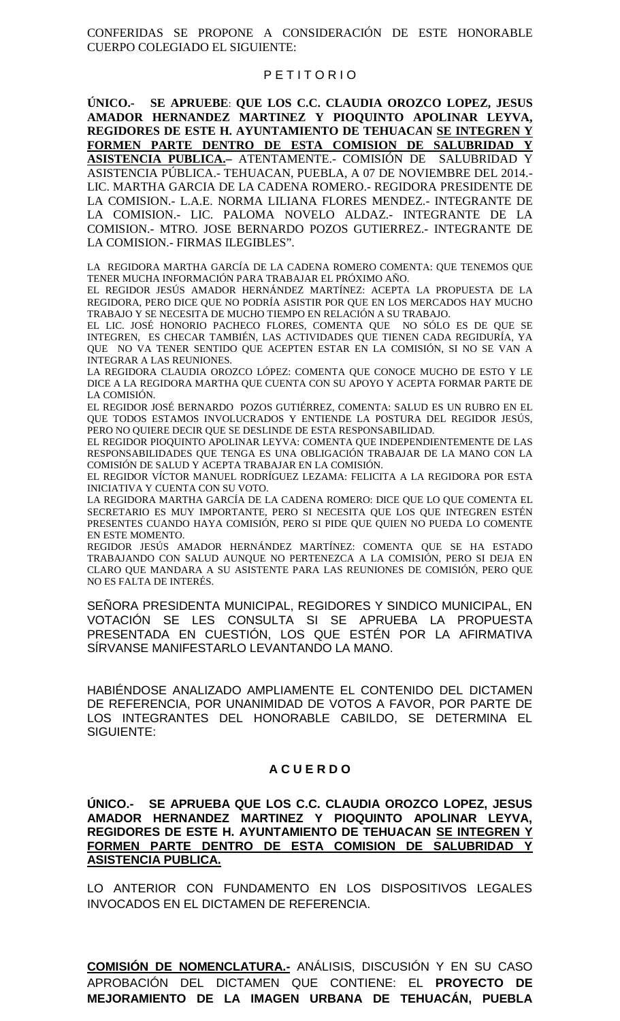CONFERIDAS SE PROPONE A CONSIDERACIÓN DE ESTE HONORABLE CUERPO COLEGIADO EL SIGUIENTE:

# P E T I T O R I O

**ÚNICO.- SE APRUEBE**: **QUE LOS C.C. CLAUDIA OROZCO LOPEZ, JESUS AMADOR HERNANDEZ MARTINEZ Y PIOQUINTO APOLINAR LEYVA, REGIDORES DE ESTE H. AYUNTAMIENTO DE TEHUACAN SE INTEGREN Y FORMEN PARTE DENTRO DE ESTA COMISION DE SALUBRIDAD Y ASISTENCIA PUBLICA.–** ATENTAMENTE.- COMISIÓN DE SALUBRIDAD Y ASISTENCIA PÚBLICA.- TEHUACAN, PUEBLA, A 07 DE NOVIEMBRE DEL 2014.- LIC. MARTHA GARCIA DE LA CADENA ROMERO.- REGIDORA PRESIDENTE DE LA COMISION.- L.A.E. NORMA LILIANA FLORES MENDEZ.- INTEGRANTE DE LA COMISION.- LIC. PALOMA NOVELO ALDAZ.- INTEGRANTE DE LA COMISION.- MTRO. JOSE BERNARDO POZOS GUTIERREZ.- INTEGRANTE DE LA COMISION.- FIRMAS ILEGIBLES".

LA REGIDORA MARTHA GARCÍA DE LA CADENA ROMERO COMENTA: QUE TENEMOS QUE TENER MUCHA INFORMACIÓN PARA TRABAJAR EL PRÓXIMO AÑO.

EL REGIDOR JESÚS AMADOR HERNÁNDEZ MARTÍNEZ: ACEPTA LA PROPUESTA DE LA REGIDORA, PERO DICE QUE NO PODRÍA ASISTIR POR QUE EN LOS MERCADOS HAY MUCHO TRABAJO Y SE NECESITA DE MUCHO TIEMPO EN RELACIÓN A SU TRABAJO.

EL LIC. JOSÉ HONORIO PACHECO FLORES, COMENTA QUE NO SÓLO ES DE QUE SE INTEGREN, ES CHECAR TAMBIÉN, LAS ACTIVIDADES QUE TIENEN CADA REGIDURÍA, YA QUE NO VA TENER SENTIDO QUE ACEPTEN ESTAR EN LA COMISIÓN, SI NO SE VAN A INTEGRAR A LAS REUNIONES.

LA REGIDORA CLAUDIA OROZCO LÓPEZ: COMENTA QUE CONOCE MUCHO DE ESTO Y LE DICE A LA REGIDORA MARTHA QUE CUENTA CON SU APOYO Y ACEPTA FORMAR PARTE DE LA COMISIÓN.

EL REGIDOR JOSÉ BERNARDO POZOS GUTIÉRREZ, COMENTA: SALUD ES UN RUBRO EN EL QUE TODOS ESTAMOS INVOLUCRADOS Y ENTIENDE LA POSTURA DEL REGIDOR JESÚS, PERO NO QUIERE DECIR QUE SE DESLINDE DE ESTA RESPONSABILIDAD.

EL REGIDOR PIOQUINTO APOLINAR LEYVA: COMENTA QUE INDEPENDIENTEMENTE DE LAS RESPONSABILIDADES QUE TENGA ES UNA OBLIGACIÓN TRABAJAR DE LA MANO CON LA COMISIÓN DE SALUD Y ACEPTA TRABAJAR EN LA COMISIÓN.

EL REGIDOR VÍCTOR MANUEL RODRÍGUEZ LEZAMA: FELICITA A LA REGIDORA POR ESTA INICIATIVA Y CUENTA CON SU VOTO.

LA REGIDORA MARTHA GARCÍA DE LA CADENA ROMERO: DICE QUE LO QUE COMENTA EL SECRETARIO ES MUY IMPORTANTE, PERO SI NECESITA QUE LOS QUE INTEGREN ESTÉN PRESENTES CUANDO HAYA COMISIÓN, PERO SI PIDE QUE QUIEN NO PUEDA LO COMENTE EN ESTE MOMENTO.

REGIDOR JESÚS AMADOR HERNÁNDEZ MARTÍNEZ: COMENTA QUE SE HA ESTADO TRABAJANDO CON SALUD AUNQUE NO PERTENEZCA A LA COMISIÓN, PERO SI DEJA EN CLARO QUE MANDARA A SU ASISTENTE PARA LAS REUNIONES DE COMISIÓN, PERO QUE NO ES FALTA DE INTERÉS.

SEÑORA PRESIDENTA MUNICIPAL, REGIDORES Y SINDICO MUNICIPAL, EN VOTACIÓN SE LES CONSULTA SI SE APRUEBA LA PROPUESTA PRESENTADA EN CUESTIÓN, LOS QUE ESTÉN POR LA AFIRMATIVA SÍRVANSE MANIFESTARLO LEVANTANDO LA MANO.

HABIÉNDOSE ANALIZADO AMPLIAMENTE EL CONTENIDO DEL DICTAMEN DE REFERENCIA, POR UNANIMIDAD DE VOTOS A FAVOR, POR PARTE DE LOS INTEGRANTES DEL HONORABLE CABILDO, SE DETERMINA EL SIGUIENTE:

# **A C U E R D O**

**ÚNICO.- SE APRUEBA QUE LOS C.C. CLAUDIA OROZCO LOPEZ, JESUS AMADOR HERNANDEZ MARTINEZ Y PIOQUINTO APOLINAR LEYVA, REGIDORES DE ESTE H. AYUNTAMIENTO DE TEHUACAN SE INTEGREN Y FORMEN PARTE DENTRO DE ESTA COMISION DE SALUBRIDAD Y ASISTENCIA PUBLICA.**

LO ANTERIOR CON FUNDAMENTO EN LOS DISPOSITIVOS LEGALES INVOCADOS EN EL DICTAMEN DE REFERENCIA.

**COMISIÓN DE NOMENCLATURA.-** ANÁLISIS, DISCUSIÓN Y EN SU CASO APROBACIÓN DEL DICTAMEN QUE CONTIENE: EL **PROYECTO DE MEJORAMIENTO DE LA IMAGEN URBANA DE TEHUACÁN, PUEBLA**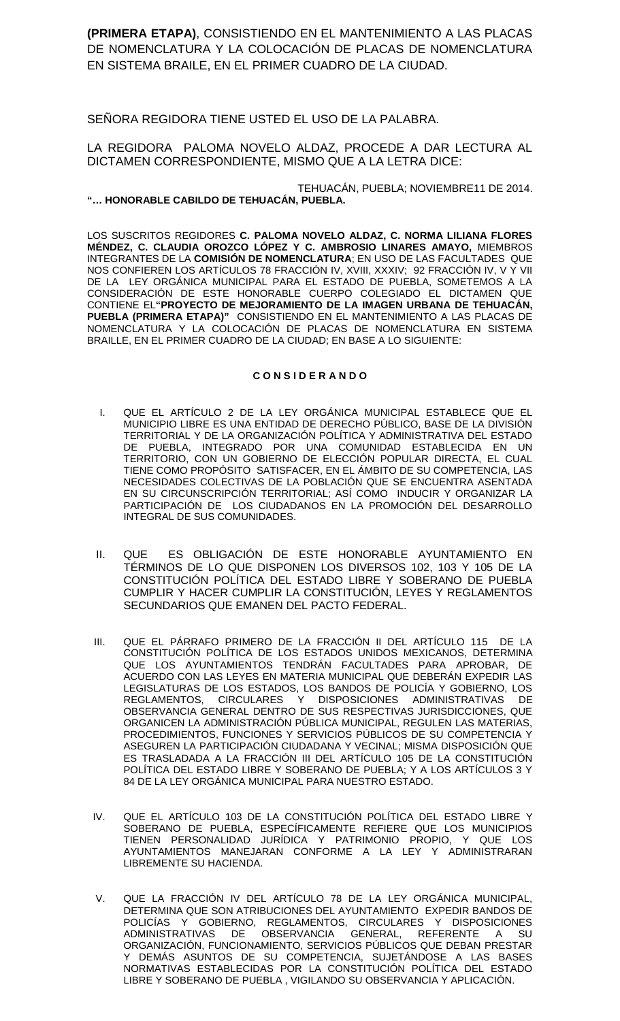**(PRIMERA ETAPA)**, CONSISTIENDO EN EL MANTENIMIENTO A LAS PLACAS DE NOMENCLATURA Y LA COLOCACIÓN DE PLACAS DE NOMENCLATURA EN SISTEMA BRAILE, EN EL PRIMER CUADRO DE LA CIUDAD.

SEÑORA REGIDORA TIENE USTED EL USO DE LA PALABRA.

# LA REGIDORA PALOMA NOVELO ALDAZ, PROCEDE A DAR LECTURA AL DICTAMEN CORRESPONDIENTE, MISMO QUE A LA LETRA DICE:

### TEHUACÁN, PUEBLA; NOVIEMBRE11 DE 2014. **"… HONORABLE CABILDO DE TEHUACÁN, PUEBLA.**

LOS SUSCRITOS REGIDORES **C. PALOMA NOVELO ALDAZ, C. NORMA LILIANA FLORES MÉNDEZ, C. CLAUDIA OROZCO LÓPEZ Y C. AMBROSIO LINARES AMAYO,** MIEMBROS INTEGRANTES DE LA **COMISIÓN DE NOMENCLATURA**; EN USO DE LAS FACULTADES QUE NOS CONFIEREN LOS ARTÍCULOS 78 FRACCIÓN IV, XVIII, XXXIV; 92 FRACCIÓN IV, V Y VII DE LA LEY ORGÁNICA MUNICIPAL PARA EL ESTADO DE PUEBLA, SOMETEMOS A LA CONSIDERACIÓN DE ESTE HONORABLE CUERPO COLEGIADO EL DICTAMEN QUE CONTIENE EL**"PROYECTO DE MEJORAMIENTO DE LA IMAGEN URBANA DE TEHUACÁN, PUEBLA (PRIMERA ETAPA)"** CONSISTIENDO EN EL MANTENIMIENTO A LAS PLACAS DE NOMENCLATURA Y LA COLOCACIÓN DE PLACAS DE NOMENCLATURA EN SISTEMA BRAILLE, EN EL PRIMER CUADRO DE LA CIUDAD; EN BASE A LO SIGUIENTE:

### **C O N S I D E R A N D O**

- I. QUE EL ARTÍCULO 2 DE LA LEY ORGÁNICA MUNICIPAL ESTABLECE QUE EL MUNICIPIO LIBRE ES UNA ENTIDAD DE DERECHO PÚBLICO, BASE DE LA DIVISIÓN TERRITORIAL Y DE LA ORGANIZACIÓN POLÍTICA Y ADMINISTRATIVA DEL ESTADO DE PUEBLA, INTEGRADO POR UNA COMUNIDAD ESTABLECIDA EN UN TERRITORIO, CON UN GOBIERNO DE ELECCIÓN POPULAR DIRECTA, EL CUAL TIENE COMO PROPÓSITO SATISFACER, EN EL ÁMBITO DE SU COMPETENCIA, LAS NECESIDADES COLECTIVAS DE LA POBLACIÓN QUE SE ENCUENTRA ASENTADA EN SU CIRCUNSCRIPCIÓN TERRITORIAL; ASÍ COMO INDUCIR Y ORGANIZAR LA PARTICIPACIÓN DE LOS CIUDADANOS EN LA PROMOCIÓN DEL DESARROLLO INTEGRAL DE SUS COMUNIDADES.
- II. QUE ES OBLIGACIÓN DE ESTE HONORABLE AYUNTAMIENTO EN TÉRMINOS DE LO QUE DISPONEN LOS DIVERSOS 102, 103 Y 105 DE LA CONSTITUCIÓN POLÍTICA DEL ESTADO LIBRE Y SOBERANO DE PUEBLA CUMPLIR Y HACER CUMPLIR LA CONSTITUCIÓN, LEYES Y REGLAMENTOS SECUNDARIOS QUE EMANEN DEL PACTO FEDERAL.
- III. QUE EL PÁRRAFO PRIMERO DE LA FRACCIÓN II DEL ARTÍCULO 115 DE LA CONSTITUCIÓN POLÍTICA DE LOS ESTADOS UNIDOS MEXICANOS, DETERMINA QUE LOS AYUNTAMIENTOS TENDRÁN FACULTADES PARA APROBAR, DE ACUERDO CON LAS LEYES EN MATERIA MUNICIPAL QUE DEBERÁN EXPEDIR LAS LEGISLATURAS DE LOS ESTADOS, LOS BANDOS DE POLICÍA Y GOBIERNO, LOS REGLAMENTOS, CIRCULARES Y DISPOSICIONES ADMINISTRATIVAS DE OBSERVANCIA GENERAL DENTRO DE SUS RESPECTIVAS JURISDICCIONES, QUE ORGANICEN LA ADMINISTRACIÓN PÚBLICA MUNICIPAL, REGULEN LAS MATERIAS, PROCEDIMIENTOS, FUNCIONES Y SERVICIOS PÚBLICOS DE SU COMPETENCIA Y ASEGUREN LA PARTICIPACIÓN CIUDADANA Y VECINAL; MISMA DISPOSICIÓN QUE ES TRASLADADA A LA FRACCIÓN III DEL ARTÍCULO 105 DE LA CONSTITUCIÓN POLÍTICA DEL ESTADO LIBRE Y SOBERANO DE PUEBLA; Y A LOS ARTÍCULOS 3 Y 84 DE LA LEY ORGÁNICA MUNICIPAL PARA NUESTRO ESTADO.
- IV. QUE EL ARTÍCULO 103 DE LA CONSTITUCIÓN POLÍTICA DEL ESTADO LIBRE Y SOBERANO DE PUEBLA, ESPECÍFICAMENTE REFIERE QUE LOS MUNICIPIOS TIENEN PERSONALIDAD JURÍDICA Y PATRIMONIO PROPIO, Y QUE LOS AYUNTAMIENTOS MANEJARAN CONFORME A LA LEY Y ADMINISTRARAN LIBREMENTE SU HACIENDA.
- V. QUE LA FRACCIÓN IV DEL ARTÍCULO 78 DE LA LEY ORGÁNICA MUNICIPAL, DETERMINA QUE SON ATRIBUCIONES DEL AYUNTAMIENTO EXPEDIR BANDOS DE POLICÍAS Y GOBIERNO, REGLAMENTOS, CIRCULARES Y DISPOSICIONES ADMINISTRATIVAS DE OBSERVANCIA GENERAL, REFERENTE A SU ORGANIZACIÓN, FUNCIONAMIENTO, SERVICIOS PÚBLICOS QUE DEBAN PRESTAR Y DEMÁS ASUNTOS DE SU COMPETENCIA, SUJETÁNDOSE A LAS BASES NORMATIVAS ESTABLECIDAS POR LA CONSTITUCIÓN POLÍTICA DEL ESTADO LIBRE Y SOBERANO DE PUEBLA , VIGILANDO SU OBSERVANCIA Y APLICACIÓN.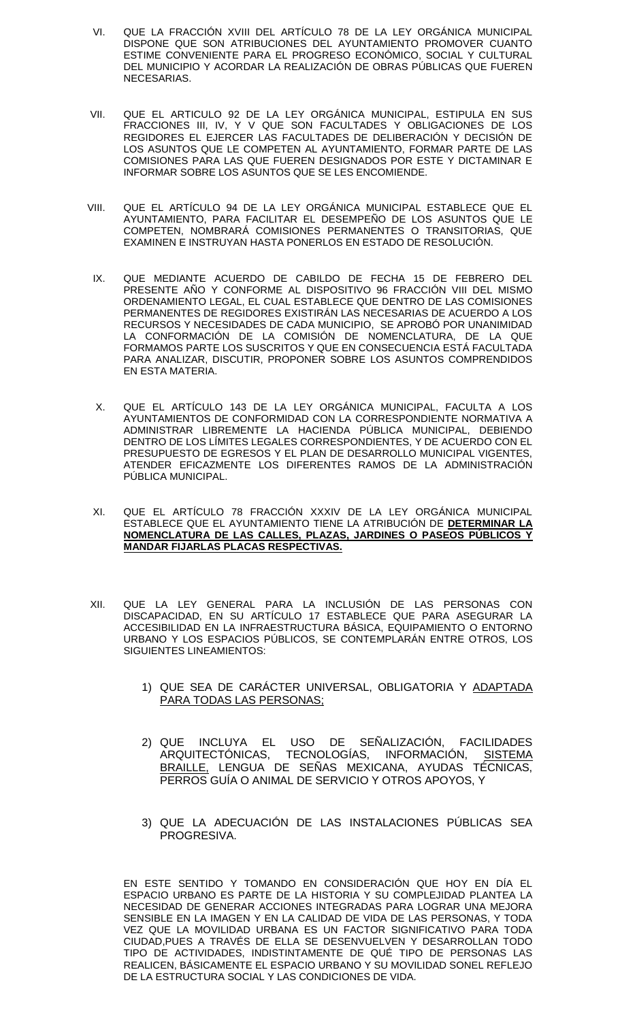- VI. QUE LA FRACCIÓN XVIII DEL ARTÍCULO 78 DE LA LEY ORGÁNICA MUNICIPAL DISPONE QUE SON ATRIBUCIONES DEL AYUNTAMIENTO PROMOVER CUANTO ESTIME CONVENIENTE PARA EL PROGRESO ECONÓMICO, SOCIAL Y CULTURAL DEL MUNICIPIO Y ACORDAR LA REALIZACIÓN DE OBRAS PÚBLICAS QUE FUEREN **NECESARIAS**
- VII. QUE EL ARTICULO 92 DE LA LEY ORGÁNICA MUNICIPAL, ESTIPULA EN SUS FRACCIONES III, IV, Y V QUE SON FACULTADES Y OBLIGACIONES DE LOS REGIDORES EL EJERCER LAS FACULTADES DE DELIBERACIÓN Y DECISIÓN DE LOS ASUNTOS QUE LE COMPETEN AL AYUNTAMIENTO, FORMAR PARTE DE LAS COMISIONES PARA LAS QUE FUEREN DESIGNADOS POR ESTE Y DICTAMINAR E INFORMAR SOBRE LOS ASUNTOS QUE SE LES ENCOMIENDE.
- VIII. QUE EL ARTÍCULO 94 DE LA LEY ORGÁNICA MUNICIPAL ESTABLECE QUE EL AYUNTAMIENTO, PARA FACILITAR EL DESEMPEÑO DE LOS ASUNTOS QUE LE COMPETEN, NOMBRARÁ COMISIONES PERMANENTES O TRANSITORIAS, QUE EXAMINEN E INSTRUYAN HASTA PONERLOS EN ESTADO DE RESOLUCIÓN.
- IX. QUE MEDIANTE ACUERDO DE CABILDO DE FECHA 15 DE FEBRERO DEL PRESENTE AÑO Y CONFORME AL DISPOSITIVO 96 FRACCIÓN VIII DEL MISMO ORDENAMIENTO LEGAL, EL CUAL ESTABLECE QUE DENTRO DE LAS COMISIONES PERMANENTES DE REGIDORES EXISTIRÁN LAS NECESARIAS DE ACUERDO A LOS RECURSOS Y NECESIDADES DE CADA MUNICIPIO, SE APROBÓ POR UNANIMIDAD LA CONFORMACIÓN DE LA COMISIÓN DE NOMENCLATURA, DE LA QUE FORMAMOS PARTE LOS SUSCRITOS Y QUE EN CONSECUENCIA ESTÁ FACULTADA PARA ANALIZAR, DISCUTIR, PROPONER SOBRE LOS ASUNTOS COMPRENDIDOS EN ESTA MATERIA.
- X. QUE EL ARTÍCULO 143 DE LA LEY ORGÁNICA MUNICIPAL, FACULTA A LOS AYUNTAMIENTOS DE CONFORMIDAD CON LA CORRESPONDIENTE NORMATIVA A ADMINISTRAR LIBREMENTE LA HACIENDA PÚBLICA MUNICIPAL, DEBIENDO DENTRO DE LOS LÍMITES LEGALES CORRESPONDIENTES, Y DE ACUERDO CON EL PRESUPUESTO DE EGRESOS Y EL PLAN DE DESARROLLO MUNICIPAL VIGENTES, ATENDER EFICAZMENTE LOS DIFERENTES RAMOS DE LA ADMINISTRACIÓN PÚBLICA MUNICIPAL.
- XI. QUE EL ARTÍCULO 78 FRACCIÓN XXXIV DE LA LEY ORGÁNICA MUNICIPAL ESTABLECE QUE EL AYUNTAMIENTO TIENE LA ATRIBUCIÓN DE **DETERMINAR LA NOMENCLATURA DE LAS CALLES, PLAZAS, JARDINES O PASEOS PÚBLICOS Y MANDAR FIJARLAS PLACAS RESPECTIVAS.**
- XII. QUE LA LEY GENERAL PARA LA INCLUSIÓN DE LAS PERSONAS CON DISCAPACIDAD, EN SU ARTÍCULO 17 ESTABLECE QUE PARA ASEGURAR LA ACCESIBILIDAD EN LA INFRAESTRUCTURA BÁSICA, EQUIPAMIENTO O ENTORNO URBANO Y LOS ESPACIOS PÚBLICOS, SE CONTEMPLARÁN ENTRE OTROS, LOS SIGUIENTES LINEAMIENTOS:
	- 1) QUE SEA DE CARÁCTER UNIVERSAL, OBLIGATORIA Y ADAPTADA PARA TODAS LAS PERSONAS;
	- 2) QUE INCLUYA EL USO DE SENALIZACIÓN, FACILIDADES ARQUITECTONICAS, TECNOLOGIAS, INFORMACION, <u>SISTEMA</u> BRAILLE, LENGUA DE SEÑAS MEXICANA, AYUDAS TÉCNICAS, PERROS GUÍA O ANIMAL DE SERVICIO Y OTROS APOYOS, Y
	- 3) QUE LA ADECUACIÓN DE LAS INSTALACIONES PÚBLICAS SEA PROGRESIVA.

EN ESTE SENTIDO Y TOMANDO EN CONSIDERACIÓN QUE HOY EN DÍA EL ESPACIO URBANO ES PARTE DE LA HISTORIA Y SU COMPLEJIDAD PLANTEA LA NECESIDAD DE GENERAR ACCIONES INTEGRADAS PARA LOGRAR UNA MEJORA SENSIBLE EN LA IMAGEN Y EN LA CALIDAD DE VIDA DE LAS PERSONAS, Y TODA VEZ QUE LA MOVILIDAD URBANA ES UN FACTOR SIGNIFICATIVO PARA TODA CIUDAD,PUES A TRAVÉS DE ELLA SE DESENVUELVEN Y DESARROLLAN TODO TIPO DE ACTIVIDADES, INDISTINTAMENTE DE QUÉ TIPO DE PERSONAS LAS REALICEN, BÁSICAMENTE EL ESPACIO URBANO Y SU MOVILIDAD SONEL REFLEJO DE LA ESTRUCTURA SOCIAL Y LAS CONDICIONES DE VIDA.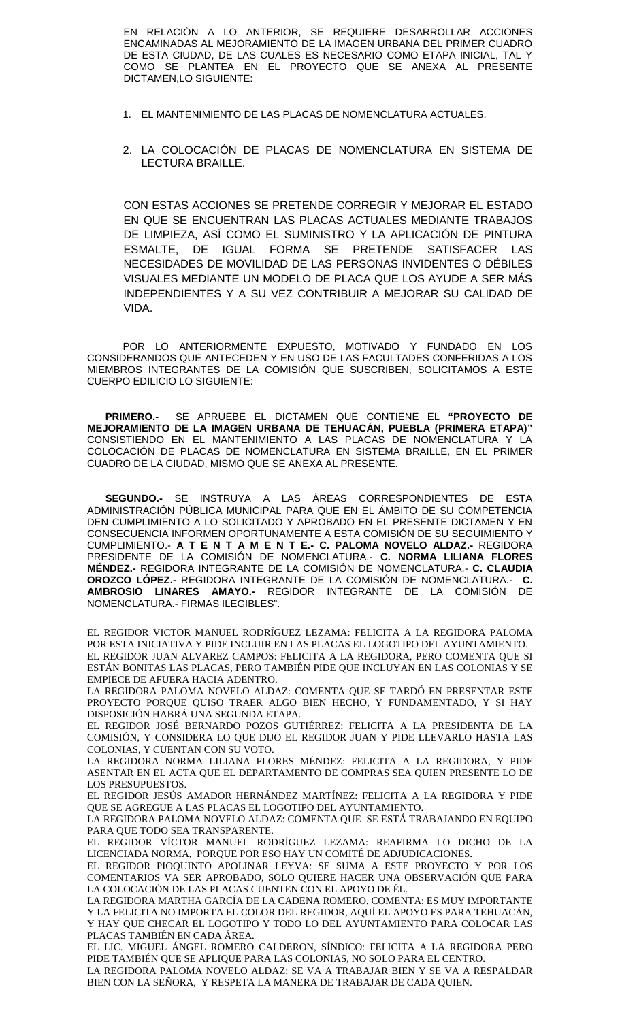EN RELACIÓN A LO ANTERIOR, SE REQUIERE DESARROLLAR ACCIONES ENCAMINADAS AL MEJORAMIENTO DE LA IMAGEN URBANA DEL PRIMER CUADRO DE ESTA CIUDAD, DE LAS CUALES ES NECESARIO COMO ETAPA INICIAL, TAL Y COMO SE PLANTEA EN EL PROYECTO QUE SE ANEXA AL PRESENTE DICTAMEN,LO SIGUIENTE:

- 1. EL MANTENIMIENTO DE LAS PLACAS DE NOMENCLATURA ACTUALES.
- 2. LA COLOCACIÓN DE PLACAS DE NOMENCLATURA EN SISTEMA DE LECTURA BRAILLE.

CON ESTAS ACCIONES SE PRETENDE CORREGIR Y MEJORAR EL ESTADO EN QUE SE ENCUENTRAN LAS PLACAS ACTUALES MEDIANTE TRABAJOS DE LIMPIEZA, ASÍ COMO EL SUMINISTRO Y LA APLICACIÓN DE PINTURA ESMALTE, DE IGUAL FORMA SE PRETENDE SATISFACER LAS NECESIDADES DE MOVILIDAD DE LAS PERSONAS INVIDENTES O DÉBILES VISUALES MEDIANTE UN MODELO DE PLACA QUE LOS AYUDE A SER MÁS INDEPENDIENTES Y A SU VEZ CONTRIBUIR A MEJORAR SU CALIDAD DE VIDA.

POR LO ANTERIORMENTE EXPUESTO, MOTIVADO Y FUNDADO EN LOS CONSIDERANDOS QUE ANTECEDEN Y EN USO DE LAS FACULTADES CONFERIDAS A LOS MIEMBROS INTEGRANTES DE LA COMISIÓN QUE SUSCRIBEN, SOLICITAMOS A ESTE CUERPO EDILICIO LO SIGUIENTE:

**PRIMERO.-** SE APRUEBE EL DICTAMEN QUE CONTIENE EL **"PROYECTO DE MEJORAMIENTO DE LA IMAGEN URBANA DE TEHUACÁN, PUEBLA (PRIMERA ETAPA)"** CONSISTIENDO EN EL MANTENIMIENTO A LAS PLACAS DE NOMENCLATURA Y LA COLOCACIÓN DE PLACAS DE NOMENCLATURA EN SISTEMA BRAILLE, EN EL PRIMER CUADRO DE LA CIUDAD, MISMO QUE SE ANEXA AL PRESENTE.

**SEGUNDO.-** SE INSTRUYA A LAS ÁREAS CORRESPONDIENTES DE ESTA ADMINISTRACIÓN PÚBLICA MUNICIPAL PARA QUE EN EL ÁMBITO DE SU COMPETENCIA DEN CUMPLIMIENTO A LO SOLICITADO Y APROBADO EN EL PRESENTE DICTAMEN Y EN CONSECUENCIA INFORMEN OPORTUNAMENTE A ESTA COMISIÓN DE SU SEGUIMIENTO Y CUMPLIMIENTO.- **A T E N T A M E N T E.- C. PALOMA NOVELO ALDAZ.-** REGIDORA PRESIDENTE DE LA COMISIÓN DE NOMENCLATURA.- **C. NORMA LILIANA FLORES MÉNDEZ.-** REGIDORA INTEGRANTE DE LA COMISIÓN DE NOMENCLATURA.- **C. CLAUDIA OROZCO LÓPEZ.-** REGIDORA INTEGRANTE DE LA COMISIÓN DE NOMENCLATURA.- **C. AMBROSIO LINARES AMAYO.-** REGIDOR INTEGRANTE DE LA COMISIÓN DE NOMENCLATURA.- FIRMAS ILEGIBLES".

EL REGIDOR VICTOR MANUEL RODRÍGUEZ LEZAMA: FELICITA A LA REGIDORA PALOMA POR ESTA INICIATIVA Y PIDE INCLUIR EN LAS PLACAS EL LOGOTIPO DEL AYUNTAMIENTO. EL REGIDOR JUAN ALVAREZ CAMPOS: FELICITA A LA REGIDORA, PERO COMENTA QUE SI ESTÁN BONITAS LAS PLACAS, PERO TAMBIÉN PIDE QUE INCLUYAN EN LAS COLONIAS Y SE EMPIECE DE AFUERA HACIA ADENTRO.

LA REGIDORA PALOMA NOVELO ALDAZ: COMENTA QUE SE TARDÓ EN PRESENTAR ESTE PROYECTO PORQUE QUISO TRAER ALGO BIEN HECHO, Y FUNDAMENTADO, Y SI HAY DISPOSICIÓN HABRÁ UNA SEGUNDA ETAPA.

EL REGIDOR JOSÉ BERNARDO POZOS GUTIÉRREZ: FELICITA A LA PRESIDENTA DE LA COMISIÓN, Y CONSIDERA LO QUE DIJO EL REGIDOR JUAN Y PIDE LLEVARLO HASTA LAS COLONIAS, Y CUENTAN CON SU VOTO.

LA REGIDORA NORMA LILIANA FLORES MÉNDEZ: FELICITA A LA REGIDORA, Y PIDE ASENTAR EN EL ACTA QUE EL DEPARTAMENTO DE COMPRAS SEA QUIEN PRESENTE LO DE LOS PRESUPUESTOS.

EL REGIDOR JESÚS AMADOR HERNÁNDEZ MARTÍNEZ: FELICITA A LA REGIDORA Y PIDE QUE SE AGREGUE A LAS PLACAS EL LOGOTIPO DEL AYUNTAMIENTO.

LA REGIDORA PALOMA NOVELO ALDAZ: COMENTA QUE SE ESTÁ TRABAJANDO EN EQUIPO PARA QUE TODO SEA TRANSPARENTE.

EL REGIDOR VÍCTOR MANUEL RODRÍGUEZ LEZAMA: REAFIRMA LO DICHO DE LA LICENCIADA NORMA, PORQUE POR ESO HAY UN COMITÉ DE ADJUDICACIONES.

EL REGIDOR PIOQUINTO APOLINAR LEYVA: SE SUMA A ESTE PROYECTO Y POR LOS COMENTARIOS VA SER APROBADO, SOLO QUIERE HACER UNA OBSERVACIÓN QUE PARA LA COLOCACIÓN DE LAS PLACAS CUENTEN CON EL APOYO DE ÉL.

LA REGIDORA MARTHA GARCÍA DE LA CADENA ROMERO, COMENTA: ES MUY IMPORTANTE Y LA FELICITA NO IMPORTA EL COLOR DEL REGIDOR, AQUÍ EL APOYO ES PARA TEHUACÁN, Y HAY QUE CHECAR EL LOGOTIPO Y TODO LO DEL AYUNTAMIENTO PARA COLOCAR LAS PLACAS TAMBIÉN EN CADA ÁREA.

EL LIC. MIGUEL ÁNGEL ROMERO CALDERON, SÍNDICO: FELICITA A LA REGIDORA PERO PIDE TAMBIÉN QUE SE APLIQUE PARA LAS COLONIAS, NO SOLO PARA EL CENTRO.

LA REGIDORA PALOMA NOVELO ALDAZ: SE VA A TRABAJAR BIEN Y SE VA A RESPALDAR BIEN CON LA SEÑORA, Y RESPETA LA MANERA DE TRABAJAR DE CADA QUIEN.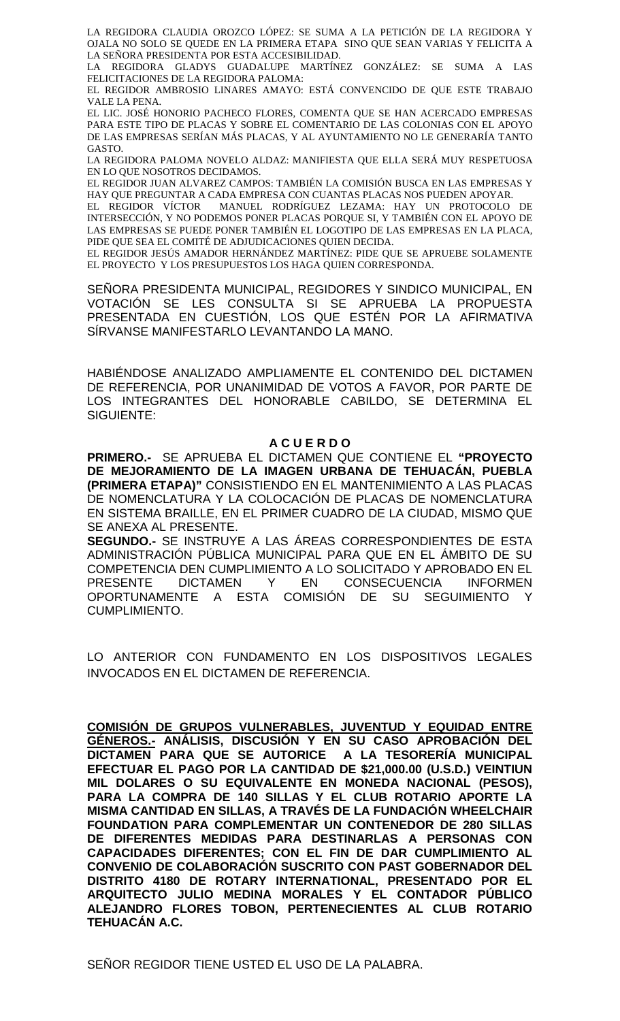LA REGIDORA CLAUDIA OROZCO LÓPEZ: SE SUMA A LA PETICIÓN DE LA REGIDORA Y OJALA NO SOLO SE QUEDE EN LA PRIMERA ETAPA SINO QUE SEAN VARIAS Y FELICITA A LA SEÑORA PRESIDENTA POR ESTA ACCESIBILIDAD.

LA REGIDORA GLADYS GUADALUPE MARTÍNEZ GONZÁLEZ: SE SUMA A LAS FELICITACIONES DE LA REGIDORA PALOMA:

EL REGIDOR AMBROSIO LINARES AMAYO: ESTÁ CONVENCIDO DE QUE ESTE TRABAJO VALE LA PENA.

EL LIC. JOSÉ HONORIO PACHECO FLORES, COMENTA QUE SE HAN ACERCADO EMPRESAS PARA ESTE TIPO DE PLACAS Y SOBRE EL COMENTARIO DE LAS COLONIAS CON EL APOYO DE LAS EMPRESAS SERÍAN MÁS PLACAS, Y AL AYUNTAMIENTO NO LE GENERARÍA TANTO GASTO.

LA REGIDORA PALOMA NOVELO ALDAZ: MANIFIESTA QUE ELLA SERÁ MUY RESPETUOSA EN LO QUE NOSOTROS DECIDAMOS.

EL REGIDOR JUAN ALVAREZ CAMPOS: TAMBIÉN LA COMISIÓN BUSCA EN LAS EMPRESAS Y HAY QUE PREGUNTAR A CADA EMPRESA CON CUANTAS PLACAS NOS PUEDEN APOYAR.

EL REGIDOR VÍCTOR MANUEL RODRÍGUEZ LEZAMA: HAY UN PROTOCOLO DE INTERSECCIÓN, Y NO PODEMOS PONER PLACAS PORQUE SI, Y TAMBIÉN CON EL APOYO DE LAS EMPRESAS SE PUEDE PONER TAMBIÉN EL LOGOTIPO DE LAS EMPRESAS EN LA PLACA, PIDE QUE SEA EL COMITÉ DE ADJUDICACIONES QUIEN DECIDA.

EL REGIDOR JESÚS AMADOR HERNÁNDEZ MARTÍNEZ: PIDE QUE SE APRUEBE SOLAMENTE EL PROYECTO Y LOS PRESUPUESTOS LOS HAGA QUIEN CORRESPONDA.

SENORA PRESIDENTA MUNICIPAL, REGIDORES Y SINDICO MUNICIPAL, EN VOTACIÓN SE LES CONSULTA SI SE APRUEBA LA PROPUESTA PRESENTADA EN CUESTIÓN, LOS QUE ESTÉN POR LA AFIRMATIVA SÍRVANSE MANIFESTARLO LEVANTANDO LA MANO.

HABIÉNDOSE ANALIZADO AMPLIAMENTE EL CONTENIDO DEL DICTAMEN DE REFERENCIA, POR UNANIMIDAD DE VOTOS A FAVOR, POR PARTE DE LOS INTEGRANTES DEL HONORABLE CABILDO, SE DETERMINA EL SIGUIENTE:

# **A C U E R D O**

**PRIMERO.-** SE APRUEBA EL DICTAMEN QUE CONTIENE EL **"PROYECTO DE MEJORAMIENTO DE LA IMAGEN URBANA DE TEHUACÁN, PUEBLA (PRIMERA ETAPA)"** CONSISTIENDO EN EL MANTENIMIENTO A LAS PLACAS DE NOMENCLATURA Y LA COLOCACIÓN DE PLACAS DE NOMENCLATURA EN SISTEMA BRAILLE, EN EL PRIMER CUADRO DE LA CIUDAD, MISMO QUE SE ANEXA AL PRESENTE.

**SEGUNDO.-** SE INSTRUYE A LAS ÁREAS CORRESPONDIENTES DE ESTA ADMINISTRACIÓN PÚBLICA MUNICIPAL PARA QUE EN EL ÁMBITO DE SU COMPETENCIA DEN CUMPLIMIENTO A LO SOLICITADO Y APROBADO EN EL<br>PRESENTE DICTAMEN Y EN CONSECUENCIA INFORMEN PRESENTE DICTAMEN Y EN CONSECUENCIA INFORMEN OPORTUNAMENTE A ESTA COMISIÓN DE SU SEGUIMIENTO Y CUMPLIMIENTO.

LO ANTERIOR CON FUNDAMENTO EN LOS DISPOSITIVOS LEGALES INVOCADOS EN EL DICTAMEN DE REFERENCIA.

**COMISIÓN DE GRUPOS VULNERABLES, JUVENTUD Y EQUIDAD ENTRE GÉNEROS.- ANÁLISIS, DISCUSIÓN Y EN SU CASO APROBACIÓN DEL DICTAMEN PARA QUE SE AUTORICE A LA TESORERÍA MUNICIPAL EFECTUAR EL PAGO POR LA CANTIDAD DE \$21,000.00 (U.S.D.) VEINTIUN MIL DOLARES O SU EQUIVALENTE EN MONEDA NACIONAL (PESOS), PARA LA COMPRA DE 140 SILLAS Y EL CLUB ROTARIO APORTE LA MISMA CANTIDAD EN SILLAS, A TRAVÉS DE LA FUNDACIÓN WHEELCHAIR FOUNDATION PARA COMPLEMENTAR UN CONTENEDOR DE 280 SILLAS DE DIFERENTES MEDIDAS PARA DESTINARLAS A PERSONAS CON CAPACIDADES DIFERENTES; CON EL FIN DE DAR CUMPLIMIENTO AL CONVENIO DE COLABORACIÓN SUSCRITO CON PAST GOBERNADOR DEL DISTRITO 4180 DE ROTARY INTERNATIONAL, PRESENTADO POR EL ARQUITECTO JULIO MEDINA MORALES Y EL CONTADOR PÚBLICO ALEJANDRO FLORES TOBON, PERTENECIENTES AL CLUB ROTARIO TEHUACÁN A.C.**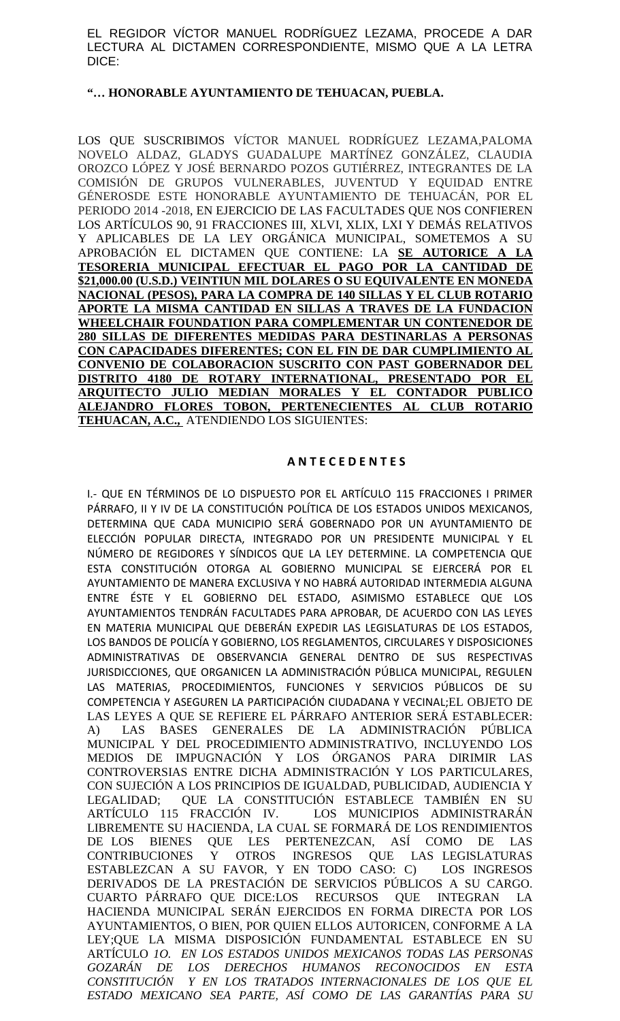EL REGIDOR VÍCTOR MANUEL RODRÍGUEZ LEZAMA, PROCEDE A DAR LECTURA AL DICTAMEN CORRESPONDIENTE, MISMO QUE A LA LETRA DICE:

### **"… HONORABLE AYUNTAMIENTO DE TEHUACAN, PUEBLA.**

LOS QUE SUSCRIBIMOS VÍCTOR MANUEL RODRÍGUEZ LEZAMA,PALOMA NOVELO ALDAZ, GLADYS GUADALUPE MARTÍNEZ GONZÁLEZ, CLAUDIA OROZCO LÓPEZ Y JOSÉ BERNARDO POZOS GUTIÉRREZ, INTEGRANTES DE LA COMISIÓN DE GRUPOS VULNERABLES, JUVENTUD Y EQUIDAD ENTRE GÉNEROSDE ESTE HONORABLE AYUNTAMIENTO DE TEHUACÁN, POR EL PERIODO 2014 -2018, EN EJERCICIO DE LAS FACULTADES QUE NOS CONFIEREN LOS ARTÍCULOS 90, 91 FRACCIONES III, XLVI, XLIX, LXI Y DEMÁS RELATIVOS Y APLICABLES DE LA LEY ORGÁNICA MUNICIPAL, SOMETEMOS A SU APROBACIÓN EL DICTAMEN QUE CONTIENE: LA **SE AUTORICE A LA TESORERIA MUNICIPAL EFECTUAR EL PAGO POR LA CANTIDAD DE \$21,000.00 (U.S.D.) VEINTIUN MIL DOLARES O SU EQUIVALENTE EN MONEDA NACIONAL (PESOS), PARA LA COMPRA DE 140 SILLAS Y EL CLUB ROTARIO APORTE LA MISMA CANTIDAD EN SILLAS A TRAVES DE LA FUNDACION WHEELCHAIR FOUNDATION PARA COMPLEMENTAR UN CONTENEDOR DE 280 SILLAS DE DIFERENTES MEDIDAS PARA DESTINARLAS A PERSONAS CON CAPACIDADES DIFERENTES; CON EL FIN DE DAR CUMPLIMIENTO AL CONVENIO DE COLABORACION SUSCRITO CON PAST GOBERNADOR DEL DISTRITO 4180 DE ROTARY INTERNATIONAL, PRESENTADO POR EL ARQUITECTO JULIO MEDIAN MORALES Y EL CONTADOR PUBLICO ALEJANDRO FLORES TOBON, PERTENECIENTES AL CLUB ROTARIO TEHUACAN, A.C.,** ATENDIENDO LOS SIGUIENTES:

# **A N T E C E D E N T E S**

I.- QUE EN TÉRMINOS DE LO DISPUESTO POR EL ARTÍCULO 115 FRACCIONES I PRIMER PÁRRAFO, II Y IV DE LA CONSTITUCIÓN POLÍTICA DE LOS ESTADOS UNIDOS MEXICANOS, DETERMINA QUE CADA MUNICIPIO SERÁ GOBERNADO POR UN AYUNTAMIENTO DE ELECCIÓN POPULAR DIRECTA, INTEGRADO POR UN PRESIDENTE MUNICIPAL Y EL NÚMERO DE REGIDORES Y SÍNDICOS QUE LA LEY DETERMINE. LA COMPETENCIA QUE ESTA CONSTITUCIÓN OTORGA AL GOBIERNO MUNICIPAL SE EJERCERÁ POR EL AYUNTAMIENTO DE MANERA EXCLUSIVA Y NO HABRÁ AUTORIDAD INTERMEDIA ALGUNA ENTRE ÉSTE Y EL GOBIERNO DEL ESTADO, ASIMISMO ESTABLECE QUE LOS AYUNTAMIENTOS TENDRÁN FACULTADES PARA APROBAR, DE ACUERDO CON LAS LEYES EN MATERIA MUNICIPAL QUE DEBERÁN EXPEDIR LAS LEGISLATURAS DE LOS ESTADOS, LOS BANDOS DE POLICÍA Y GOBIERNO, LOS REGLAMENTOS, CIRCULARES Y DISPOSICIONES ADMINISTRATIVAS DE OBSERVANCIA GENERAL DENTRO DE SUS RESPECTIVAS JURISDICCIONES, QUE ORGANICEN LA ADMINISTRACIÓN PÚBLICA MUNICIPAL, REGULEN LAS MATERIAS, PROCEDIMIENTOS, FUNCIONES Y SERVICIOS PÚBLICOS DE SU COMPETENCIA Y ASEGUREN LA PARTICIPACIÓN CIUDADANA Y VECINAL;EL OBJETO DE LAS LEYES A QUE SE REFIERE EL PÁRRAFO ANTERIOR SERÁ ESTABLECER: A) LAS BASES GENERALES DE LA ADMINISTRACIÓN PÚBLICA MUNICIPAL Y DEL PROCEDIMIENTO ADMINISTRATIVO, INCLUYENDO LOS MEDIOS DE IMPUGNACIÓN Y LOS ÓRGANOS PARA DIRIMIR LAS CONTROVERSIAS ENTRE DICHA ADMINISTRACIÓN Y LOS PARTICULARES, CON SUJECIÓN A LOS PRINCIPIOS DE IGUALDAD, PUBLICIDAD, AUDIENCIA Y LEGALIDAD; QUE LA CONSTITUCIÓN ESTABLECE TAMBIÉN EN SU ARTÍCULO 115 FRACCIÓN IV. LOS MUNICIPIOS ADMINISTRARÁN LIBREMENTE SU HACIENDA, LA CUAL SE FORMARÁ DE LOS RENDIMIENTOS DE LOS BIENES QUE LES PERTENEZCAN, ASÍ COMO DE LAS CONTRIBUCIONES Y OTROS INGRESOS QUE LAS LEGISLATURAS ESTABLEZCAN A SU FAVOR, Y EN TODO CASO: C) LOS INGRESOS DERIVADOS DE LA PRESTACIÓN DE SERVICIOS PÚBLICOS A SU CARGO. CUARTO PÁRRAFO QUE DICE:LOS RECURSOS QUE INTEGRAN LA HACIENDA MUNICIPAL SERÁN EJERCIDOS EN FORMA DIRECTA POR LOS AYUNTAMIENTOS, O BIEN, POR QUIEN ELLOS AUTORICEN, CONFORME A LA LEY;QUE LA MISMA DISPOSICIÓN FUNDAMENTAL ESTABLECE EN SU ARTÍCULO *1O. EN LOS ESTADOS UNIDOS MEXICANOS TODAS LAS PERSONAS GOZARÁN DE LOS DERECHOS HUMANOS RECONOCIDOS EN ESTA CONSTITUCIÓN Y EN LOS TRATADOS INTERNACIONALES DE LOS QUE EL ESTADO MEXICANO SEA PARTE, ASÍ COMO DE LAS GARANTÍAS PARA SU*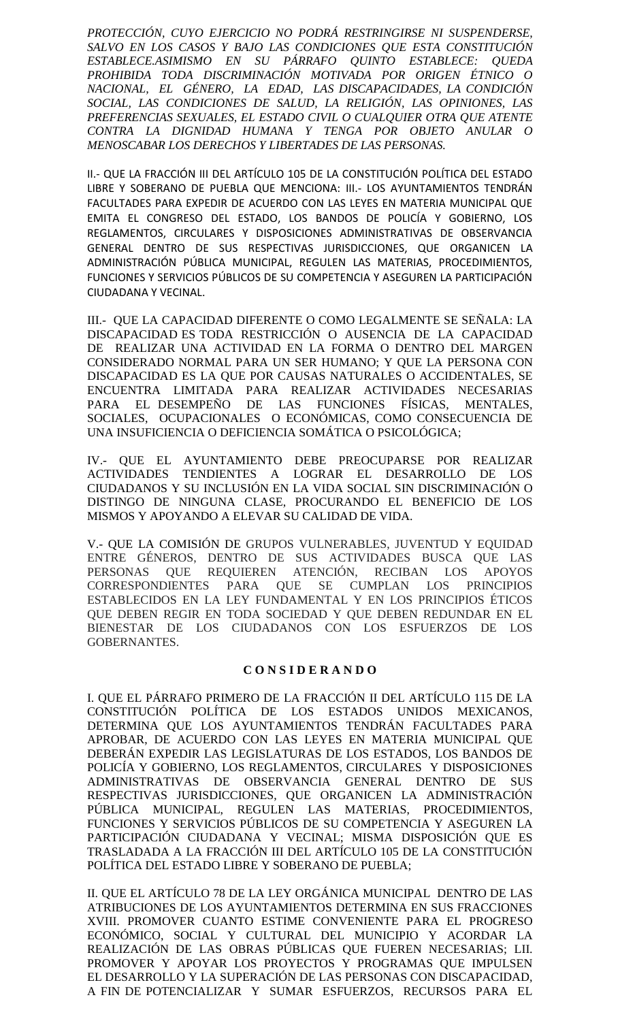*PROTECCIÓN, CUYO EJERCICIO NO PODRÁ RESTRINGIRSE NI SUSPENDERSE, SALVO EN LOS CASOS Y BAJO LAS CONDICIONES QUE ESTA CONSTITUCIÓN ESTABLECE.ASIMISMO EN SU PÁRRAFO QUINTO ESTABLECE: QUEDA PROHIBIDA TODA DISCRIMINACIÓN MOTIVADA POR ORIGEN ÉTNICO O NACIONAL, EL GÉNERO, LA EDAD, LAS DISCAPACIDADES, LA CONDICIÓN SOCIAL, LAS CONDICIONES DE SALUD, LA RELIGIÓN, LAS OPINIONES, LAS PREFERENCIAS SEXUALES, EL ESTADO CIVIL O CUALQUIER OTRA QUE ATENTE CONTRA LA DIGNIDAD HUMANA Y TENGA POR OBJETO ANULAR O MENOSCABAR LOS DERECHOS Y LIBERTADES DE LAS PERSONAS.*

II.- QUE LA FRACCIÓN III DEL ARTÍCULO 105 DE LA CONSTITUCIÓN POLÍTICA DEL ESTADO LIBRE Y SOBERANO DE PUEBLA QUE MENCIONA: III.- LOS AYUNTAMIENTOS TENDRÁN FACULTADES PARA EXPEDIR DE ACUERDO CON LAS LEYES EN MATERIA MUNICIPAL QUE EMITA EL CONGRESO DEL ESTADO, LOS BANDOS DE POLICÍA Y GOBIERNO, LOS REGLAMENTOS, CIRCULARES Y DISPOSICIONES ADMINISTRATIVAS DE OBSERVANCIA GENERAL DENTRO DE SUS RESPECTIVAS JURISDICCIONES, QUE ORGANICEN LA ADMINISTRACIÓN PÚBLICA MUNICIPAL, REGULEN LAS MATERIAS, PROCEDIMIENTOS, FUNCIONES Y SERVICIOS PÚBLICOS DE SU COMPETENCIA Y ASEGUREN LA PARTICIPACIÓN CIUDADANA Y VECINAL.

III.- QUE LA CAPACIDAD DIFERENTE O COMO LEGALMENTE SE SEÑALA: LA DISCAPACIDAD ES TODA RESTRICCIÓN O AUSENCIA DE LA CAPACIDAD DE REALIZAR UNA ACTIVIDAD EN LA FORMA O DENTRO DEL MARGEN CONSIDERADO NORMAL PARA UN SER HUMANO; Y QUE LA PERSONA CON DISCAPACIDAD ES LA QUE POR CAUSAS NATURALES O ACCIDENTALES, SE ENCUENTRA LIMITADA PARA REALIZAR ACTIVIDADES NECESARIAS PARA EL DESEMPEÑO DE LAS FUNCIONES FÍSICAS, MENTALES, SOCIALES, OCUPACIONALES O ECONÓMICAS, COMO CONSECUENCIA DE UNA INSUFICIENCIA O DEFICIENCIA SOMÁTICA O PSICOLÓGICA;

IV.- QUE EL AYUNTAMIENTO DEBE PREOCUPARSE POR REALIZAR ACTIVIDADES TENDIENTES A LOGRAR EL DESARROLLO DE LOS CIUDADANOS Y SU INCLUSIÓN EN LA VIDA SOCIAL SIN DISCRIMINACIÓN O DISTINGO DE NINGUNA CLASE, PROCURANDO EL BENEFICIO DE LOS MISMOS Y APOYANDO A ELEVAR SU CALIDAD DE VIDA.

V.- QUE LA COMISIÓN DE GRUPOS VULNERABLES, JUVENTUD Y EQUIDAD ENTRE GÉNEROS, DENTRO DE SUS ACTIVIDADES BUSCA QUE LAS PERSONAS QUE REQUIEREN ATENCIÓN, RECIBAN LOS APOYOS CORRESPONDIENTES PARA QUE SE CUMPLAN LOS PRINCIPIOS ESTABLECIDOS EN LA LEY FUNDAMENTAL Y EN LOS PRINCIPIOS ÉTICOS QUE DEBEN REGIR EN TODA SOCIEDAD Y QUE DEBEN REDUNDAR EN EL BIENESTAR DE LOS CIUDADANOS CON LOS ESFUERZOS DE LOS GOBERNANTES.

# **C O N S I D E R A N D O**

I. QUE EL PÁRRAFO PRIMERO DE LA FRACCIÓN II DEL ARTÍCULO 115 DE LA CONSTITUCIÓN POLÍTICA DE LOS ESTADOS UNIDOS MEXICANOS, DETERMINA QUE LOS AYUNTAMIENTOS TENDRÁN FACULTADES PARA APROBAR, DE ACUERDO CON LAS LEYES EN MATERIA MUNICIPAL QUE DEBERÁN EXPEDIR LAS LEGISLATURAS DE LOS ESTADOS, LOS BANDOS DE POLICÍA Y GOBIERNO, LOS REGLAMENTOS, CIRCULARES Y DISPOSICIONES ADMINISTRATIVAS DE OBSERVANCIA GENERAL DENTRO DE SUS RESPECTIVAS JURISDICCIONES, QUE ORGANICEN LA ADMINISTRACIÓN PÚBLICA MUNICIPAL, REGULEN LAS MATERIAS, PROCEDIMIENTOS, FUNCIONES Y SERVICIOS PÚBLICOS DE SU COMPETENCIA Y ASEGUREN LA PARTICIPACIÓN CIUDADANA Y VECINAL; MISMA DISPOSICIÓN QUE ES TRASLADADA A LA FRACCIÓN III DEL ARTÍCULO 105 DE LA CONSTITUCIÓN POLÍTICA DEL ESTADO LIBRE Y SOBERANO DE PUEBLA;

II. QUE EL ARTÍCULO 78 DE LA LEY ORGÁNICA MUNICIPAL DENTRO DE LAS ATRIBUCIONES DE LOS AYUNTAMIENTOS DETERMINA EN SUS FRACCIONES XVIII. PROMOVER CUANTO ESTIME CONVENIENTE PARA EL PROGRESO ECONÓMICO, SOCIAL Y CULTURAL DEL MUNICIPIO Y ACORDAR LA REALIZACIÓN DE LAS OBRAS PÚBLICAS QUE FUEREN NECESARIAS; LII. PROMOVER Y APOYAR LOS PROYECTOS Y PROGRAMAS QUE IMPULSEN EL DESARROLLO Y LA SUPERACIÓN DE LAS PERSONAS CON DISCAPACIDAD, A FIN DE POTENCIALIZAR Y SUMAR ESFUERZOS, RECURSOS PARA EL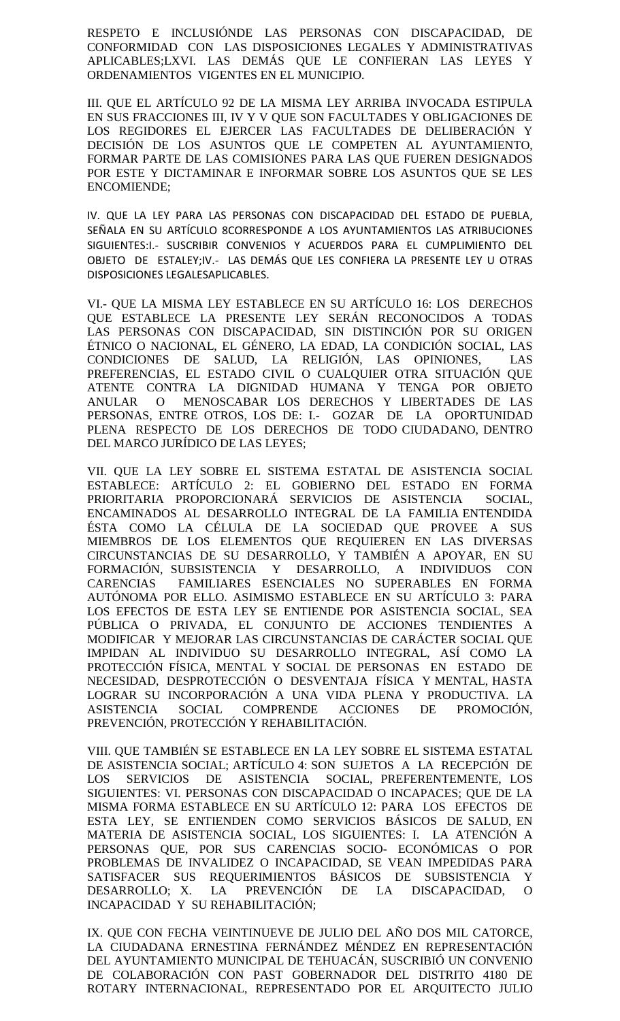RESPETO E INCLUSIÓNDE LAS PERSONAS CON DISCAPACIDAD, DE CONFORMIDAD CON LAS DISPOSICIONES LEGALES Y ADMINISTRATIVAS APLICABLES;LXVI. LAS DEMÁS QUE LE CONFIERAN LAS LEYES Y ORDENAMIENTOS VIGENTES EN EL MUNICIPIO.

III. QUE EL ARTÍCULO 92 DE LA MISMA LEY ARRIBA INVOCADA ESTIPULA EN SUS FRACCIONES III, IV Y V QUE SON FACULTADES Y OBLIGACIONES DE LOS REGIDORES EL EJERCER LAS FACULTADES DE DELIBERACIÓN Y DECISIÓN DE LOS ASUNTOS QUE LE COMPETEN AL AYUNTAMIENTO, FORMAR PARTE DE LAS COMISIONES PARA LAS QUE FUEREN DESIGNADOS POR ESTE Y DICTAMINAR E INFORMAR SOBRE LOS ASUNTOS QUE SE LES ENCOMIENDE;

IV. QUE LA LEY PARA LAS PERSONAS CON DISCAPACIDAD DEL ESTADO DE PUEBLA, SEÑALA EN SU ARTÍCULO 8CORRESPONDE A LOS AYUNTAMIENTOS LAS ATRIBUCIONES SIGUIENTES:I.- SUSCRIBIR CONVENIOS Y ACUERDOS PARA EL CUMPLIMIENTO DEL OBJETO DE ESTALEY;IV.- LAS DEMÁS QUE LES CONFIERA LA PRESENTE LEY U OTRAS DISPOSICIONES LEGALESAPLICABLES.

VI.- QUE LA MISMA LEY ESTABLECE EN SU ARTÍCULO 16: LOS DERECHOS QUE ESTABLECE LA PRESENTE LEY SERÁN RECONOCIDOS A TODAS LAS PERSONAS CON DISCAPACIDAD, SIN DISTINCIÓN POR SU ORIGEN ÉTNICO O NACIONAL, EL GÉNERO, LA EDAD, LA CONDICIÓN SOCIAL, LAS CONDICIONES DE SALUD, LA RELIGIÓN, LAS OPINIONES, LAS PREFERENCIAS, EL ESTADO CIVIL O CUALQUIER OTRA SITUACIÓN QUE ATENTE CONTRA LA DIGNIDAD HUMANA Y TENGA POR OBJETO ANULAR O MENOSCABAR LOS DERECHOS Y LIBERTADES DE LAS PERSONAS, ENTRE OTROS, LOS DE: I.- GOZAR DE LA OPORTUNIDAD PLENA RESPECTO DE LOS DERECHOS DE TODO CIUDADANO, DENTRO DEL MARCO JURÍDICO DE LAS LEYES;

VII. QUE LA LEY SOBRE EL SISTEMA ESTATAL DE ASISTENCIA SOCIAL ESTABLECE: ARTÍCULO 2: EL GOBIERNO DEL ESTADO EN FORMA PRIORITARIA PROPORCIONARÁ SERVICIOS DE ASISTENCIA SOCIAL, ENCAMINADOS AL DESARROLLO INTEGRAL DE LA FAMILIA ENTENDIDA ÉSTA COMO LA CÉLULA DE LA SOCIEDAD QUE PROVEE A SUS MIEMBROS DE LOS ELEMENTOS QUE REQUIEREN EN LAS DIVERSAS CIRCUNSTANCIAS DE SU DESARROLLO, Y TAMBIÉN A APOYAR, EN SU FORMACIÓN, SUBSISTENCIA Y DESARROLLO, A INDIVIDUOS CON CARENCIAS FAMILIARES ESENCIALES NO SUPERABLES EN FORMA AUTÓNOMA POR ELLO. ASIMISMO ESTABLECE EN SU ARTÍCULO 3: PARA LOS EFECTOS DE ESTA LEY SE ENTIENDE POR ASISTENCIA SOCIAL, SEA PÚBLICA O PRIVADA, EL CONJUNTO DE ACCIONES TENDIENTES A MODIFICAR Y MEJORAR LAS CIRCUNSTANCIAS DE CARÁCTER SOCIAL QUE IMPIDAN AL INDIVIDUO SU DESARROLLO INTEGRAL, ASÍ COMO LA PROTECCIÓN FÍSICA, MENTAL Y SOCIAL DE PERSONAS EN ESTADO DE NECESIDAD, DESPROTECCIÓN O DESVENTAJA FÍSICA Y MENTAL, HASTA LOGRAR SU INCORPORACIÓN A UNA VIDA PLENA Y PRODUCTIVA. LA ASISTENCIA SOCIAL COMPRENDE ACCIONES DE PROMOCIÓN, PREVENCIÓN, PROTECCIÓN Y REHABILITACIÓN.

VIII. QUE TAMBIÉN SE ESTABLECE EN LA LEY SOBRE EL SISTEMA ESTATAL DE ASISTENCIA SOCIAL; ARTÍCULO 4: SON SUJETOS A LA RECEPCIÓN DE LOS SERVICIOS DE ASISTENCIA SOCIAL, PREFERENTEMENTE, LOS SIGUIENTES: VI. PERSONAS CON DISCAPACIDAD O INCAPACES; QUE DE LA MISMA FORMA ESTABLECE EN SU ARTÍCULO 12: PARA LOS EFECTOS DE ESTA LEY, SE ENTIENDEN COMO SERVICIOS BÁSICOS DE SALUD, EN MATERIA DE ASISTENCIA SOCIAL, LOS SIGUIENTES: I. LA ATENCIÓN A PERSONAS QUE, POR SUS CARENCIAS SOCIO- ECONÓMICAS O POR PROBLEMAS DE INVALIDEZ O INCAPACIDAD, SE VEAN IMPEDIDAS PARA SATISFACER SUS REQUERIMIENTOS BÁSICOS DE SUBSISTENCIA Y DESARROLLO; X. LA PREVENCIÓN DE LA DISCAPACIDAD, O INCAPACIDAD Y SU REHABILITACIÓN;

IX. QUE CON FECHA VEINTINUEVE DE JULIO DEL AÑO DOS MIL CATORCE, LA CIUDADANA ERNESTINA FERNÁNDEZ MÉNDEZ EN REPRESENTACIÓN DEL AYUNTAMIENTO MUNICIPAL DE TEHUACÁN, SUSCRIBIÓ UN CONVENIO DE COLABORACIÓN CON PAST GOBERNADOR DEL DISTRITO 4180 DE ROTARY INTERNACIONAL, REPRESENTADO POR EL ARQUITECTO JULIO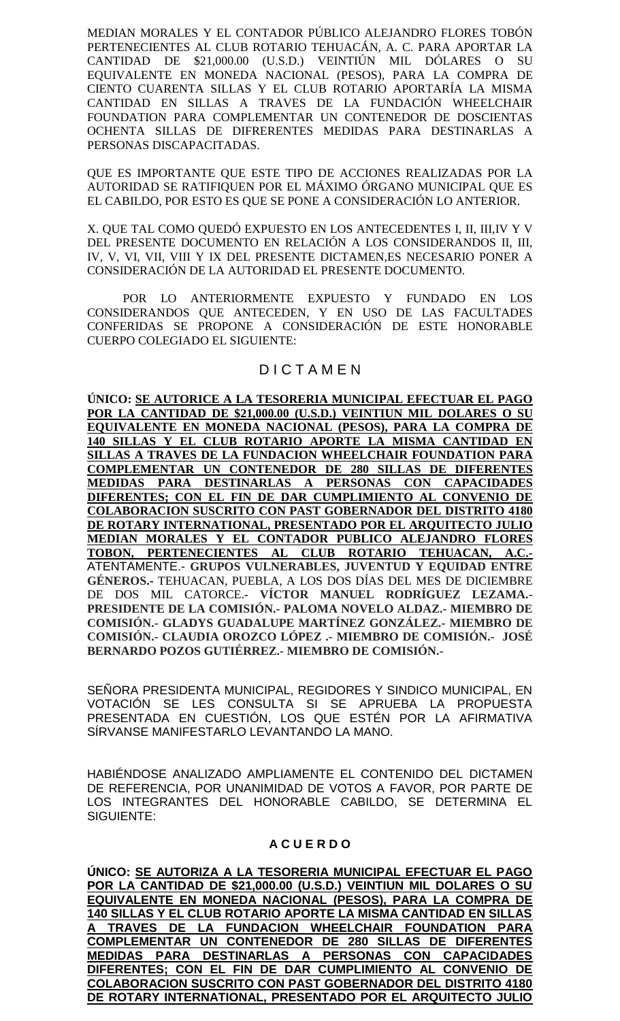MEDIAN MORALES Y EL CONTADOR PÚBLICO ALEJANDRO FLORES TOBÓN PERTENECIENTES AL CLUB ROTARIO TEHUACÁN, A. C. PARA APORTAR LA CANTIDAD DE \$21,000.00 (U.S.D.) VEINTIÚN MIL DÓLARES O SU EQUIVALENTE EN MONEDA NACIONAL (PESOS), PARA LA COMPRA DE CIENTO CUARENTA SILLAS Y EL CLUB ROTARIO APORTARÍA LA MISMA CANTIDAD EN SILLAS A TRAVES DE LA FUNDACIÓN WHEELCHAIR FOUNDATION PARA COMPLEMENTAR UN CONTENEDOR DE DOSCIENTAS OCHENTA SILLAS DE DIFRERENTES MEDIDAS PARA DESTINARLAS A PERSONAS DISCAPACITADAS.

QUE ES IMPORTANTE QUE ESTE TIPO DE ACCIONES REALIZADAS POR LA AUTORIDAD SE RATIFIQUEN POR EL MÁXIMO ÓRGANO MUNICIPAL QUE ES EL CABILDO, POR ESTO ES QUE SE PONE A CONSIDERACIÓN LO ANTERIOR.

X. QUE TAL COMO QUEDÓ EXPUESTO EN LOS ANTECEDENTES I, II, III,IV Y V DEL PRESENTE DOCUMENTO EN RELACIÓN A LOS CONSIDERANDOS II, III, IV, V, VI, VII, VIII Y IX DEL PRESENTE DICTAMEN,ES NECESARIO PONER A CONSIDERACIÓN DE LA AUTORIDAD EL PRESENTE DOCUMENTO.

POR LO ANTERIORMENTE EXPUESTO Y FUNDADO EN LOS CONSIDERANDOS QUE ANTECEDEN, Y EN USO DE LAS FACULTADES CONFERIDAS SE PROPONE A CONSIDERACIÓN DE ESTE HONORABLE CUERPO COLEGIADO EL SIGUIENTE:

# D I C T A M E N

**ÚNICO: SE AUTORICE A LA TESORERIA MUNICIPAL EFECTUAR EL PAGO POR LA CANTIDAD DE \$21,000.00 (U.S.D.) VEINTIUN MIL DOLARES O SU EQUIVALENTE EN MONEDA NACIONAL (PESOS), PARA LA COMPRA DE 140 SILLAS Y EL CLUB ROTARIO APORTE LA MISMA CANTIDAD EN SILLAS A TRAVES DE LA FUNDACION WHEELCHAIR FOUNDATION PARA COMPLEMENTAR UN CONTENEDOR DE 280 SILLAS DE DIFERENTES MEDIDAS PARA DESTINARLAS A PERSONAS CON CAPACIDADES DIFERENTES; CON EL FIN DE DAR CUMPLIMIENTO AL CONVENIO DE COLABORACION SUSCRITO CON PAST GOBERNADOR DEL DISTRITO 4180 DE ROTARY INTERNATIONAL, PRESENTADO POR EL ARQUITECTO JULIO MEDIAN MORALES Y EL CONTADOR PUBLICO ALEJANDRO FLORES TOBON, PERTENECIENTES AL CLUB ROTARIO TEHUACAN, A.C.-** ATENTAMENTE.- **GRUPOS VULNERABLES, JUVENTUD Y EQUIDAD ENTRE GÉNEROS.-** TEHUACAN, PUEBLA, A LOS DOS DÍAS DEL MES DE DICIEMBRE DE DOS MIL CATORCE.- **VÍCTOR MANUEL RODRÍGUEZ LEZAMA.- PRESIDENTE DE LA COMISIÓN.- PALOMA NOVELO ALDAZ.- MIEMBRO DE COMISIÓN.- GLADYS GUADALUPE MARTÍNEZ GONZÁLEZ.- MIEMBRO DE COMISIÓN.- CLAUDIA OROZCO LÓPEZ .- MIEMBRO DE COMISIÓN.- JOSÉ BERNARDO POZOS GUTIÉRREZ.- MIEMBRO DE COMISIÓN.-**

SEÑORA PRESIDENTA MUNICIPAL, REGIDORES Y SINDICO MUNICIPAL, EN VOTACIÓN SE LES CONSULTA SI SE APRUEBA LA PROPUESTA PRESENTADA EN CUESTIÓN, LOS QUE ESTÉN POR LA AFIRMATIVA SÍRVANSE MANIFESTARLO LEVANTANDO LA MANO.

HABIÉNDOSE ANALIZADO AMPLIAMENTE EL CONTENIDO DEL DICTAMEN DE REFERENCIA, POR UNANIMIDAD DE VOTOS A FAVOR, POR PARTE DE LOS INTEGRANTES DEL HONORABLE CABILDO, SE DETERMINA EL SIGUIENTE:

# **A C U E R D O**

**ÚNICO: SE AUTORIZA A LA TESORERIA MUNICIPAL EFECTUAR EL PAGO POR LA CANTIDAD DE \$21,000.00 (U.S.D.) VEINTIUN MIL DOLARES O SU EQUIVALENTE EN MONEDA NACIONAL (PESOS), PARA LA COMPRA DE 140 SILLAS Y EL CLUB ROTARIO APORTE LA MISMA CANTIDAD EN SILLAS A TRAVES DE LA FUNDACION WHEELCHAIR FOUNDATION PARA COMPLEMENTAR UN CONTENEDOR DE 280 SILLAS DE DIFERENTES MEDIDAS PARA DESTINARLAS A PERSONAS CON CAPACIDADES DIFERENTES; CON EL FIN DE DAR CUMPLIMIENTO AL CONVENIO DE COLABORACION SUSCRITO CON PAST GOBERNADOR DEL DISTRITO 4180 DE ROTARY INTERNATIONAL, PRESENTADO POR EL ARQUITECTO JULIO**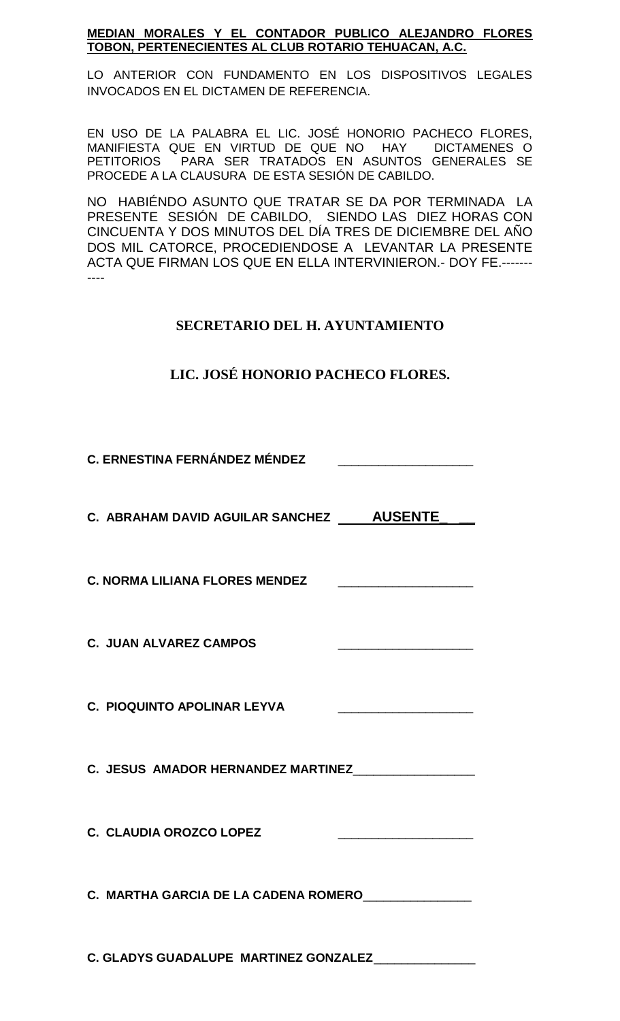# **MEDIAN MORALES Y EL CONTADOR PUBLICO ALEJANDRO FLORES TOBON, PERTENECIENTES AL CLUB ROTARIO TEHUACAN, A.C.**

LO ANTERIOR CON FUNDAMENTO EN LOS DISPOSITIVOS LEGALES INVOCADOS EN EL DICTAMEN DE REFERENCIA.

EN USO DE LA PALABRA EL LIC. JOSÉ HONORIO PACHECO FLORES, MANIFIESTA QUE EN VIRTUD DE QUE NO HAY DICTAMENES O PETITORIOS PARA SER TRATADOS EN ASUNTOS GENERALES SE PROCEDE A LA CLAUSURA DE ESTA SESIÓN DE CABILDO.

NO HABIÉNDO ASUNTO QUE TRATAR SE DA POR TERMINADA LA PRESENTE SESIÓN DE CABILDO, SIENDO LAS DIEZ HORAS CON CINCUENTA Y DOS MINUTOS DEL DÍA TRES DE DICIEMBRE DEL AÑO DOS MIL CATORCE, PROCEDIENDOSE A LEVANTAR LA PRESENTE ACTA QUE FIRMAN LOS QUE EN ELLA INTERVINIERON.- DOY FE.------- ----

# **SECRETARIO DEL H. AYUNTAMIENTO**

# **LIC. JOSÉ HONORIO PACHECO FLORES.**

# **C. ERNESTINA FERNÁNDEZ MÉNDEZ** \_\_\_\_\_\_\_\_\_\_\_\_\_\_\_\_\_\_\_\_

**C. ABRAHAM DAVID AGUILAR SANCHEZ AUSENTE\_ \_\_**

**C. NORMA LILIANA FLORES MENDEZ** 

**C. JUAN ALVAREZ CAMPOS** 

**C. PIOQUINTO APOLINAR LEYVA** 

**C. JESUS AMADOR HERNANDEZ MARTINEZ**\_\_\_\_\_\_\_\_\_\_\_\_\_\_\_\_\_\_

**C. CLAUDIA OROZCO LOPEZ** 

**C. MARTHA GARCIA DE LA CADENA ROMERO**\_\_\_\_\_\_\_\_\_\_\_\_\_\_\_\_

**C. GLADYS GUADALUPE MARTINEZ GONZALEZ**\_\_\_\_\_\_\_\_\_\_\_\_\_\_\_